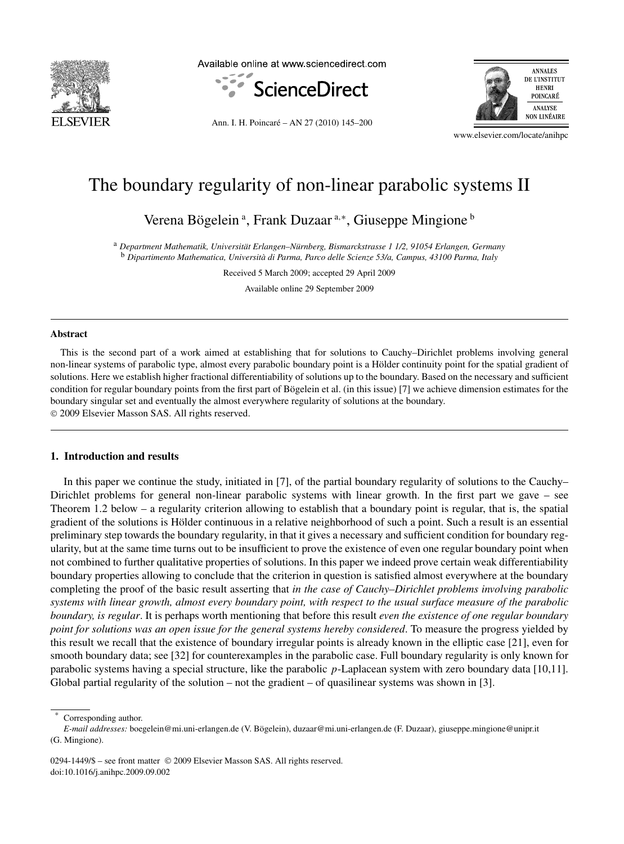

Available online at www.sciencedirect.com



Ann. I. H. Poincaré – AN 27 (2010) 145–200



www.elsevier.com/locate/anihpc

# The boundary regularity of non-linear parabolic systems II

Verena Bögelein<sup>a</sup>, Frank Duzaar<sup>a,∗</sup>, Giuseppe Mingione<sup>b</sup>

<sup>a</sup> *Department Mathematik, Universität Erlangen–Nürnberg, Bismarckstrasse 1 1/2, 91054 Erlangen, Germany* <sup>b</sup> *Dipartimento Mathematica, Università di Parma, Parco delle Scienze 53/a, Campus, 43100 Parma, Italy*

Received 5 March 2009; accepted 29 April 2009

Available online 29 September 2009

## **Abstract**

This is the second part of a work aimed at establishing that for solutions to Cauchy–Dirichlet problems involving general non-linear systems of parabolic type, almost every parabolic boundary point is a Hölder continuity point for the spatial gradient of solutions. Here we establish higher fractional differentiability of solutions up to the boundary. Based on the necessary and sufficient condition for regular boundary points from the first part of Bögelein et al. (in this issue) [7] we achieve dimension estimates for the boundary singular set and eventually the almost everywhere regularity of solutions at the boundary. © 2009 Elsevier Masson SAS. All rights reserved.

# **1. Introduction and results**

In this paper we continue the study, initiated in [7], of the partial boundary regularity of solutions to the Cauchy– Dirichlet problems for general non-linear parabolic systems with linear growth. In the first part we gave – see Theorem 1.2 below – a regularity criterion allowing to establish that a boundary point is regular, that is, the spatial gradient of the solutions is Hölder continuous in a relative neighborhood of such a point. Such a result is an essential preliminary step towards the boundary regularity, in that it gives a necessary and sufficient condition for boundary regularity, but at the same time turns out to be insufficient to prove the existence of even one regular boundary point when not combined to further qualitative properties of solutions. In this paper we indeed prove certain weak differentiability boundary properties allowing to conclude that the criterion in question is satisfied almost everywhere at the boundary completing the proof of the basic result asserting that *in the case of Cauchy–Dirichlet problems involving parabolic systems with linear growth, almost every boundary point, with respect to the usual surface measure of the parabolic boundary, is regular*. It is perhaps worth mentioning that before this result *even the existence of one regular boundary point for solutions was an open issue for the general systems hereby considered*. To measure the progress yielded by this result we recall that the existence of boundary irregular points is already known in the elliptic case [21], even for smooth boundary data; see [32] for counterexamples in the parabolic case. Full boundary regularity is only known for parabolic systems having a special structure, like the parabolic *p*-Laplacean system with zero boundary data [10,11]. Global partial regularity of the solution – not the gradient – of quasilinear systems was shown in [3].

0294-1449/\$ – see front matter © 2009 Elsevier Masson SAS. All rights reserved. doi:10.1016/j.anihpc.2009.09.002

Corresponding author.

*E-mail addresses:* boegelein@mi.uni-erlangen.de (V. Bögelein), duzaar@mi.uni-erlangen.de (F. Duzaar), giuseppe.mingione@unipr.it (G. Mingione).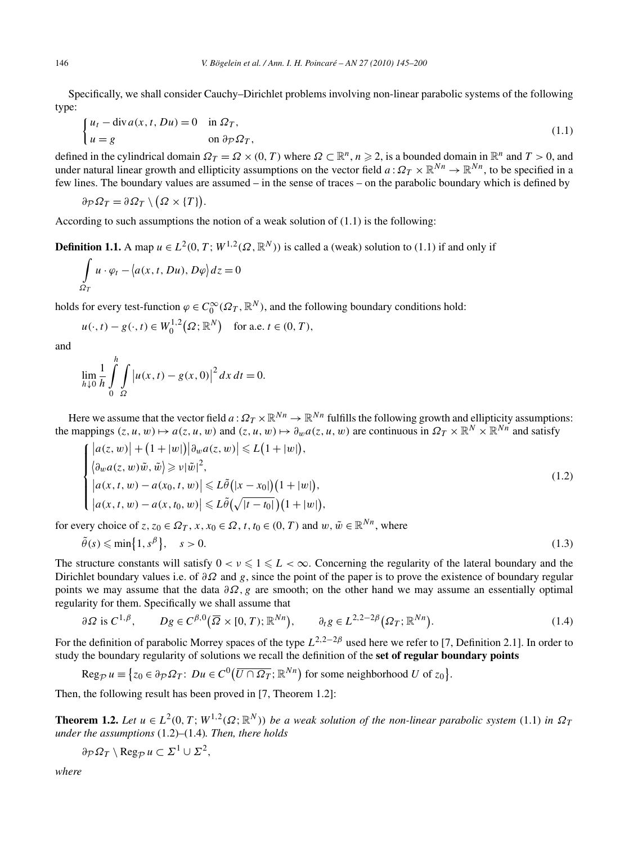Specifically, we shall consider Cauchy–Dirichlet problems involving non-linear parabolic systems of the following type:

$$
\begin{cases} u_t - \operatorname{div} a(x, t, Du) = 0 & \text{in } \Omega_T, \\ u = g & \text{on } \partial \mathcal{P} \Omega_T, \end{cases}
$$
\n(1.1)

defined in the cylindrical domain  $\Omega_T = \Omega \times (0, T)$  where  $\Omega \subset \mathbb{R}^n$ ,  $n \geq 2$ , is a bounded domain in  $\mathbb{R}^n$  and  $T > 0$ , and under natural linear growth and ellipticity assumptions on the vector field  $a: \Omega_T \times \mathbb{R}^{N_n} \to \mathbb{R}^{N_n}$ , to be specified in a few lines. The boundary values are assumed – in the sense of traces – on the parabolic boundary which is defined by

$$
\partial_{\mathcal{P}} \Omega_T = \partial \Omega_T \setminus (\Omega \times \{T\}).
$$

According to such assumptions the notion of a weak solution of (1.1) is the following:

**Definition 1.1.** A map  $u \in L^2(0, T; W^{1,2}(\Omega, \mathbb{R}^N))$  is called a (weak) solution to (1.1) if and only if

$$
\int_{\Omega_T} u \cdot \varphi_t - \langle a(x, t, Du), D\varphi \rangle dz = 0
$$

holds for every test-function  $\varphi \in C_0^{\infty}(\Omega_T, \mathbb{R}^N)$ , and the following boundary conditions hold:

$$
u(\cdot, t) - g(\cdot, t) \in W_0^{1,2}(\Omega; \mathbb{R}^N)
$$
 for a.e.  $t \in (0, T)$ ,

and

$$
\lim_{h \downarrow 0} \frac{1}{h} \int_{0}^{h} \int_{\Omega} \left| u(x, t) - g(x, 0) \right|^{2} dx dt = 0.
$$

Here we assume that the vector field  $a: \Omega_T \times \mathbb{R}^{N_n} \to \mathbb{R}^{N_n}$  fulfills the following growth and ellipticity assumptions: the mappings  $(z, u, w) \mapsto a(z, u, w)$  and  $(z, u, w) \mapsto \partial_w a(z, u, w)$  are continuous in  $\Omega_T \times \mathbb{R}^N \times \mathbb{R}^{N}$  and satisfy

$$
\begin{cases} |a(z, w)| + (1 + |w|) |\partial_w a(z, w)| \le L(1 + |w|), \\ \langle \partial_w a(z, w)\tilde{w}, \tilde{w} \rangle \ge \nu |\tilde{w}|^2, \\ |a(x, t, w) - a(x_0, t, w)| \le L\tilde{\theta}(|x - x_0|)(1 + |w|), \\ |a(x, t, w) - a(x, t_0, w)| \le L\tilde{\theta}(\sqrt{|t - t_0|})(1 + |w|), \end{cases}
$$
(1.2)

for every choice of  $z, z_0 \in \Omega_T$ ,  $x, x_0 \in \Omega$ ,  $t, t_0 \in (0, T)$  and  $w, \tilde{w} \in \mathbb{R}^{N_n}$ , where

$$
\tilde{\theta}(s) \leqslant \min\{1, s^{\beta}\}, \quad s > 0. \tag{1.3}
$$

The structure constants will satisfy  $0 < v \leq 1 \leq L < \infty$ . Concerning the regularity of the lateral boundary and the Dirichlet boundary values i.e. of *∂Ω* and *g*, since the point of the paper is to prove the existence of boundary regular points we may assume that the data *∂Ω,g* are smooth; on the other hand we may assume an essentially optimal regularity for them. Specifically we shall assume that

$$
\partial \Omega \text{ is } C^{1,\beta}, \qquad Dg \in C^{\beta,0}(\overline{\Omega} \times [0,T); \mathbb{R}^{Nn}), \qquad \partial_t g \in L^{2,2-2\beta}(\Omega_T; \mathbb{R}^{Nn}). \tag{1.4}
$$

For the definition of parabolic Morrey spaces of the type *L*2*,*2−2*<sup>β</sup>* used here we refer to [7, Definition 2.1]. In order to study the boundary regularity of solutions we recall the definition of the **set of regular boundary points**

$$
\operatorname{Reg}_{\mathcal{P}} u \equiv \{ z_0 \in \partial_{\mathcal{P}} \Omega_T : Du \in C^0(\overline{U \cap \Omega_T}; \mathbb{R}^{Nn}) \text{ for some neighborhood } U \text{ of } z_0 \}.
$$

Then, the following result has been proved in [7, Theorem 1.2]:

**Theorem 1.2.** *Let*  $u \in L^2(0, T; W^{1,2}(\Omega; \mathbb{R}^N))$  *be a weak solution of the non-linear parabolic system* (1.1) *in*  $\Omega_T$ *under the assumptions* (1.2)*–*(1.4)*. Then, there holds*

$$
\partial_{\mathcal{P}} \Omega_T \setminus \operatorname{Reg}_{\mathcal{P}} u \subset \Sigma^1 \cup \Sigma^2,
$$

*where*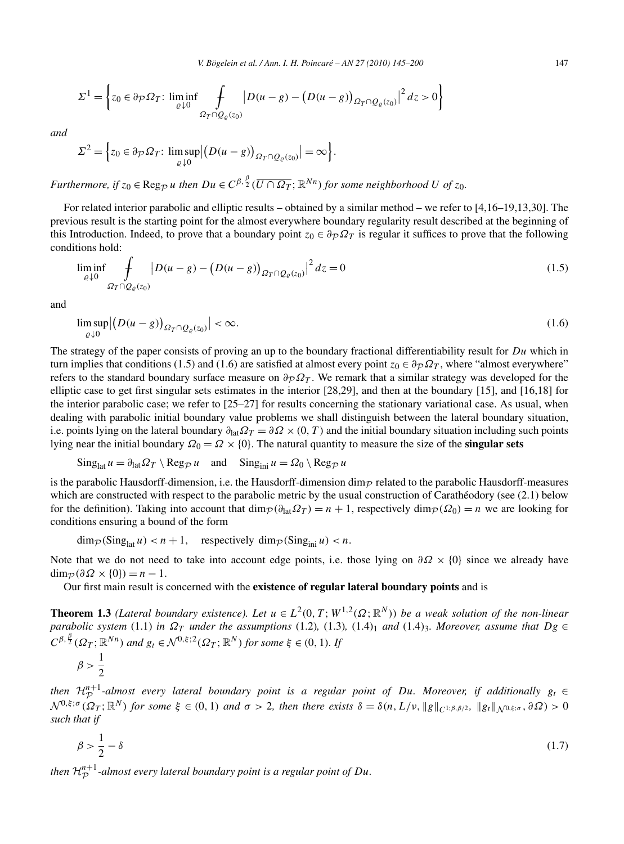$$
\Sigma^{1} = \left\{ z_{0} \in \partial_{\mathcal{P}} \Omega_{T}: \liminf_{\varrho \downarrow 0} \int_{\Omega_{T} \cap Q_{\varrho}(z_{0})} \left| D(u-g) - \left( D(u-g) \right)_{\Omega_{T} \cap Q_{\varrho}(z_{0})} \right|^{2} dz > 0 \right\}
$$

*and*

$$
\Sigma^2 = \Big\{ z_0 \in \partial_{\mathcal{P}} \Omega_T : \limsup_{\varrho \downarrow 0} \Big| \big( D(u - g) \big)_{\Omega_T \cap Q_{\varrho}(z_0)} \Big| = \infty \Big\}.
$$

*Furthermore, if*  $z_0 \in \text{Reg}_{\mathcal{P}}$  *u then*  $Du \in C^{\beta, \frac{\beta}{2}}(\overline{U \cap \Omega_T}; \mathbb{R}^{Nn})$  for some neighborhood  $U$  of  $z_0$ .

For related interior parabolic and elliptic results – obtained by a similar method – we refer to [4,16–19,13,30]. The previous result is the starting point for the almost everywhere boundary regularity result described at the beginning of this Introduction. Indeed, to prove that a boundary point  $z_0 \in \partial_P \Omega_T$  is regular it suffices to prove that the following conditions hold:

$$
\liminf_{\varrho \downarrow 0} \int_{\Omega_T \cap Q_{\varrho}(z_0)} |D(u - g) - (D(u - g))_{\Omega_T \cap Q_{\varrho}(z_0)}|^2 dz = 0
$$
\n(1.5)

and

$$
\limsup_{\varrho \downarrow 0} \left| \left( D(u - g) \right)_{\Omega_T \cap Q_{\varrho}(z_0)} \right| < \infty. \tag{1.6}
$$

The strategy of the paper consists of proving an up to the boundary fractional differentiability result for *Du* which in turn implies that conditions (1.5) and (1.6) are satisfied at almost every point  $z_0 \in \partial_P \Omega_T$ , where "almost everywhere" refers to the standard boundary surface measure on  $\partial \rho \Omega_T$ . We remark that a similar strategy was developed for the elliptic case to get first singular sets estimates in the interior [28,29], and then at the boundary [15], and [16,18] for the interior parabolic case; we refer to [25–27] for results concerning the stationary variational case. As usual, when dealing with parabolic initial boundary value problems we shall distinguish between the lateral boundary situation, i.e. points lying on the lateral boundary  $\partial_{\text{lat}}\Omega_T = \partial \Omega \times (0, T)$  and the initial boundary situation including such points lying near the initial boundary  $\Omega_0 = \Omega \times \{0\}$ . The natural quantity to measure the size of the **singular sets** 

$$
\mathrm{Sing}_{\mathrm{lat}} u = \partial_{\mathrm{lat}} \Omega_T \setminus \mathrm{Reg}_{\mathcal{P}} u \quad \text{and} \quad \mathrm{Sing}_{\mathrm{ini}} u = \Omega_0 \setminus \mathrm{Reg}_{\mathcal{P}} u
$$

is the parabolic Hausdorff-dimension, i.e. the Hausdorff-dimension dim $_{\mathcal{P}}$  related to the parabolic Hausdorff-measures which are constructed with respect to the parabolic metric by the usual construction of Carathéodory (see  $(2.1)$ ) below for the definition). Taking into account that  $\dim_{\mathcal{P}}(\partial_{\text{lat}}\Omega_T) = n + 1$ , respectively  $\dim_{\mathcal{P}}(\Omega_0) = n$  we are looking for conditions ensuring a bound of the form

$$
\dim_{\mathcal{P}}(\text{Sing}_{\text{lat}} u) < n+1, \quad \text{respectively } \dim_{\mathcal{P}}(\text{Sing}_{\text{ini}} u) < n.
$$

Note that we do not need to take into account edge points, i.e. those lying on  $\partial \Omega \times \{0\}$  since we already have  $\dim_{\mathcal{P}}(\partial \Omega \times \{0\}) = n - 1.$ 

Our first main result is concerned with the **existence of regular lateral boundary points** and is

**Theorem 1.3** *(Lateral boundary existence). Let*  $u \in L^2(0,T;W^{1,2}(\Omega;\mathbb{R}^N))$  *be a weak solution of the non-linear parabolic system* (1.1) *in*  $\Omega_T$  *under the assumptions* (1.2)*,* (1.3*),* (1.4)<sub>1</sub> *and* (1.4)<sub>3</sub>*. Moreover, assume that*  $Dg \in$  $C^{\beta, \frac{\beta}{2}}(\Omega_T; \mathbb{R}^{Nn})$  *and*  $g_t \in \mathcal{N}^{0, \xi; 2}(\Omega_T; \mathbb{R}^N)$  *for some*  $\xi \in (0, 1)$ *. If* 

$$
\beta > \frac{1}{2}
$$

*then*  $\mathcal{H}_p^{n+1}$ -almost every lateral boundary point is a regular point of *Du. Moreover, if additionally*  $g_t \in \mathcal{H}_p^{n+1}$  $\mathcal{N}^{0,\xi;\sigma}(\Omega_T;\mathbb{R}^N)$  for some  $\xi \in (0,1)$  and  $\sigma > 2$ , then there exists  $\delta = \delta(n,L/\nu, \|g\|_{C^{1,\beta,\beta/2}}, \|g_t\|_{\mathcal{N}^{0,\xi;\sigma}}, \partial\Omega) > 0$ *such that if*

$$
\beta > \frac{1}{2} - \delta \tag{1.7}
$$

then  $\mathcal{H}_{\mathcal{P}}^{n+1}$ -almost every lateral boundary point is a regular point of  $D u$ .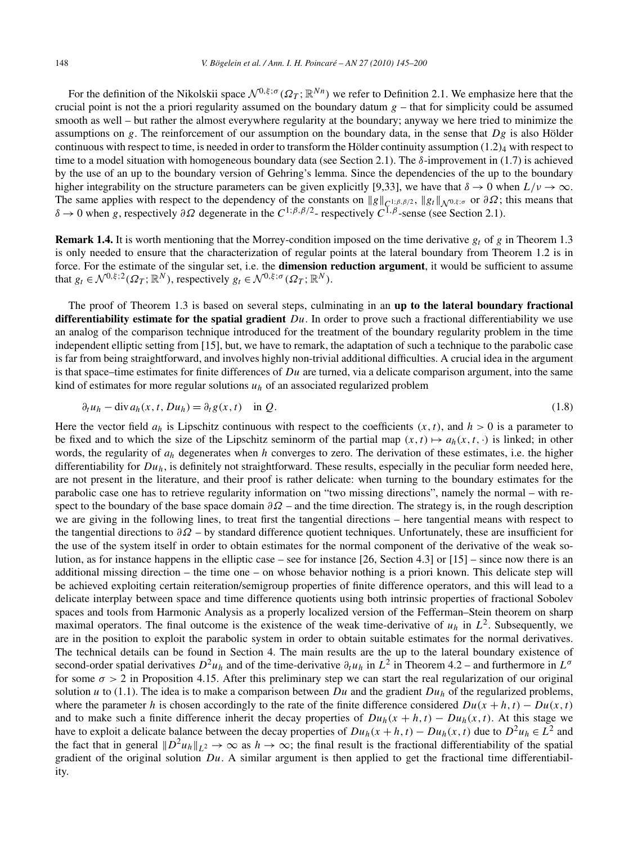For the definition of the Nikolskii space  $\mathcal{N}^{0,\xi,\sigma}(\Omega_T;\mathbb{R}^{Nn})$  we refer to Definition 2.1. We emphasize here that the crucial point is not the a priori regularity assumed on the boundary datum  $g$  – that for simplicity could be assumed smooth as well – but rather the almost everywhere regularity at the boundary; anyway we here tried to minimize the assumptions on *g*. The reinforcement of our assumption on the boundary data, in the sense that *Dg* is also Hölder continuous with respect to time, is needed in order to transform the Hölder continuity assumption  $(1.2)_4$  with respect to time to a model situation with homogeneous boundary data (see Section 2.1). The *δ*-improvement in (1.7) is achieved by the use of an up to the boundary version of Gehring's lemma. Since the dependencies of the up to the boundary higher integrability on the structure parameters can be given explicitly [9,33], we have that  $\delta \to 0$  when  $L/\nu \to \infty$ . The same applies with respect to the dependency of the constants on  $||g||_{C^{1;\beta,\beta/2}}$ ,  $||g_t||_{\mathcal{N}^{0,\xi;\sigma}}$  or  $\partial\Omega$ ; this means that  $\delta \to 0$  when g, respectively  $\partial\Omega$  degenerate in the  $C^{1;\beta,\beta/2}$ -respectively  $C^{1,\beta$ 

**Remark 1.4.** It is worth mentioning that the Morrey-condition imposed on the time derivative  $g_t$  of  $g$  in Theorem 1.3 is only needed to ensure that the characterization of regular points at the lateral boundary from Theorem 1.2 is in force. For the estimate of the singular set, i.e. the **dimension reduction argument**, it would be sufficient to assume that  $g_t \in \mathcal{N}^{0,\xi;2}(\Omega_T;\mathbb{R}^N)$ , respectively  $g_t \in \mathcal{N}^{0,\xi;\sigma}(\Omega_T;\mathbb{R}^N)$ .

The proof of Theorem 1.3 is based on several steps, culminating in an **up to the lateral boundary fractional differentiability estimate for the spatial gradient** *Du*. In order to prove such a fractional differentiability we use an analog of the comparison technique introduced for the treatment of the boundary regularity problem in the time independent elliptic setting from [15], but, we have to remark, the adaptation of such a technique to the parabolic case is far from being straightforward, and involves highly non-trivial additional difficulties. A crucial idea in the argument is that space–time estimates for finite differences of *Du* are turned, via a delicate comparison argument, into the same kind of estimates for more regular solutions *uh* of an associated regularized problem

$$
\partial_t u_h - \operatorname{div} a_h(x, t, Du_h) = \partial_t g(x, t) \quad \text{in } Q. \tag{1.8}
$$

Here the vector field  $a_h$  is Lipschitz continuous with respect to the coefficients  $(x, t)$ , and  $h > 0$  is a parameter to be fixed and to which the size of the Lipschitz seminorm of the partial map  $(x, t) \mapsto a_h(x, t, \cdot)$  is linked; in other words, the regularity of *ah* degenerates when *h* converges to zero. The derivation of these estimates, i.e. the higher differentiability for *Duh*, is definitely not straightforward. These results, especially in the peculiar form needed here, are not present in the literature, and their proof is rather delicate: when turning to the boundary estimates for the parabolic case one has to retrieve regularity information on "two missing directions", namely the normal – with respect to the boundary of the base space domain *∂Ω* – and the time direction. The strategy is, in the rough description we are giving in the following lines, to treat first the tangential directions – here tangential means with respect to the tangential directions to *∂Ω* – by standard difference quotient techniques. Unfortunately, these are insufficient for the use of the system itself in order to obtain estimates for the normal component of the derivative of the weak solution, as for instance happens in the elliptic case – see for instance [26, Section 4.3] or [15] – since now there is an additional missing direction – the time one – on whose behavior nothing is a priori known. This delicate step will be achieved exploiting certain reiteration/semigroup properties of finite difference operators, and this will lead to a delicate interplay between space and time difference quotients using both intrinsic properties of fractional Sobolev spaces and tools from Harmonic Analysis as a properly localized version of the Fefferman–Stein theorem on sharp maximal operators. The final outcome is the existence of the weak time-derivative of  $u_h$  in  $L^2$ . Subsequently, we are in the position to exploit the parabolic system in order to obtain suitable estimates for the normal derivatives. The technical details can be found in Section 4. The main results are the up to the lateral boundary existence of second-order spatial derivatives  $D^2 u_h$  and of the time-derivative  $\partial_t u_h$  in  $L^2$  in Theorem 4.2 – and furthermore in  $L^{\sigma}$ for some  $\sigma > 2$  in Proposition 4.15. After this preliminary step we can start the real regularization of our original solution *u* to (1.1). The idea is to make a comparison between *Du* and the gradient  $Du<sub>h</sub>$  of the regularized problems, where the parameter *h* is chosen accordingly to the rate of the finite difference considered  $Du(x + h, t) - Du(x, t)$ and to make such a finite difference inherit the decay properties of  $Du_h(x+h,t) - Du_h(x,t)$ . At this stage we have to exploit a delicate balance between the decay properties of  $Du_h(x + h, t) - Du_h(x, t)$  due to  $D^2u_h \in L^2$  and the fact that in general  $||D^2u_h||_{L^2} \to \infty$  as  $h \to \infty$ ; the final result is the fractional differentiability of the spatial gradient of the original solution *Du*. A similar argument is then applied to get the fractional time differentiability.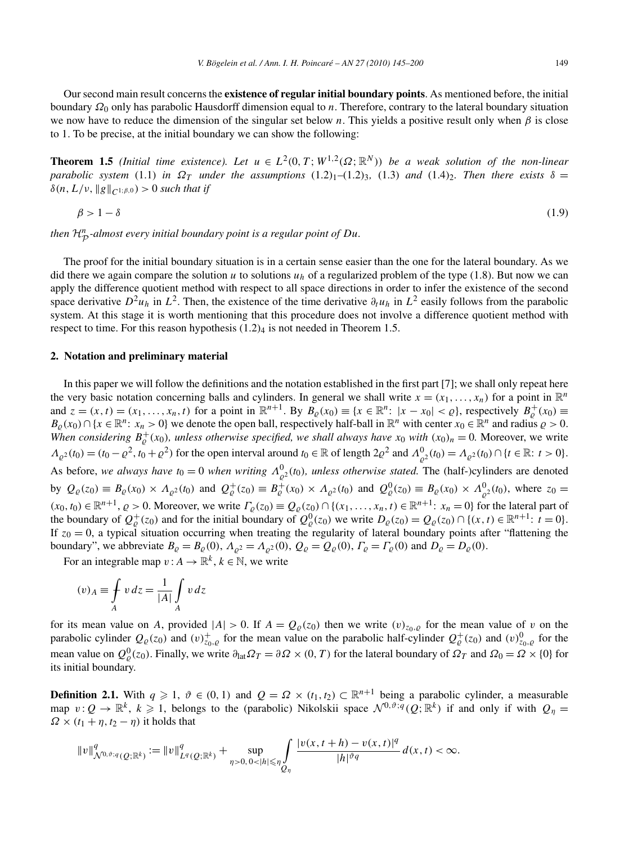Our second main result concerns the **existence of regular initial boundary points**. As mentioned before, the initial boundary *Ω*<sup>0</sup> only has parabolic Hausdorff dimension equal to *n*. Therefore, contrary to the lateral boundary situation we now have to reduce the dimension of the singular set below *n*. This yields a positive result only when  $\beta$  is close to 1. To be precise, at the initial boundary we can show the following:

**Theorem 1.5** *(Initial time existence). Let*  $u \in L^2(0,T;W^{1,2}(\Omega;\mathbb{R}^N))$  *be a weak solution of the non-linear parabolic system* (1.1) *in*  $\Omega_T$  *under the assumptions* (1.2)<sub>1</sub>–(1.2)<sub>3</sub>, (1.3) *and* (1.4)<sub>2</sub>*. Then there exists*  $\delta =$  $\delta(n, L/\nu, \|g\|_{C^{1,\beta,0}}) > 0$  *such that if* 

$$
\beta > 1 - \delta \tag{1.9}
$$

*then* <sup>H</sup>*<sup>n</sup>* <sup>P</sup> *-almost every initial boundary point is a regular point of Du.*

The proof for the initial boundary situation is in a certain sense easier than the one for the lateral boundary. As we did there we again compare the solution *u* to solutions  $u_h$  of a regularized problem of the type (1.8). But now we can apply the difference quotient method with respect to all space directions in order to infer the existence of the second space derivative  $D^2u_h$  in  $L^2$ . Then, the existence of the time derivative  $\partial_t u_h$  in  $L^2$  easily follows from the parabolic system. At this stage it is worth mentioning that this procedure does not involve a difference quotient method with respect to time. For this reason hypothesis  $(1.2)<sub>4</sub>$  is not needed in Theorem 1.5.

## **2. Notation and preliminary material**

In this paper we will follow the definitions and the notation established in the first part [7]; we shall only repeat here the very basic notation concerning balls and cylinders. In general we shall write  $x = (x_1, \ldots, x_n)$  for a point in  $\mathbb{R}^n$ and  $z = (x, t) = (x_1, \ldots, x_n, t)$  for a point in  $\mathbb{R}^{n+1}$ . By  $B_{\varrho}(x_0) \equiv \{x \in \mathbb{R}^n : |x - x_0| < \varrho\}$ , respectively  $B_{\varrho}^+(x_0) \equiv$  $B_{\varrho}(x_0) \cap \{x \in \mathbb{R}^n : x_n > 0\}$  we denote the open ball, respectively half-ball in  $\mathbb{R}^n$  with center  $x_0 \in \mathbb{R}^n$  and radius  $\varrho > 0$ . *When considering*  $B_{\varrho}^{+}(x_0)$ *, unless otherwise specified, we shall always have*  $x_0$  *with*  $(x_0)_n = 0$ *. Moreover, we write*  $\Lambda_{\varrho^2}(t_0) = (t_0 - \varrho^2, t_0 + \varrho^2)$  for the open interval around  $t_0 \in \mathbb{R}$  of length  $2\varrho^2$  and  $\Lambda_{\varrho^2}^0(t_0) = \Lambda_{\varrho^2}(t_0) \cap \{t \in \mathbb{R}: t > 0\}$ . As before, we always have  $t_0 = 0$  when writing  $\Lambda^0_{\rho^2}(t_0)$ , unless otherwise stated. The (half-)cylinders are denoted by  $Q_{\varrho}(z_0) \equiv B_{\varrho}(x_0) \times A_{\varrho^2}(t_0)$  and  $Q_{\varrho}^+(z_0) \equiv B_{\varrho}^+(x_0) \times A_{\varrho^2}(t_0)$  and  $Q_{\varrho}^0(z_0) \equiv B_{\varrho}(x_0) \times A_{\varrho^2}^0(t_0)$ , where  $z_0 =$  $(x_0, t_0) \in \mathbb{R}^{n+1}$ ,  $\rho > 0$ . Moreover, we write  $\Gamma_\rho(z_0) \equiv Q_\rho(z_0) \cap \{(x_1, \ldots, x_n, t) \in \mathbb{R}^{n+1}: x_n = 0\}$  for the lateral part of the boundary of  $Q^+_{\varrho}(z_0)$  and for the initial boundary of  $Q^0_{\varrho}(z_0)$  we write  $D_{\varrho}(z_0) = Q_{\varrho}(z_0) \cap \{(x, t) \in \mathbb{R}^{n+1}: t = 0\}$ . If  $z_0 = 0$ , a typical situation occurring when treating the regularity of lateral boundary points after "flattening the boundary", we abbreviate  $B_{\rho} = B_{\rho}(0)$ ,  $A_{\rho^2} = A_{\rho^2}(0)$ ,  $Q_{\rho} = Q_{\rho}(0)$ ,  $\Gamma_{\rho} = \Gamma_{\rho}(0)$  and  $D_{\rho} = D_{\rho}(0)$ .

For an integrable map  $v: A \to \mathbb{R}^k$ ,  $k \in \mathbb{N}$ , we write

$$
(v)_A \equiv \int_A v \, dz = \frac{1}{|A|} \int_A v \, dz
$$

for its mean value on *A*, provided  $|A| > 0$ . If  $A = Q_{\varrho}(z_0)$  then we write  $(v)_{z_0, \varrho}$  for the mean value of *v* on the parabolic cylinder  $Q_{\varrho}(z_0)$  and  $(v)_{z_0,\varrho}^+$  for the mean value on the parabolic half-cylinder  $Q_{\varrho}^+(z_0)$  and  $(v)_{z_0,\varrho}^0$  for the mean value on  $Q^0_{\varrho}(z_0)$ . Finally, we write  $\partial_{\text{lat}}\Omega_T = \partial\Omega \times (0,T)$  for the lateral boundary of  $\Omega_T$  and  $\Omega_0 = \Omega \times \{0\}$  for its initial boundary.

**Definition 2.1.** With  $q \ge 1$ ,  $\vartheta \in (0, 1)$  and  $Q = \Omega \times (t_1, t_2) \subset \mathbb{R}^{n+1}$  being a parabolic cylinder, a measurable map  $v:Q\to\mathbb{R}^k$ ,  $k\geqslant 1$ , belongs to the (parabolic) Nikolskii space  $\mathcal{N}^{0,\vartheta;q}(Q;\mathbb{R}^k)$  if and only if with  $Q_\eta=$  $\Omega \times (t_1 + \eta, t_2 - \eta)$  it holds that

$$
||v||_{\mathcal{N}^{0,\vartheta;q}(Q;\mathbb{R}^k)}^q := ||v||_{L^q(Q;\mathbb{R}^k)}^q + \sup_{\eta>0, 0<|h|\leqslant \eta} \int\limits_{Q_\eta} \frac{|v(x,t+h)-v(x,t)|^q}{|h|^{\vartheta q}} \, d(x,t) < \infty.
$$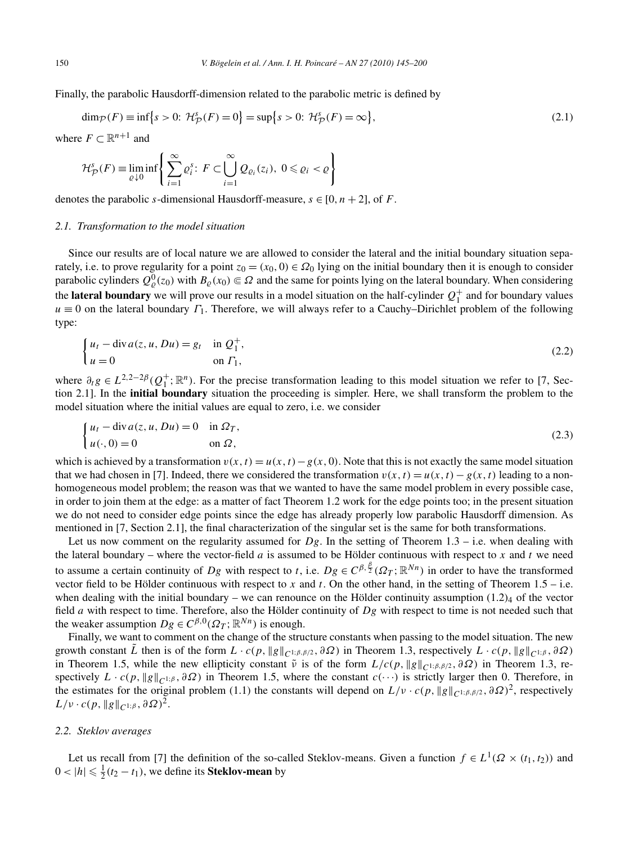Finally, the parabolic Hausdorff-dimension related to the parabolic metric is defined by

$$
\dim_{\mathcal{P}}(F) \equiv \inf \{ s > 0 : \mathcal{H}_{\mathcal{P}}^s(F) = 0 \} = \sup \{ s > 0 : \mathcal{H}_{\mathcal{P}}^s(F) = \infty \},\tag{2.1}
$$

where  $F \subset \mathbb{R}^{n+1}$  and

$$
\mathcal{H}^s_{\mathcal{P}}(F) \equiv \liminf_{\varrho \downarrow 0} \left\{ \sum_{i=1}^{\infty} \varrho_i^s \colon F \subset \bigcup_{i=1}^{\infty} \mathcal{Q}_{\varrho_i}(z_i), \ 0 \leq \varrho_i < \varrho \right\}
$$

denotes the parabolic *s*-dimensional Hausdorff-measure,  $s \in [0, n + 2]$ , of *F*.

#### *2.1. Transformation to the model situation*

Since our results are of local nature we are allowed to consider the lateral and the initial boundary situation separately, i.e. to prove regularity for a point  $z_0 = (x_0, 0) \in \Omega_0$  lying on the initial boundary then it is enough to consider parabolic cylinders  $Q^0_{\varrho}(z_0)$  with  $B_{\varrho}(x_0) \in \Omega$  and the same for points lying on the lateral boundary. When considering the **lateral boundary** we will prove our results in a model situation on the half-cylinder  $Q_1^+$  and for boundary values  $u \equiv 0$  on the lateral boundary  $\Gamma_1$ . Therefore, we will always refer to a Cauchy–Dirichlet problem of the following type:

$$
\begin{cases} u_t - \text{div}\, a(z, u, Du) = g_t & \text{in } Q_1^+, \\ u = 0 & \text{on } \Gamma_1, \end{cases}
$$
 (2.2)

where  $\partial_t g \in L^{2,2-2\beta}(Q_1^+;\mathbb{R}^n)$ . For the precise transformation leading to this model situation we refer to [7, Section 2.1]. In the **initial boundary** situation the proceeding is simpler. Here, we shall transform the problem to the model situation where the initial values are equal to zero, i.e. we consider

$$
\begin{cases}\n u_t - \operatorname{div} a(z, u, Du) = 0 & \text{in } \Omega_T, \\
 u(\cdot, 0) = 0 & \text{on } \Omega,\n\end{cases}
$$
\n(2.3)

which is achieved by a transformation  $v(x, t) = u(x, t) - g(x, 0)$ . Note that this is not exactly the same model situation that we had chosen in [7]. Indeed, there we considered the transformation  $v(x, t) = u(x, t) - g(x, t)$  leading to a nonhomogeneous model problem; the reason was that we wanted to have the same model problem in every possible case, in order to join them at the edge: as a matter of fact Theorem 1.2 work for the edge points too; in the present situation we do not need to consider edge points since the edge has already properly low parabolic Hausdorff dimension. As mentioned in [7, Section 2.1], the final characterization of the singular set is the same for both transformations.

Let us now comment on the regularity assumed for  $Dg$ . In the setting of Theorem 1.3 – i.e. when dealing with the lateral boundary – where the vector-field  $a$  is assumed to be Hölder continuous with respect to  $x$  and  $t$  we need to assume a certain continuity of *Dg* with respect to *t*, i.e.  $Dg \in C^{\beta, \frac{\beta}{2}}(\Omega_T; \mathbb{R}^{Nn})$  in order to have the transformed vector field to be Hölder continuous with respect to  $x$  and  $t$ . On the other hand, in the setting of Theorem 1.5 – i.e. when dealing with the initial boundary – we can renounce on the Hölder continuity assumption  $(1.2)<sub>4</sub>$  of the vector field *a* with respect to time. Therefore, also the Hölder continuity of *Dg* with respect to time is not needed such that the weaker assumption  $Dg \in C^{\beta,0}(\Omega_T; \mathbb{R}^{Nn})$  is enough.

Finally, we want to comment on the change of the structure constants when passing to the model situation. The new growth constant  $\tilde{L}$  then is of the form  $L \cdot c(p, \|g\|_{C^{1/\beta,\beta/2}}, \partial \Omega)$  in Theorem 1.3, respectively  $L \cdot c(p, \|g\|_{C^{1/\beta}}, \partial \Omega)$ in Theorem 1.5, while the new ellipticity constant  $\tilde{\nu}$  is of the form  $L/c(p, \|g\|_{C^{1;\beta,\beta/2}}, \partial \Omega)$  in Theorem 1.3, respectively  $L \cdot c(p, \|g\|_{C^{1,\beta}}, \partial \Omega)$  in Theorem 1.5, where the constant  $c(\cdots)$  is strictly larger then 0. Therefore, in the estimates for the original problem (1.1) the constants will depend on  $L/v \cdot c(p, \|g\|_{C^{1,\beta,\beta/2}}, \partial \Omega)^2$ , respectively  $L/\nu \cdot c(p, ||g||_{C^{1;\beta}}, \partial \Omega)^2$ .

## *2.2. Steklov averages*

Let us recall from [7] the definition of the so-called Steklov-means. Given a function  $f \in L^1(\Omega \times (t_1, t_2))$  and  $0 < |h| \leq \frac{1}{2}(t_2 - t_1)$ , we define its **Steklov-mean** by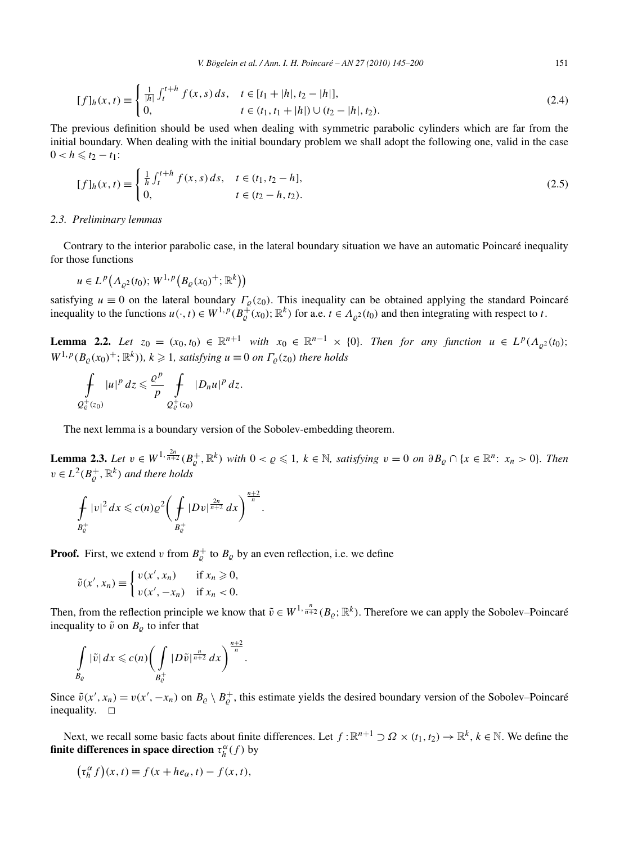$$
[f]_h(x,t) \equiv \begin{cases} \frac{1}{|h|} \int_t^{t+h} f(x,s) \, ds, & t \in [t_1 + |h|, t_2 - |h|],\\ 0, & t \in (t_1, t_1 + |h|) \cup (t_2 - |h|, t_2). \end{cases} \tag{2.4}
$$

The previous definition should be used when dealing with symmetric parabolic cylinders which are far from the initial boundary. When dealing with the initial boundary problem we shall adopt the following one, valid in the case  $0 < h \leq t_2 - t_1$ :

$$
[f]_h(x,t) \equiv \begin{cases} \frac{1}{h} \int_t^{t+h} f(x,s) \, ds, & t \in (t_1, t_2 - h], \\ 0, & t \in (t_2 - h, t_2). \end{cases} \tag{2.5}
$$

#### *2.3. Preliminary lemmas*

Contrary to the interior parabolic case, in the lateral boundary situation we have an automatic Poincaré inequality for those functions

$$
u \in L^p(A_{\varrho^2}(t_0); W^{1,p}(B_{\varrho}(x_0)^+; \mathbb{R}^k))
$$

satisfying  $u \equiv 0$  on the lateral boundary  $\Gamma_{\varrho}(z_0)$ . This inequality can be obtained applying the standard Poincaré inequality to the functions  $u(\cdot, t) \in W^{1,p}(B_{\varrho}^+(x_0); \mathbb{R}^k)$  for a.e.  $t \in A_{\varrho^2}(t_0)$  and then integrating with respect to *t*.

**Lemma 2.2.** *Let*  $z_0 = (x_0, t_0) \in \mathbb{R}^{n+1}$  *with*  $x_0 \in \mathbb{R}^{n-1} \times \{0\}$ *. Then for any function*  $u \in L^p(\Lambda_{\rho^2}(t_0))$ ;  $W^{1,p}(B_{\varrho}(x_0)^+; \mathbb{R}^k)$ ,  $k \geq 1$ , satisfying  $u \equiv 0$  on  $\Gamma_{\varrho}(z_0)$  there holds

$$
\int\limits_{Q^+_c(z_0)}|u|^p\,dz\leqslant\frac{\varrho^p}{p}\int\limits_{Q^+_c(z_0)}|D_n u|^p\,dz.
$$

The next lemma is a boundary version of the Sobolev-embedding theorem.

**Lemma 2.3.** Let  $v \in W^{1, \frac{2n}{n+2}}(B_{\varrho}^+, \mathbb{R}^k)$  with  $0 < \varrho \leq 1$ ,  $k \in \mathbb{N}$ , satisfying  $v = 0$  on  $\partial B_{\varrho} \cap \{x \in \mathbb{R}^n : x_n > 0\}$ . Then  $v \in L^2(B_{\varrho}^+, \mathbb{R}^k)$  *and there holds* 

$$
\int_{B_{\mathcal{C}}^+} |v|^2 dx \leqslant c(n) \varrho^2 \bigg( \int_{B_{\mathcal{C}}^+} |Dv|^{\frac{2n}{n+2}} dx \bigg)^{\frac{n+2}{n}}.
$$

**Proof.** First, we extend *v* from  $B_{\varrho}^+$  to  $B_{\varrho}$  by an even reflection, i.e. we define

$$
\tilde{v}(x', x_n) \equiv \begin{cases} v(x', x_n) & \text{if } x_n \geq 0, \\ v(x', -x_n) & \text{if } x_n < 0. \end{cases}
$$

Then, from the reflection principle we know that  $\tilde{v} \in W^{1, \frac{n}{n+2}}(B_{\varrho}; \mathbb{R}^k)$ . Therefore we can apply the Sobolev–Poincaré inequality to  $\tilde{v}$  on  $B_{\rho}$  to infer that

$$
\int\limits_{B_{\varrho}}|\tilde{v}|dx\leqslant c(n)\bigg(\int\limits_{B_{\varrho}^+}|D\tilde{v}|^{\frac{n}{n+2}}dx\bigg)^{\frac{n+2}{n}}.
$$

Since  $\tilde{v}(x', x_n) = v(x', -x_n)$  on  $B_{\varrho} \setminus B_{\varrho}^+$ , this estimate yields the desired boundary version of the Sobolev–Poincaré inequality.  $\square$ 

Next, we recall some basic facts about finite differences. Let  $f : \mathbb{R}^{n+1} \supset \Omega \times (t_1, t_2) \to \mathbb{R}^k$ ,  $k \in \mathbb{N}$ . We define the **finite differences in space direction**  $\tau_h^{\alpha}(f)$  by

$$
\left(\tau_h^{\alpha} f\right)(x,t) \equiv f(x + h e_{\alpha}, t) - f(x,t),
$$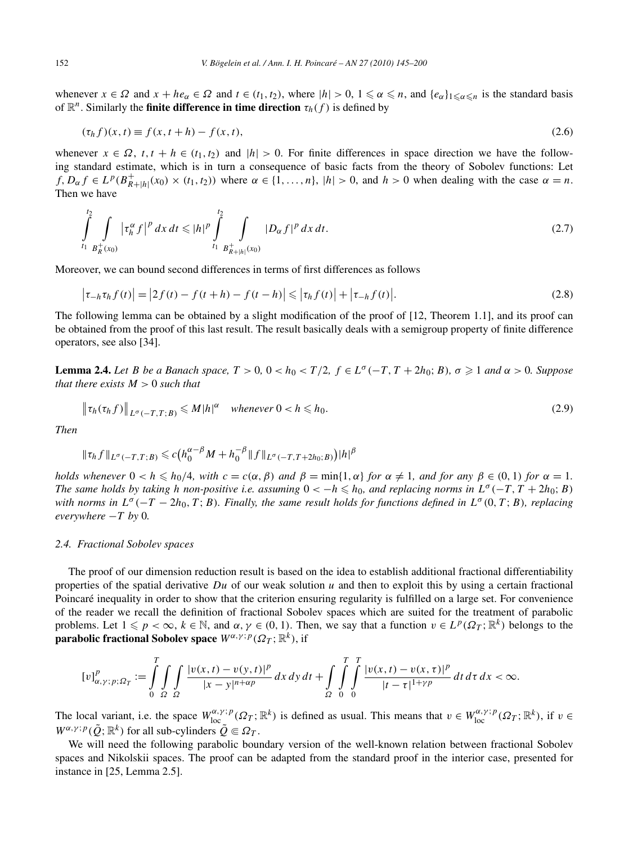whenever  $x \in \Omega$  and  $x + he_\alpha \in \Omega$  and  $t \in (t_1, t_2)$ , where  $|h| > 0$ ,  $1 \le \alpha \le n$ , and  $\{e_\alpha\}_{1 \le \alpha \le n}$  is the standard basis of  $\mathbb{R}^n$ . Similarly the **finite difference in time direction**  $\tau_h(f)$  is defined by

$$
(\tau_h f)(x, t) \equiv f(x, t + h) - f(x, t), \tag{2.6}
$$

whenever  $x \in \Omega$ ,  $t, t + h \in (t_1, t_2)$  and  $|h| > 0$ . For finite differences in space direction we have the following standard estimate, which is in turn a consequence of basic facts from the theory of Sobolev functions: Let  $f, D_{\alpha} f \in L^p(B_{R+|h|}^+(x_0) \times (t_1, t_2))$  where  $\alpha \in \{1, \dots, n\}$ ,  $|h| > 0$ , and  $h > 0$  when dealing with the case  $\alpha = n$ . Then we have

$$
\int_{t_1}^{t_2} \int_{B_R^+(x_0)} |\tau_h^{\alpha} f|^p \, dx \, dt \le |h|^p \int_{t_1}^{t_2} \int_{B_{R+|h|}^+(x_0)} |D_{\alpha} f|^p \, dx \, dt. \tag{2.7}
$$

Moreover, we can bound second differences in terms of first differences as follows

$$
\left|\tau_{-h}\tau_h f(t)\right| = \left|2f(t) - f(t+h) - f(t-h)\right| \leq \left|\tau_h f(t)\right| + \left|\tau_{-h} f(t)\right|.
$$
\n(2.8)

The following lemma can be obtained by a slight modification of the proof of [12, Theorem 1.1], and its proof can be obtained from the proof of this last result. The result basically deals with a semigroup property of finite difference operators, see also [34].

**Lemma 2.4.** Let B be a Banach space,  $T > 0$ ,  $0 < h_0 < T/2$ ,  $f \in L^{\sigma}(-T, T + 2h_0; B)$ ,  $\sigma \geq 1$  and  $\alpha > 0$ . Suppose *that there exists M >* 0 *such that*

$$
\|\tau_h(\tau_h f)\|_{L^{\sigma}(-T,T;B)} \leq M|h|^{\alpha} \quad \text{whenever } 0 < h \leq h_0. \tag{2.9}
$$

*Then*

$$
\|\tau_h f\|_{L^{\sigma}(-T,T;B)} \leq c \big( h_0^{\alpha-\beta} M + h_0^{-\beta} \|f\|_{L^{\sigma}(-T,T+2h_0;B)} \big) |h|^{\beta}
$$

holds whenever  $0 < h \le h_0/4$ , with  $c = c(\alpha, \beta)$  and  $\beta = \min\{1, \alpha\}$  for  $\alpha \ne 1$ , and for any  $\beta \in (0, 1)$  for  $\alpha = 1$ . *The same holds by taking h non-positive i.e. assuming*  $0 < -h \leq h_0$ , and replacing norms in  $L^{\sigma}(-T, T + 2h_0; B)$ *with norms in*  $L^{\sigma}(-T - 2h_0, T; B)$ *. Finally, the same result holds for functions defined in*  $L^{\sigma}(0, T; B)$ *, replacing*  $everywhere -T by 0.$ 

#### *2.4. Fractional Sobolev spaces*

The proof of our dimension reduction result is based on the idea to establish additional fractional differentiability properties of the spatial derivative *Du* of our weak solution *u* and then to exploit this by using a certain fractional Poincaré inequality in order to show that the criterion ensuring regularity is fulfilled on a large set. For convenience of the reader we recall the definition of fractional Sobolev spaces which are suited for the treatment of parabolic problems. Let  $1 \leq p < \infty$ ,  $k \in \mathbb{N}$ , and  $\alpha, \gamma \in (0, 1)$ . Then, we say that a function  $v \in L^p(\Omega_T; \mathbb{R}^k)$  belongs to the **parabolic fractional Sobolev space**  $W^{\alpha,\gamma}$ ; *p*( $\Omega$ <sub>*T*</sub>;  $\mathbb{R}^k$ ), if

$$
[v]_{\alpha,\gamma;p;\Omega_T}^p := \int\limits_0^T \int\limits_{\Omega} \int\limits_{\Omega} \frac{|v(x,t) - v(y,t)|^p}{|x - y|^{n + \alpha p}} \, dx \, dy \, dt + \int\limits_{\Omega} \int\limits_0^T \int\limits_0^T \frac{|v(x,t) - v(x,\tau)|^p}{|t - \tau|^{1 + \gamma p}} \, dt \, d\tau \, dx < \infty.
$$

The local variant, i.e. the space  $W_{\text{loc}}^{\alpha,\gamma;p}(\Omega_T;\mathbb{R}^k)$  is defined as usual. This means that  $v \in W_{\text{loc}}^{\alpha,\gamma;p}(\Omega_T;\mathbb{R}^k)$ , if  $v \in$  $W^{\alpha,\gamma,p}(\tilde{Q};\mathbb{R}^k)$  for all sub-cylinders  $\tilde{Q} \in \Omega_T$ .

We will need the following parabolic boundary version of the well-known relation between fractional Sobolev spaces and Nikolskii spaces. The proof can be adapted from the standard proof in the interior case, presented for instance in [25, Lemma 2.5].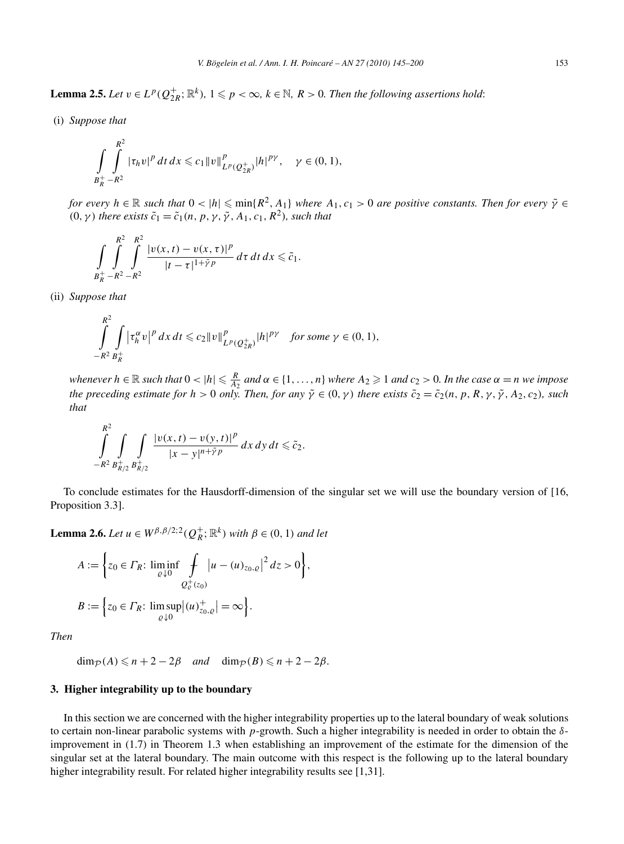**Lemma 2.5.** *Let*  $v \in L^p(Q_{2R}^+;\mathbb{R}^k)$ ,  $1 \leq p < \infty$ ,  $k \in \mathbb{N}$ ,  $R > 0$ . Then the following assertions hold:

(i) *Suppose that*

$$
\int_{B_R^+} \int_{-R^2}^{R^2} |\tau_h v|^p \, dt \, dx \leqslant c_1 \|v\|_{L^p(Q_{2R}^+)}^p |h|^{p\gamma}, \quad \gamma \in (0,1),
$$

*for every*  $h \in \mathbb{R}$  *such that*  $0 < |h| \leqslant \min\{R^2, A_1\}$  *where*  $A_1, c_1 > 0$  *are positive constants. Then for every*  $\tilde{\gamma} \in$  $(0, \gamma)$  *there exists*  $\tilde{c}_1 = \tilde{c}_1(n, p, \gamma, \tilde{\gamma}, A_1, c_1, R^2)$ *, such that* 

$$
\int\limits_{B_R^+}\int\limits_{-R^2}^{R^2}\int\limits_{-R^2}^{R^2}\frac{|v(x,t)-v(x,\tau)|^p}{|t-\tau|^{1+\tilde{\gamma}p}}d\tau\,dt\,dx\leq \tilde{c}_1.
$$

(ii) *Suppose that*

$$
\int_{-R^2}^{R^2} \int_{B_R^+} \left| \tau_h^{\alpha} v \right|^p dx \, dt \leq c_2 \|v\|_{L^p(Q_{2R}^+)}^p |h|^{p\gamma} \quad \text{for some } \gamma \in (0,1),
$$

whenever  $h \in \mathbb{R}$  such that  $0 < |h| \leq \frac{R}{A_2}$  and  $\alpha \in \{1, ..., n\}$  where  $A_2 \geq 1$  and  $c_2 > 0$ . In the case  $\alpha = n$  we impose *the preceding estimate for*  $h > 0$  *only. Then, for any*  $\tilde{\gamma} \in (0, \gamma)$  *there exists*  $\tilde{c}_2 = \tilde{c}_2(n, p, R, \gamma, \tilde{\gamma}, A_2, c_2)$ *, such that*

$$
\int_{-R^2}^{R^2} \int_{B_{R/2}^+} \int_{B_{R/2}^+} \frac{|v(x,t) - v(y,t)|^p}{|x - y|^{n + \tilde{\gamma} p}} dx dy dt \leq \tilde{c}_2.
$$

To conclude estimates for the Hausdorff-dimension of the singular set we will use the boundary version of [16, Proposition 3.3].

**Lemma 2.6.** *Let*  $u \in W^{\beta,\beta/2,2}(Q_R^+; \mathbb{R}^k)$  *with*  $\beta \in (0,1)$  *and let* 

$$
A := \left\{ z_0 \in \Gamma_R : \liminf_{\varrho \downarrow 0} \int_{\mathcal{Q}_{\varrho}^+(z_0)} |u - (u)_{z_0, \varrho}|^2 \, dz > 0 \right\},
$$
  

$$
B := \left\{ z_0 \in \Gamma_R : \limsup_{\varrho \downarrow 0} |(u)_{z_0, \varrho}^+| = \infty \right\}.
$$

*Then*

 $\dim_{\mathcal{P}}(A) \leq n+2-2\beta$  *and*  $\dim_{\mathcal{P}}(B) \leq n+2-2\beta$ .

# **3. Higher integrability up to the boundary**

In this section we are concerned with the higher integrability properties up to the lateral boundary of weak solutions to certain non-linear parabolic systems with *p*-growth. Such a higher integrability is needed in order to obtain the *δ*improvement in (1.7) in Theorem 1.3 when establishing an improvement of the estimate for the dimension of the singular set at the lateral boundary. The main outcome with this respect is the following up to the lateral boundary higher integrability result. For related higher integrability results see [1,31].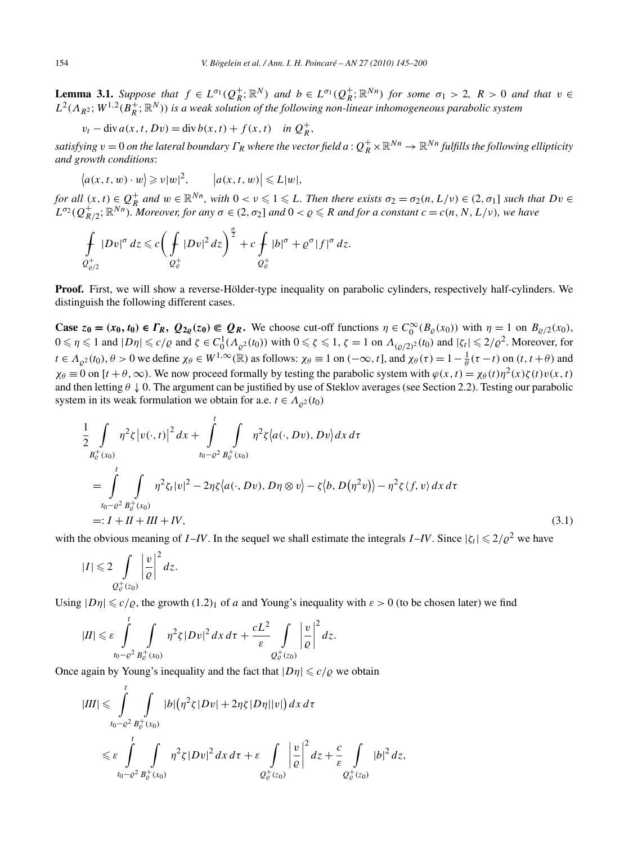**Lemma 3.1.** Suppose that  $f \in L^{\sigma_1}(Q_R^+;\mathbb{R}^N)$  and  $b \in L^{\sigma_1}(Q_R^+;\mathbb{R}^{Nn})$  for some  $\sigma_1 > 2$ ,  $R > 0$  and that  $v \in$  $L^2(\Lambda_{R^2};W^{1,2}(B_R^+;\mathbb{R}^N))$  *is a weak solution of the following non-linear inhomogeneous parabolic system* 

$$
v_t - \operatorname{div} a(x, t, Dv) = \operatorname{div} b(x, t) + f(x, t) \quad \text{in } Q_R^+,
$$

 $satisfying$   $v=0$  *on the lateral boundary*  $\Gamma_R$  *where the vector field*  $a$  *:*  $Q_R^+\times\mathbb R^{Nn}\to\mathbb R^{Nn}$  *fulfills the following ellipticity and growth conditions*:

$$
\langle a(x, t, w) \cdot w \rangle \geqslant v|w|^2, \qquad |a(x, t, w)| \leqslant L|w|,
$$

for all  $(x, t) \in Q_R^+$  and  $w \in \mathbb{R}^{Nn}$ , with  $0 < v \leqslant 1 \leqslant L$ . Then there exists  $\sigma_2 = \sigma_2(n, L/v) \in (2, \sigma_1]$  such that  $Dv \in$  $L^{\sigma_2}(Q_{R/2}^+; \mathbb{R}^{Nn})$ *. Moreover, for any*  $\sigma \in (2, \sigma_2]$  *and*  $0 < \varrho \le R$  *and for a constant*  $c = c(n, N, L/\nu)$ *, we have* 

$$
\int_{\mathcal{Q}^+_{\varrho/2}} |Dv|^{\sigma} dz \leq c \bigg( \int_{\mathcal{Q}^+_{\varrho}} |Dv|^2 dz \bigg)^{\frac{\sigma}{2}} + c \int_{\mathcal{Q}^+_{\varrho}} |b|^{\sigma} + \varrho^{\sigma} |f|^{\sigma} dz.
$$

**Proof.** First, we will show a reverse-Hölder-type inequality on parabolic cylinders, respectively half-cylinders. We distinguish the following different cases.

**Case**  $z_0 = (x_0, t_0) \in \Gamma_R$ ,  $Q_{2\varrho}(z_0) \subseteq Q_R$ . We choose cut-off functions  $\eta \in C_0^{\infty}(B_{\varrho}(x_0))$  with  $\eta = 1$  on  $B_{\varrho/2}(x_0)$ ,  $0 \le \eta \le 1$  and  $|D\eta| \le c/\varrho$  and  $\zeta \in C_0^1(\Lambda_{\varrho^2}(t_0))$  with  $0 \le \zeta \le 1$ ,  $\zeta = 1$  on  $\Lambda_{(\varrho/2)^2}(t_0)$  and  $|\zeta_t| \le 2/\varrho^2$ . Moreover, for  $t \in A_{\varrho^2}(t_0), \theta > 0$  we define  $\chi_{\theta} \in W^{1,\infty}(\mathbb{R})$  as follows:  $\chi_{\theta} \equiv 1$  on  $(-\infty, t]$ , and  $\chi_{\theta}(\tau) = 1 - \frac{1}{\theta}(\tau - t)$  on  $(t, t + \theta)$  and  $\chi_{\theta} \equiv 0$  on  $[t + \theta, \infty)$ . We now proceed formally by testing the parabolic system with  $\varphi(x, t) = \chi_{\theta}(t) \eta^2(x) \zeta(t) v(x, t)$ and then letting  $\theta \downarrow 0$ . The argument can be justified by use of Steklov averages (see Section 2.2). Testing our parabolic system in its weak formulation we obtain for a.e.  $t \in A_{\rho^2}(t_0)$ 

$$
\frac{1}{2} \int_{B_{\xi}^{+}(x_{0})} \eta^{2} \zeta |v(\cdot,t)|^{2} dx + \int_{t_{0}-\varrho^{2}}^{t} \int_{B_{\xi}^{+}(x_{0})} \eta^{2} \zeta |a(\cdot,Dv),Dv\rangle dx d\tau
$$
\n
$$
= \int_{t_{0}-\varrho^{2}}^{t} \int_{B_{\xi}^{+}(x_{0})} \eta^{2} \zeta_{t}|v|^{2} - 2\eta \zeta |a(\cdot,Dv),D\eta \otimes v\rangle - \zeta \langle b,D(\eta^{2}v)\rangle - \eta^{2} \zeta \langle f,v\rangle dx d\tau
$$
\n
$$
=: I + II + III + IV,
$$
\n(3.1)

with the obvious meaning of *I*-*IV*. In the sequel we shall estimate the integrals *I*-*IV*. Since  $|\zeta_t| \leq 2/\rho^2$  we have

$$
|I| \leq 2 \int\limits_{Q_{\mathcal{C}}^+(z_0)} \left|\frac{v}{\varrho}\right|^2 dz.
$$

Using  $|D\eta| \leq c/\varrho$ , the growth  $(1.2)$ <sub>1</sub> of *a* and Young's inequality with  $\varepsilon > 0$  (to be chosen later) we find

$$
|II| \leq \varepsilon \int_{t_0-\varrho^2}^t \int_{B_\varrho^+(x_0)} \eta^2 \zeta |Dv|^2 dx d\tau + \frac{cL^2}{\varepsilon} \int_{Q_\varrho^+(x_0)} \left|\frac{v}{\varrho}\right|^2 dz.
$$

Once again by Young's inequality and the fact that  $|D\eta| \le c/\varrho$  we obtain

$$
|III| \leq \int_{t_0-\varrho^2}^t \int_{B_{\varrho}^+(x_0)} |b| \left(\eta^2 \zeta |Dv| + 2\eta \zeta |D\eta||v|\right) dx \, d\tau
$$
  

$$
\leq \varepsilon \int_{t_0-\varrho^2}^t \int_{B_{\varrho}^+(x_0)} \eta^2 \zeta |Dv|^2 \, dx \, d\tau + \varepsilon \int_{Q_{\varrho}^+(x_0)} \left|\frac{v}{\varrho}\right|^2 dz + \frac{c}{\varepsilon} \int_{Q_{\varrho}^+(x_0)} |b|^2 \, dz,
$$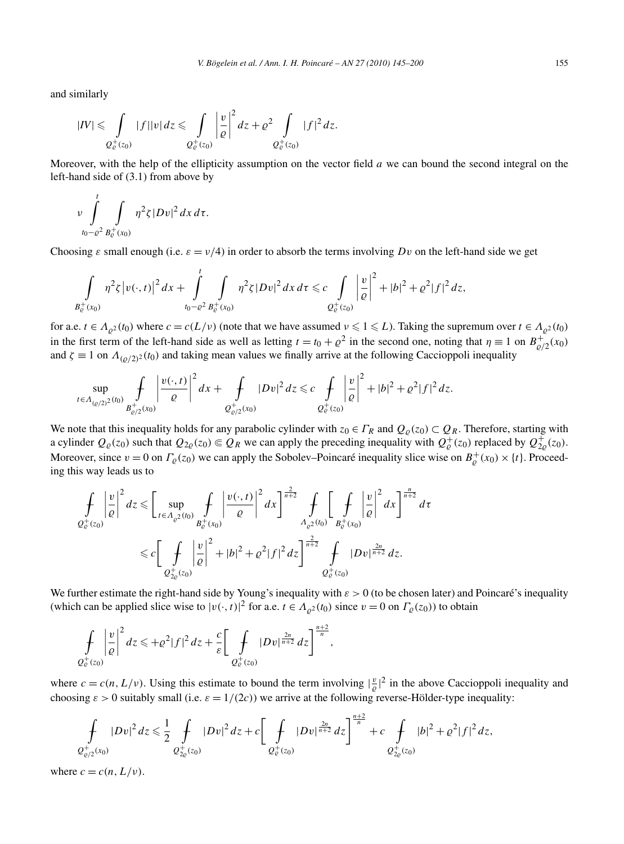and similarly

$$
|IV| \leq \int\limits_{Q^+_c(z_0)} |f||v| dz \leq \int\limits_{Q^+_c(z_0)} \left|\frac{v}{\varrho}\right|^2 dz + \varrho^2 \int\limits_{Q^+_c(z_0)} |f|^2 dz.
$$

Moreover, with the help of the ellipticity assumption on the vector field *a* we can bound the second integral on the left-hand side of (3.1) from above by

$$
\nu \int_{t_0-\varrho^2}^t \int_{B_{\varrho}^+(x_0)} \eta^2 \zeta |Dv|^2 dx d\tau.
$$

Choosing  $\varepsilon$  small enough (i.e.  $\varepsilon = v/4$ ) in order to absorb the terms involving *Dv* on the left-hand side we get

$$
\int\limits_{B_{\varrho}^+(x_0)}\eta^2\zeta \left|v(\cdot,t)\right|^2 dx + \int\limits_{t_0-\varrho^2}^t\int\limits_{B_{\varrho}^+(x_0)}\eta^2\zeta |Dv|^2\,dx\,d\tau \leqslant c\int\limits_{Q_{\varrho}^+(z_0)}\left|\frac{v}{\varrho}\right|^2 + |b|^2 + \varrho^2 |f|^2\,dz,
$$

for a.e.  $t \in A_{\rho^2}(t_0)$  where  $c = c(L/v)$  (note that we have assumed  $v \leq 1 \leq L$ ). Taking the supremum over  $t \in A_{\rho^2}(t_0)$ in the first term of the left-hand side as well as letting  $t = t_0 + \rho^2$  in the second one, noting that  $\eta \equiv 1$  on  $B_{\rho/2}^+(x_0)$ and  $\zeta \equiv 1$  on  $\Lambda_{(Q/2)^2}(t_0)$  and taking mean values we finally arrive at the following Caccioppoli inequality

$$
\sup_{t\in\Lambda_{(Q/2)^2}(t_0)}\int\limits_{B_{\varrho/2}^+(x_0)}\left|\frac{v(\cdot,t)}{\varrho}\right|^2dx+\int\limits_{Q_{\varrho/2}^+(x_0)}|Dv|^2\,dz\leqslant c\int\limits_{Q_{\varrho}^+(z_0)}\left|\frac{v}{\varrho}\right|^2+|b|^2+\varrho^2|f|^2\,dz.
$$

We note that this inequality holds for any parabolic cylinder with  $z_0 \in \Gamma_R$  and  $Q_\rho(z_0) \subset Q_R$ . Therefore, starting with a cylinder  $Q_{\varrho}(z_0)$  such that  $Q_{2\varrho}(z_0) \in Q_R$  we can apply the preceding inequality with  $Q_{\varrho}^+(z_0)$  replaced by  $Q_{2\varrho}^+(z_0)$ . Moreover, since  $v = 0$  on  $\Gamma_{\varrho}(z_0)$  we can apply the Sobolev–Poincaré inequality slice wise on  $B_{\varrho}^+(x_0) \times \{t\}$ . Proceeding this way leads us to

$$
\int_{Q_{\varrho}^{+}(z_{0})} \left| \frac{v}{\varrho} \right|^{2} dz \leq \left[ \sup_{t \in \Lambda_{\varrho^{2}}(t_{0})} \int_{B_{\varrho}^{+}(x_{0})} \left| \frac{v(\cdot,t)}{\varrho} \right|^{2} dx \right]^{\frac{2}{n+2}} \int_{\Lambda_{\varrho^{2}}(t_{0})} \left[ \int_{B_{\varrho}^{+}(x_{0})} \left| \frac{v}{\varrho} \right|^{2} dx \right]^{\frac{n}{n+2}} d\tau
$$
  

$$
\leq c \left[ \int_{Q_{2\varrho}^{+}(z_{0})} \left| \frac{v}{\varrho} \right|^{2} + |b|^{2} + \varrho^{2} |f|^{2} dz \right]^{\frac{2}{n+2}} \int_{Q_{\varrho}^{+}(z_{0})} |Dv|^{\frac{2n}{n+2}} dz.
$$

We further estimate the right-hand side by Young's inequality with *ε >* 0 (to be chosen later) and Poincaré's inequality (which can be applied slice wise to  $|v(\cdot,t)|^2$  for a.e.  $t \in \Lambda_{\varrho^2}(t_0)$  since  $v = 0$  on  $\Gamma_{\varrho}(z_0)$ ) to obtain

$$
\int\limits_{Q^+_c(z_0)}\left|\frac{v}{\varrho}\right|^2dz\leqslant+\varrho^2|f|^2\,dz+\frac{c}{\varepsilon}\bigg[\int\limits_{Q^+_c(z_0)}|Dv|^{\frac{2n}{n+2}}\,dz\bigg]^{\frac{n+2}{n}},
$$

where  $c = c(n, L/\nu)$ . Using this estimate to bound the term involving  $|\frac{v}{\varrho}|^2$  in the above Caccioppoli inequality and choosing  $\varepsilon > 0$  suitably small (i.e.  $\varepsilon = 1/(2c)$ ) we arrive at the following reverse-Hölder-type inequality:

$$
\oint_{\mathcal{Q}^+_{\varrho/2}(x_0)} |Dv|^2\,dz \leq \frac{1}{2}\oint_{\mathcal{Q}^+_{\varrho}(z_0)} |Dv|^2\,dz + c\bigg[\oint_{\mathcal{Q}^+_{\varrho}(z_0)} |Dv|^{\frac{2n}{n+2}}\,dz\bigg]^{\frac{n+2}{n}} + c\oint_{\mathcal{Q}^+_{\varrho}(z_0)} |b|^2 + \varrho^2|f|^2\,dz,
$$

where  $c = c(n, L/\nu)$ .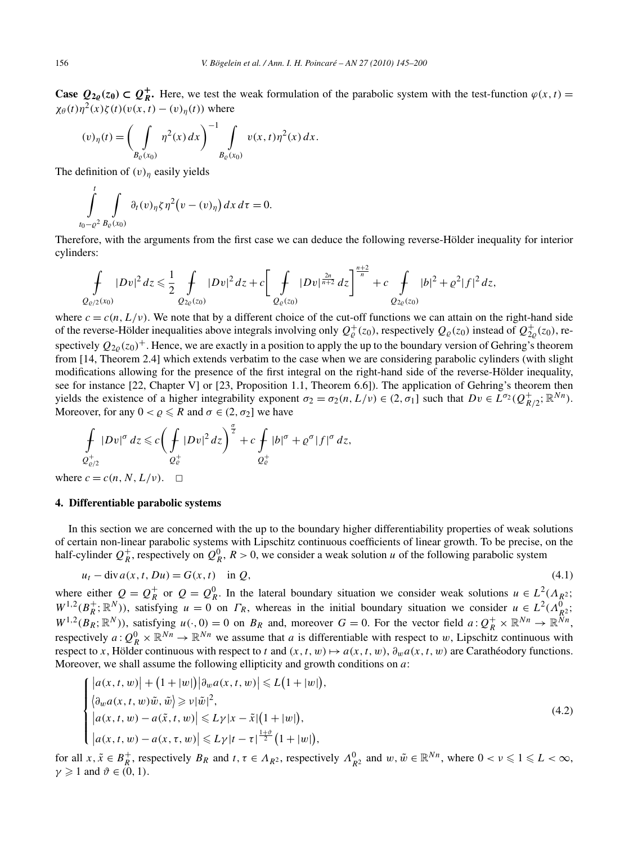**Case**  $Q_{2\varrho}(z_0) \subset Q_R^+$ . Here, we test the weak formulation of the parabolic system with the test-function  $\varphi(x, t) =$ *χ* $_{θ}(t)η<sup>2</sup>(x)ζ(t)(v(x, t) – (v)η(t))$  where

$$
(v)_{\eta}(t) = \left(\int\limits_{B_{\varrho}(x_0)} \eta^2(x) \, dx\right)^{-1} \int\limits_{B_{\varrho}(x_0)} v(x,t) \eta^2(x) \, dx.
$$

The definition of  $(v)$ <sub>*η*</sub> easily yields

$$
\int_{t_0-\varrho^2}^t \int_{B_\varrho(x_0)} \partial_t(v)_\eta \zeta \eta^2 \big( v - (v)_\eta \big) dx \, d\tau = 0.
$$

Therefore, with the arguments from the first case we can deduce the following reverse-Hölder inequality for interior cylinders:

$$
\int_{Q_{\varrho/(2}(x_0)} |Dv|^2 dz \leq \frac{1}{2} \int_{Q_{2\varrho}(z_0)} |Dv|^2 dz + c \bigg[ \int_{Q_{\varrho}(z_0)} |Dv|^{\frac{2n}{n+2}} dz \bigg]^{\frac{n+2}{n}} + c \int_{Q_{2\varrho}(z_0)} |b|^2 + \varrho^2 |f|^2 dz,
$$

where  $c = c(n, L/\nu)$ . We note that by a different choice of the cut-off functions we can attain on the right-hand side of the reverse-Hölder inequalities above integrals involving only  $Q^+_{\varrho}(z_0)$ , respectively  $Q_{\varrho}(z_0)$  instead of  $Q^+_{2\varrho}(z_0)$ , respectively  $Q_{2\rho}(z_0)^+$ . Hence, we are exactly in a position to apply the up to the boundary version of Gehring's theorem from [14, Theorem 2.4] which extends verbatim to the case when we are considering parabolic cylinders (with slight modifications allowing for the presence of the first integral on the right-hand side of the reverse-Hölder inequality, see for instance [22, Chapter V] or [23, Proposition 1.1, Theorem 6.6]). The application of Gehring's theorem then yields the existence of a higher integrability exponent  $\sigma_2 = \sigma_2(n, L/\nu) \in (2, \sigma_1]$  such that  $D\nu \in L^{\sigma_2}(Q_{R/2}^+; \mathbb{R}^{Nn})$ . Moreover, for any  $0 < \rho \le R$  and  $\sigma \in (2, \sigma_2]$  we have

$$
\int_{\mathcal{Q}^+_{\varrho/2}} |Dv|^{\sigma} dz \leq c \bigg( \int_{\mathcal{Q}^+_{\varrho}} |Dv|^2 dz \bigg)^{\frac{\sigma}{2}} + c \int_{\mathcal{Q}^+_{\varrho}} |b|^{\sigma} + \varrho^{\sigma} |f|^{\sigma} dz,
$$

where  $c = c(n, N, L/\nu)$ .  $\Box$ 

# **4. Differentiable parabolic systems**

In this section we are concerned with the up to the boundary higher differentiability properties of weak solutions of certain non-linear parabolic systems with Lipschitz continuous coefficients of linear growth. To be precise, on the half-cylinder  $Q_R^+$ , respectively on  $Q_R^0$ ,  $R > 0$ , we consider a weak solution *u* of the following parabolic system

$$
u_t - \operatorname{div} a(x, t, Du) = G(x, t) \quad \text{in } Q,
$$
\n
$$
(4.1)
$$

where either  $Q = Q_R^+$  or  $Q = Q_R^0$ . In the lateral boundary situation we consider weak solutions  $u \in L^2(A_R^2)$ ;  $W^{1,2}(B_R^+;\mathbb{R}^N)$ , satisfying  $u = 0$  on  $\Gamma_R$ , whereas in the initial boundary situation we consider  $u \in L^2(A_R^0; \mathbb{R}^N)$  $W^{1,2}(B_R; \mathbb{R}^N)$ , satisfying  $u(\cdot, 0) = 0$  on  $B_R$  and, moreover  $G = 0$ . For the vector field  $a: Q_R^+ \times \mathbb{R}^{N_n} \to \mathbb{R}^{N_n}$ , respectively  $a: Q_R^0 \times \mathbb{R}^{Nn} \to \mathbb{R}^{Nn}$  we assume that *a* is differentiable with respect to *w*, Lipschitz continuous with respect to *x*, Hölder continuous with respect to *t* and  $(x, t, w) \mapsto a(x, t, w)$ ,  $\partial_w a(x, t, w)$  are Carathéodory functions. Moreover, we shall assume the following ellipticity and growth conditions on *a*:

$$
\begin{cases} \left| a(x,t,w) \right| + (1+|w|) \left| \partial_w a(x,t,w) \right| \le L(1+|w|), \\ \left\langle \partial_w a(x,t,w) \tilde{w}, \tilde{w} \right\rangle \ge \nu |\tilde{w}|^2, \\ \left| a(x,t,w) - a(\tilde{x},t,w) \right| \le L\gamma |x - \tilde{x}| (1+|w|), \\ \left| a(x,t,w) - a(x,\tau,w) \right| \le L\gamma |t-\tau|^{\frac{1+\vartheta}{2}} (1+|w|), \end{cases} \tag{4.2}
$$

for all  $x, \tilde{x} \in B_R^+$ , respectively  $B_R$  and  $t, \tau \in A_{R^2}$ , respectively  $A_{R^2}^0$  and  $w, \tilde{w} \in \mathbb{R}^{Nn}$ , where  $0 < v \leq 1 \leq L < \infty$ ,  $\gamma \geqslant 1$  and  $\vartheta \in (0, 1)$ .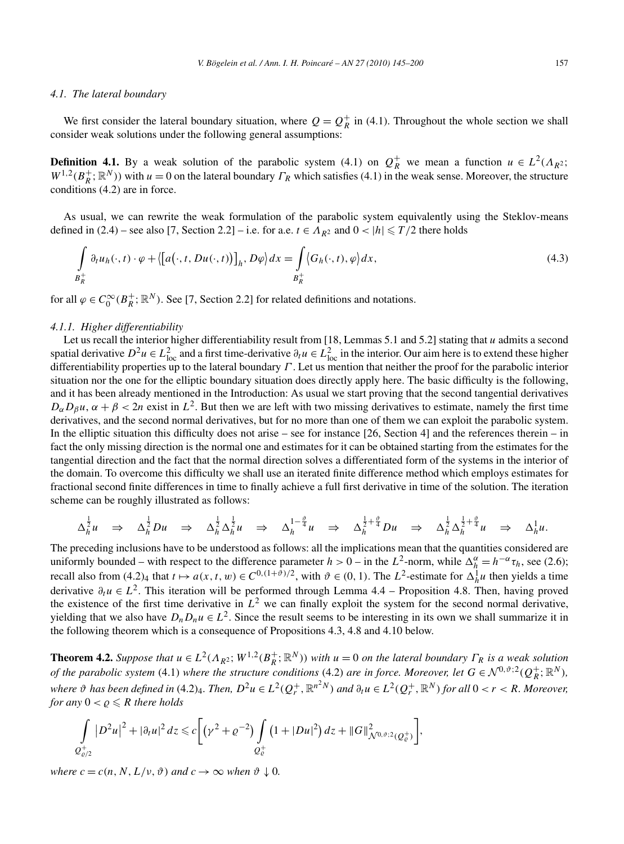#### *4.1. The lateral boundary*

We first consider the lateral boundary situation, where  $Q = Q_R^+$  in (4.1). Throughout the whole section we shall consider weak solutions under the following general assumptions:

**Definition 4.1.** By a weak solution of the parabolic system (4.1) on  $Q_R^+$  we mean a function  $u \in L^2(\Lambda_R^2)$ ;  $W^{1,2}(B_R^+; \mathbb{R}^N)$ ) with  $u = 0$  on the lateral boundary  $\Gamma_R$  which satisfies (4.1) in the weak sense. Moreover, the structure conditions (4.2) are in force.

As usual, we can rewrite the weak formulation of the parabolic system equivalently using the Steklov-means defined in (2.4) – see also [7, Section 2.2] – i.e. for a.e.  $t \in A_{R^2}$  and  $0 < |h| \le T/2$  there holds

$$
\int_{B_R^+} \partial_t u_h(\cdot, t) \cdot \varphi + \langle [a(\cdot, t, Du(\cdot, t))]_h, D\varphi \rangle dx = \int_{B_R^+} \langle G_h(\cdot, t), \varphi \rangle dx,
$$
\n(4.3)

for all  $\varphi \in C_0^{\infty}(B_R^+; \mathbb{R}^N)$ . See [7, Section 2.2] for related definitions and notations.

#### *4.1.1. Higher differentiability*

Let us recall the interior higher differentiability result from [18, Lemmas 5.1 and 5.2] stating that *u* admits a second spatial derivative  $D^2u \in L^2_{loc}$  and a first time-derivative  $\partial_t u \in L^2_{loc}$  in the interior. Our aim here is to extend these higher differentiability properties up to the lateral boundary *Γ* . Let us mention that neither the proof for the parabolic interior situation nor the one for the elliptic boundary situation does directly apply here. The basic difficulty is the following, and it has been already mentioned in the Introduction: As usual we start proving that the second tangential derivatives  $D_{\alpha}D_{\beta}u$ ,  $\alpha + \beta < 2n$  exist in  $L^2$ . But then we are left with two missing derivatives to estimate, namely the first time derivatives, and the second normal derivatives, but for no more than one of them we can exploit the parabolic system. In the elliptic situation this difficulty does not arise – see for instance  $[26, Section 4]$  and the references therein – in fact the only missing direction is the normal one and estimates for it can be obtained starting from the estimates for the tangential direction and the fact that the normal direction solves a differentiated form of the systems in the interior of the domain. To overcome this difficulty we shall use an iterated finite difference method which employs estimates for fractional second finite differences in time to finally achieve a full first derivative in time of the solution. The iteration scheme can be roughly illustrated as follows:

$$
\Delta_h^{\frac{1}{2}}u \Rightarrow \Delta_h^{\frac{1}{2}}Du \Rightarrow \Delta_h^{\frac{1}{2}}\Delta_h^{\frac{1}{2}}u \Rightarrow \Delta_h^{1-\frac{\vartheta}{4}}u \Rightarrow \Delta_h^{\frac{1}{2}+\frac{\vartheta}{4}}Du \Rightarrow \Delta_h^{\frac{1}{2}}\Delta_h^{\frac{1}{2}+\frac{\vartheta}{4}}u \Rightarrow \Delta_h^1u.
$$

The preceding inclusions have to be understood as follows: all the implications mean that the quantities considered are uniformly bounded – with respect to the difference parameter  $h > 0$  – in the  $L^2$ -norm, while  $\Delta_h^{\alpha} = h^{-\alpha} \tau_h$ , see (2.6); recall also from  $(4.2)_4$  that  $t \mapsto a(x, t, w) \in C^{0, (1+\vartheta)/2}$ , with  $\vartheta \in (0, 1)$ . The  $L^2$ -estimate for  $\Delta_h^1 u$  then yields a time derivative *∂tu* ∈ *L*2. This iteration will be performed through Lemma 4.4 – Proposition 4.8. Then, having proved the existence of the first time derivative in  $L^2$  we can finally exploit the system for the second normal derivative, yielding that we also have  $D_n D_n u \in L^2$ . Since the result seems to be interesting in its own we shall summarize it in the following theorem which is a consequence of Propositions 4.3, 4.8 and 4.10 below.

**Theorem 4.2.** *Suppose that*  $u \in L^2(\Lambda_{R^2}; W^{1,2}(B_R^+; \mathbb{R}^N))$  *with*  $u = 0$  *on the lateral boundary*  $\Gamma_R$  *is a weak solution of the parabolic system* (4.1) *where the structure conditions* (4.2) *are in force. Moreover, let*  $G \in \mathcal{N}^{0,\vartheta;2}(Q_R^+;\mathbb{R}^N)$ *,* where  $\vartheta$  has been defined in (4.2)4. Then,  $D^2u\in L^2(Q_r^+,\R^{n^2N})$  and  $\partial_tu\in L^2(Q_r^+,\R^N)$  for all  $0< r < R.$  Moreover, *for any*  $0 < \varrho \leq R$  *there holds* 

$$
\int_{Q_{\varrho/2}^+} |D^2 u|^2 + |\partial_t u|^2 dz \leq c \bigg[ \big(\gamma^2 + \varrho^{-2}\big) \int_{Q_{\varrho}^+} \big(1 + |Du|^2\big) dz + \|G\|_{\mathcal{N}^{0,\vartheta;2}(Q_{\varrho}^+)}^2 \bigg],
$$

*where*  $c = c(n, N, L/\nu, \vartheta)$  *and*  $c \rightarrow \infty$  *when*  $\vartheta \downarrow 0$ *.*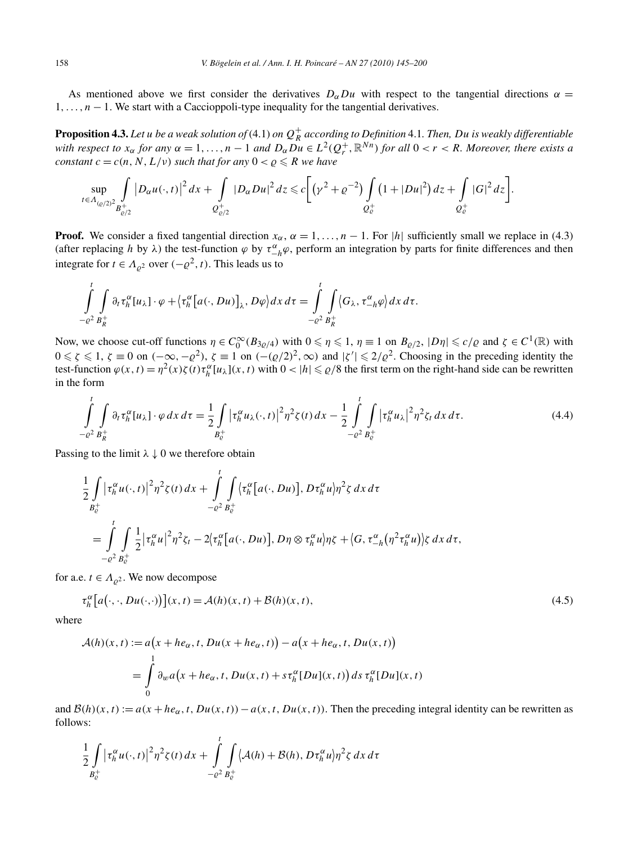As mentioned above we first consider the derivatives  $D_{\alpha}Du$  with respect to the tangential directions  $\alpha =$ 1*,...,n* − 1. We start with a Caccioppoli-type inequality for the tangential derivatives.

**Proposition 4.3.** Let  $u$  be a weak solution of (4.1) on  $Q^+_R$  according to Definition 4.1. Then, Du is weakly differentiable *with respect to*  $x_\alpha$  *for any*  $\alpha = 1, \ldots, n-1$  *and*  $D_\alpha Du \in L^2(Q_r^+, \mathbb{R}^{Nn})$  *for all*  $0 < r < R$ *. Moreover, there exists a constant*  $c = c(n, N, L/v)$  *such that for any*  $0 < \rho \le R$  *we have* 

$$
\sup_{t\in\Lambda_{(Q/2)^2}} \int\limits_{B_{\varrho/2}^+} |D_\alpha u(\cdot,t)|^2\,dx + \int\limits_{Q_{\varrho/2}^+} |D_\alpha Du|^2\,dz \leq c \bigg[\big(\gamma^2+\varrho^{-2}\big) \int\limits_{Q_{\varrho}^+} \big(1+|Du|^2\big)\,dz + \int\limits_{Q_{\varrho}^+} |G|^2\,dz\bigg].
$$

**Proof.** We consider a fixed tangential direction  $x_\alpha$ ,  $\alpha = 1, \ldots, n-1$ . For |h| sufficiently small we replace in (4.3) (after replacing *h* by  $\lambda$ ) the test-function  $\varphi$  by  $\tau_{-h}^{\alpha} \varphi$ , perform an integration by parts for finite differences and then integrate for  $t \in A_{\rho^2}$  over  $(-\rho^2, t)$ . This leads us to

$$
\int_{-\varrho^2}^t \int_{B_R^+} \partial_t \tau_h^{\alpha}[u_\lambda] \cdot \varphi + \left\{\tau_h^{\alpha}[a(\cdot, Du)]_{\lambda}, D\varphi\right\} dx \, d\tau = \int_{-\varrho^2}^t \int_{B_R^+} \left\langle G_{\lambda}, \tau_{-h}^{\alpha} \varphi \right\rangle dx \, d\tau.
$$

Now, we choose cut-off functions  $\eta \in C_0^{\infty}(B_{3\rho/4})$  with  $0 \le \eta \le 1$ ,  $\eta \equiv 1$  on  $B_{\rho/2}$ ,  $|D\eta| \le c/\rho$  and  $\zeta \in C^1(\mathbb{R})$  with  $0 \le \zeta \le 1$ ,  $\zeta \equiv 0$  on  $(-\infty, -\rho^2)$ ,  $\zeta \equiv 1$  on  $(-(\rho/2)^2, \infty)$  and  $|\zeta'| \le 2/\rho^2$ . Choosing in the preceding identity the test-function  $\varphi(x, t) = \eta^2(x)\zeta(t)\tau_h^{\alpha}[u_\lambda](x, t)$  with  $0 < |h| \le \varrho/8$  the first term on the right-hand side can be rewritten in the form

$$
\int_{-\varrho^{2}}^{t} \int_{B_{R}^{+}} \partial_{t} \tau_{h}^{\alpha}[u_{\lambda}] \cdot \varphi \, dx \, d\tau = \frac{1}{2} \int_{B_{\varrho}^{+}} \left| \tau_{h}^{\alpha} u_{\lambda}(\cdot, t) \right|^{2} \eta^{2} \zeta(t) \, dx - \frac{1}{2} \int_{-\varrho^{2}}^{t} \int_{B_{\varrho}^{+}} \left| \tau_{h}^{\alpha} u_{\lambda} \right|^{2} \eta^{2} \zeta_{t} \, dx \, d\tau. \tag{4.4}
$$

Passing to the limit  $\lambda \downarrow 0$  we therefore obtain

$$
\frac{1}{2} \int_{B_{\epsilon}^{\alpha}} |\tau_h^{\alpha} u(\cdot, t)|^2 \eta^2 \zeta(t) dx + \int_{-\varrho^2}^{t} \int_{B_{\epsilon}^{\alpha}} \left[ a(\cdot, Du) \right], D \tau_h^{\alpha} u \mid \eta^2 \zeta dx d\tau
$$
\n
$$
= \int_{-\varrho^2}^{t} \int_{B_{\epsilon}^{\alpha}} \frac{1}{2} |\tau_h^{\alpha} u|^2 \eta^2 \zeta_t - 2 \left[ \tau_h^{\alpha} [a(\cdot, Du)], D \eta \otimes \tau_h^{\alpha} u \right] \eta \zeta + \left\langle G, \tau_{-h}^{\alpha} \left( \eta^2 \tau_h^{\alpha} u \right) \right\rangle \zeta dx d\tau,
$$

for a.e.  $t \in A_{\rho^2}$ . We now decompose

$$
\tau_h^{\alpha}[a(\cdot,\cdot,Du(\cdot,\cdot))](x,t) = \mathcal{A}(h)(x,t) + \mathcal{B}(h)(x,t),\tag{4.5}
$$

where

$$
\mathcal{A}(h)(x,t) := a\big(x + he_{\alpha}, t, Du(x + he_{\alpha}, t)\big) - a\big(x + he_{\alpha}, t, Du(x, t)\big)
$$
  
= 
$$
\int_{0}^{1} \partial_{w} a\big(x + he_{\alpha}, t, Du(x, t) + s\tau_{h}^{\alpha}[Du](x, t)\big) ds \tau_{h}^{\alpha}[Du](x, t)
$$

and  $\mathcal{B}(h)(x,t) := a(x + he_{\alpha}, t, Du(x,t)) - a(x,t, Du(x,t))$ . Then the preceding integral identity can be rewritten as follows:

$$
\frac{1}{2}\int\limits_{B_{\varrho}^+} \left|\tau_h^{\alpha} u(\cdot,t)\right|^2 \eta^2 \zeta(t) \, dx + \int\limits_{-\varrho^2}^t \int\limits_{B_{\varrho}^+} \left\langle \mathcal{A}(h) + \mathcal{B}(h), D \tau_h^{\alpha} u \right\rangle \eta^2 \zeta \, dx \, d\tau
$$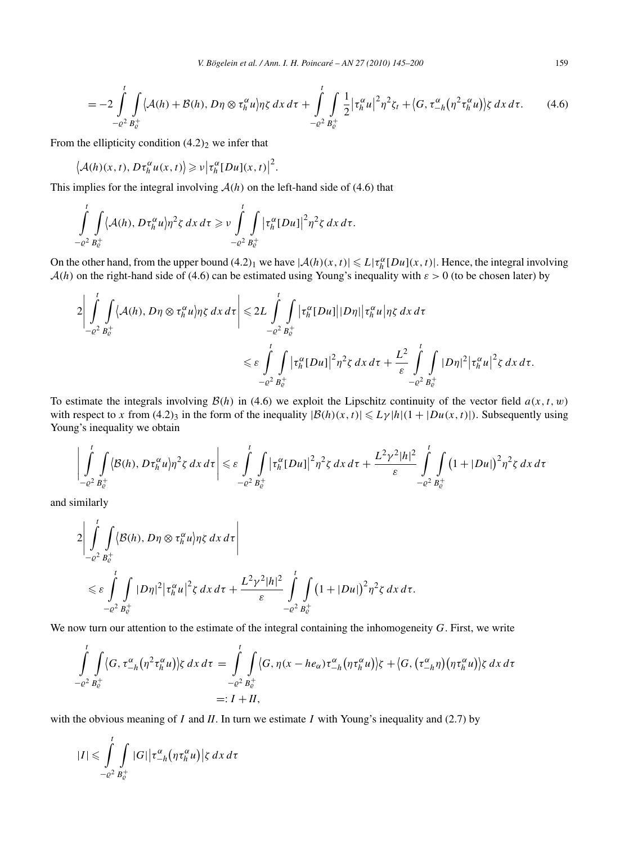$$
= -2\int_{-\varrho^2}^t \int_{B_{\varrho}^+} \langle A(h) + \mathcal{B}(h), D\eta \otimes \tau_h^{\alpha} u \rangle \eta \zeta \, dx \, d\tau + \int_{-\varrho^2}^t \int_{B_{\varrho}^+} \frac{1}{2} |\tau_h^{\alpha} u|^2 \eta^2 \zeta_t + \langle G, \tau_{-h}^{\alpha} (\eta^2 \tau_h^{\alpha} u) \rangle \zeta \, dx \, d\tau. \tag{4.6}
$$

From the ellipticity condition  $(4.2)$ <sub>2</sub> we infer that

$$
\big\langle \mathcal{A}(h)(x,t), D\tau_h^{\alpha} u(x,t) \big\rangle \geqslant \nu \big| \tau_h^{\alpha} [Du](x,t) \big|^2.
$$

This implies for the integral involving  $A(h)$  on the left-hand side of (4.6) that

$$
\int_{-e^2}^t \int_{B_c^+} \langle A(h), D\tau_h^{\alpha} u \rangle \eta^2 \zeta \, dx \, d\tau \geqslant \nu \int_{-e^2}^t \int_{B_c^+} |\tau_h^{\alpha} [Du]|^2 \eta^2 \zeta \, dx \, d\tau.
$$

On the other hand, from the upper bound  $(4.2)_1$  we have  $|\mathcal{A}(h)(x,t)| \le L|\tau_h^{\alpha}[Du](x,t)|$ . Hence, the integral involving  $A(h)$  on the right-hand side of (4.6) can be estimated using Young's inequality with  $\varepsilon > 0$  (to be chosen later) by

$$
2\left|\int_{-\varrho^{2}}^{t}\int_{B_{\varrho}^{+}}\langle A(h),D\eta\otimes\tau_{h}^{\alpha}u\rangle\eta\zeta\,dx\,d\tau\right|\leqslant 2L\int_{-\varrho^{2}}^{t}\int_{B_{\varrho}^{+}}|\tau_{h}^{\alpha}[Du]||D\eta||\tau_{h}^{\alpha}u|\eta\zeta\,dx\,d\tau
$$

$$
\leqslant \varepsilon\int_{-\varrho^{2}}^{t}\int_{B_{\varrho}^{+}}|\tau_{h}^{\alpha}[Du]|^{2}\eta^{2}\zeta\,dx\,d\tau+\frac{L^{2}}{\varepsilon}\int_{-\varrho^{2}}^{t}\int_{B_{\varrho}^{+}}|D\eta|^{2}|\tau_{h}^{\alpha}u|^{2}\zeta\,dx\,d\tau.
$$

To estimate the integrals involving  $B(h)$  in (4.6) we exploit the Lipschitz continuity of the vector field  $a(x, t, w)$ with respect to *x* from (4.2)<sub>3</sub> in the form of the inequality  $|\mathcal{B}(h)(x,t)| \leq L\gamma |h|(1+|Du(x,t)|)$ . Subsequently using Young's inequality we obtain

$$
\left|\int_{-\varrho^2}^t \int_{B_{\varrho}^+} \langle \mathcal{B}(h), D\tau_h^{\alpha} u \rangle \eta^2 \zeta \, dx \, d\tau \right| \leqslant \varepsilon \int_{-\varrho^2}^t \int_{B_{\varrho}^+} \left| \tau_h^{\alpha} [Du] \right|^2 \eta^2 \zeta \, dx \, d\tau + \frac{L^2 \gamma^2 |h|^2}{\varepsilon} \int_{-\varrho^2}^t \int_{B_{\varrho}^+} \left(1 + |Du|\right)^2 \eta^2 \zeta \, dx \, d\tau
$$

and similarly

−2

−2

$$
2\left|\int_{-\varrho^2}^t \int_{B_{\varrho}^+} \langle \mathcal{B}(h), D\eta \otimes \tau_h^{\alpha} u \rangle \eta \zeta \, dx \, d\tau \right|
$$
  
\$\leqslant \varepsilon \int\_{-\varrho^2}^t \int\_{B\_{\varrho}^+} |D\eta|^2 |\tau\_h^{\alpha} u|^2 \zeta \, dx \, d\tau + \frac{L^2 \gamma^2 |h|^2}{\varepsilon} \int\_{-\varrho^2}^t \int\_{B\_{\varrho}^+}^t (1 + |Du|)^2 \eta^2 \zeta \, dx \, d\tau.\$

We now turn our attention to the estimate of the integral containing the inhomogeneity *G*. First, we write

$$
\int_{-\varrho^2}^t \int_{B_{\varrho}^+} \langle G, \tau_{-h}^{\alpha}(\eta^2 \tau_h^{\alpha} u) \rangle \zeta \, dx \, d\tau = \int_{-\varrho^2}^t \int_{B_{\varrho}^+} \langle G, \eta(x - he_{\alpha}) \tau_{-h}^{\alpha}(\eta \tau_h^{\alpha} u) \rangle \zeta + \langle G, (\tau_{-h}^{\alpha} \eta)(\eta \tau_h^{\alpha} u) \rangle \zeta \, dx \, d\tau
$$
\n
$$
=: I + II,
$$

with the obvious meaning of *I* and *II*. In turn we estimate *I* with Young's inequality and (2.7) by

$$
|I| \leqslant \int_{-c^2}^t \int_{B_c^+} |G| \left| \tau_{-h}^{\alpha} \left( \eta \tau_h^{\alpha} u \right) \right| \zeta \, dx \, d\tau
$$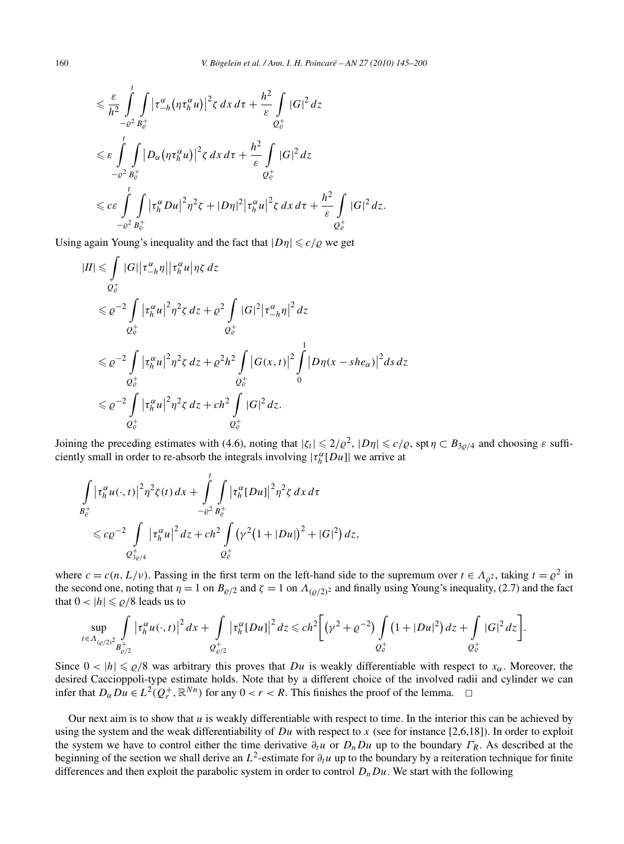$$
\leq \frac{\varepsilon}{h^2} \int_{-e^2}^{t} \int_{B_{\varepsilon}^+} |\tau_{-h}^{\alpha}(\eta \tau_h^{\alpha} u)|^2 \zeta \, dx \, d\tau + \frac{h^2}{\varepsilon} \int_{Q_{\varepsilon}^+} |G|^2 \, dz
$$
  

$$
\leq \varepsilon \int_{-e^2}^{t} \int_{B_{\varepsilon}^+} |D_{\alpha}(\eta \tau_h^{\alpha} u)|^2 \zeta \, dx \, d\tau + \frac{h^2}{\varepsilon} \int_{Q_{\varepsilon}^+} |G|^2 \, dz
$$
  

$$
\leq c \varepsilon \int_{-e^2}^{t} \int_{B_{\varepsilon}^+} |\tau_h^{\alpha} Du|^2 \eta^2 \zeta + |D\eta|^2 |\tau_h^{\alpha} u|^2 \zeta \, dx \, d\tau + \frac{h^2}{\varepsilon} \int_{Q_{\varepsilon}^+} |G|^2 \, dz.
$$

Using again Young's inequality and the fact that  $|D\eta| \leq c/\rho$  we get

$$
|II| \leq \int_{Q_{\varepsilon}^{+}} |G| |\tau_{-h}^{\alpha} \eta| |\tau_{h}^{\alpha} u| \eta \zeta dz
$$
  
\n
$$
\leq \varrho^{-2} \int_{Q_{\varepsilon}^{+}} |\tau_{h}^{\alpha} u|^2 \eta^2 \zeta dz + \varrho^{2} \int_{Q_{\varepsilon}^{+}} |G|^2 |\tau_{-h}^{\alpha} \eta|^2 dz
$$
  
\n
$$
\leq \varrho^{-2} \int_{Q_{\varepsilon}^{+}} |\tau_{h}^{\alpha} u|^2 \eta^2 \zeta dz + \varrho^{2} h^{2} \int_{Q_{\varepsilon}^{+}} |G(x, t)|^2 \int_{0}^{1} |D \eta (x - she_{\alpha})|^2 ds dz
$$
  
\n
$$
\leq \varrho^{-2} \int_{Q_{\varepsilon}^{+}} |\tau_{h}^{\alpha} u|^2 \eta^2 \zeta dz + ch^{2} \int_{Q_{\varepsilon}^{+}} |G|^2 dz.
$$

Joining the preceding estimates with (4.6), noting that  $|\zeta_t| \leq 2/\varrho^2$ ,  $|D\eta| \leq c/\varrho$ , spt  $\eta \subset B_{3\varrho/4}$  and choosing  $\varepsilon$  sufficiently small in order to re-absorb the integrals involving  $|\tau_h^{\alpha}[Du]|$  we arrive at

$$
\int_{B_{\epsilon}^+} |\tau_h^{\alpha} u(\cdot,t)|^2 \eta^2 \zeta(t) dx + \int_{-\varrho^2}^t \int_{B_{\epsilon}^+} |\tau_h^{\alpha} [Du]|^2 \eta^2 \zeta dx d\tau
$$
  
\$\leqslant c\varrho^{-2} \int\_{\mathcal{Q}\_{3\varrho/4}^+} |\tau\_h^{\alpha} u|^2 dz + ch^2 \int\_{\mathcal{Q}\_{\epsilon}^+} (\gamma^2 (1+|Du|)^2 + |G|^2) dz\$,

where  $c = c(n, L/v)$ . Passing in the first term on the left-hand side to the supremum over  $t \in A_{\rho^2}$ , taking  $t = \rho^2$  in the second one, noting that  $\eta = 1$  on  $B_{\varrho/2}$  and  $\zeta = 1$  on  $\Lambda_{(\varrho/2)^2}$  and finally using Young's inequality, (2.7) and the fact that  $0 < |h| \le \rho/8$  leads us to

$$
\sup_{t \in \Lambda_{(Q/2)^2}} \int\limits_{B_{Q/2}^+} \left| \tau_h^{\alpha} u(\cdot,t) \right|^2 dx + \int\limits_{Q_{Q/2}^+} \left| \tau_h^{\alpha} [Du] \right|^2 dz \leqslant ch^2 \bigg[ \left( \gamma^2 + \varrho^{-2} \right) \int\limits_{Q_{\varrho}^+} \left( 1 + |Du|^2 \right) dz + \int\limits_{Q_{\varrho}^+} |G|^2 dz \bigg].
$$

Since  $0 < |h| \le \varrho/8$  was arbitrary this proves that *Du* is weakly differentiable with respect to  $x_\alpha$ . Moreover, the desired Caccioppoli-type estimate holds. Note that by a different choice of the involved radii and cylinder we can infer that  $D_{\alpha} Du \in L^2(Q_r^+, \mathbb{R}^{Nn})$  for any  $0 < r < R$ . This finishes the proof of the lemma.  $\Box$ 

Our next aim is to show that *u* is weakly differentiable with respect to time. In the interior this can be achieved by using the system and the weak differentiability of  $Du$  with respect to *x* (see for instance [2,6,18]). In order to exploit the system we have to control either the time derivative  $\partial_t u$  or  $D_nDu$  up to the boundary  $\Gamma_R$ . As described at the beginning of the section we shall derive an  $L^2$ -estimate for  $\partial_t u$  up to the boundary by a reiteration technique for finite differences and then exploit the parabolic system in order to control  $D_nDu$ . We start with the following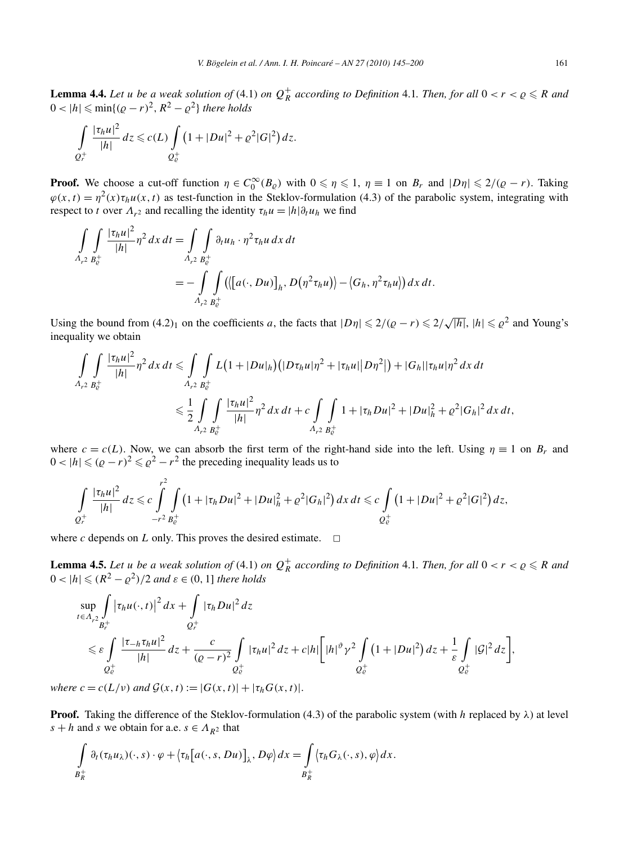**Lemma 4.4.** Let *u* be a weak solution of (4.1) on  $Q_R^+$  according to Definition 4.1. Then, for all  $0 < r < \varrho \le R$  and  $0 < |h| \leqslant \min\{(\rho - r)^2, R^2 - \rho^2\}$  there holds

$$
\int_{Q_r^+} \frac{|\tau_h u|^2}{|h|} dz \leq c(L) \int_{Q_e^+} \left(1 + |Du|^2 + \varrho^2 |G|^2\right) dz.
$$

**Proof.** We choose a cut-off function  $\eta \in C_0^{\infty}(B_{\varrho})$  with  $0 \le \eta \le 1$ ,  $\eta \equiv 1$  on  $B_r$  and  $|D\eta| \le 2/(Q-r)$ . Taking  $\varphi(x,t) = \eta^2(x)\tau_h u(x,t)$  as test-function in the Steklov-formulation (4.3) of the parabolic system, integrating with respect to *t* over  $\Lambda_{r^2}$  and recalling the identity  $\tau_h u = |h|\partial_t u_h$  we find

$$
\int_{A_{r^2} B_c^+} \int \frac{|\tau_h u|^2}{|h|} \eta^2 dx dt = \int_{A_{r^2} B_c^+} \int_{B_c^+} \partial_t u_h \cdot \eta^2 \tau_h u dx dt
$$
  
= 
$$
- \int_{A_{r^2} B_c^+} \int_{B_c^+} \left( \left\langle [a(\cdot, Du)]_h, D(\eta^2 \tau_h u) \right\rangle - \left\langle G_h, \eta^2 \tau_h u \right\rangle \right) dx dt.
$$

Using the bound from  $(4.2)_1$  on the coefficients *a*, the facts that  $|D\eta| \leq 2/(Q-r) \leq 2/\sqrt{|h|}$ ,  $|h| \leq Q^2$  and Young's inequality we obtain

$$
\int_{A_{r^2}B_c^+} \frac{|\tau_h u|^2}{|h|} \eta^2 dx dt \le \int_{A_{r^2}B_c^+} \int_{B_c^+} L\big(1+|Du|_h\big) \big(|D\tau_h u|\eta^2 + |\tau_h u|\big|D\eta^2\big|\big) + |G_h||\tau_h u|\eta^2 dx dt
$$
  

$$
\le \frac{1}{2} \int_{A_{r^2}B_c^+} \int_{B_c^+} \frac{|\tau_h u|^2}{|h|} \eta^2 dx dt + c \int_{A_{r^2}B_c^+} \int_{B_c^+} 1 + |\tau_h Du|^2 + |Du|_h^2 + \varrho^2 |G_h|^2 dx dt,
$$

where  $c = c(L)$ . Now, we can absorb the first term of the right-hand side into the left. Using  $\eta \equiv 1$  on  $B_r$  and  $0 < |h| \leq (p - r)^2 \leq p^2 - r^2$  the preceding inequality leads us to

$$
\int_{Q_r^+} \frac{|\tau_h u|^2}{|h|} dz \leqslant c \int_{-r^2} \int_{B_{c}^+} \left(1 + |\tau_h Du|^2 + |Du|^2_h + \varrho^2 |G_h|^2\right) dx dt \leqslant c \int_{Q_c^+} \left(1 + |Du|^2 + \varrho^2 |G|^2\right) dz,
$$

where *c* depends on *L* only. This proves the desired estimate.  $\Box$ 

*r*2

**Lemma 4.5.** Let *u* be a weak solution of (4.1) on  $Q_R^+$  according to Definition 4.1. Then, for all  $0 < r < \varrho \le R$  and  $0 < |h| \leq (R^2 - \rho^2)/2$  and  $\varepsilon \in (0, 1]$  there holds

$$
\sup_{t \in \Lambda_{r^2}} \int_{B_r^+} |\tau_h u(\cdot, t)|^2 dx + \int_{Q_r^+} |\tau_h Du|^2 dz
$$
\n
$$
\leq \varepsilon \int_{Q_\varepsilon^+} \frac{|\tau_{-h} \tau_h u|^2}{|h|} dz + \frac{c}{(Q-r)^2} \int_{Q_\varepsilon^+} |\tau_h u|^2 dz + c|h| \Big[ |h|^{2} \gamma^{2} \int_{Q_\varepsilon^+} (1 + |Du|^2) dz + \frac{1}{\varepsilon} \int_{Q_\varepsilon^+} |\mathcal{G}|^2 dz \Big],
$$

*where*  $c = c(L/v)$  *and*  $G(x, t) := |G(x, t)| + |\tau_h G(x, t)|$ .

**Proof.** Taking the difference of the Steklov-formulation (4.3) of the parabolic system (with *h* replaced by  $\lambda$ ) at level *s* + *h* and *s* we obtain for a.e.  $s \in A_{R^2}$  that

$$
\int\limits_{B_R^+} \partial_t (\tau_h u_\lambda)(\cdot, s) \cdot \varphi + \langle \tau_h \big[ a(\cdot, s, Du) \big]_\lambda, D\varphi \rangle dx = \int\limits_{B_R^+} \langle \tau_h G_\lambda(\cdot, s), \varphi \rangle dx.
$$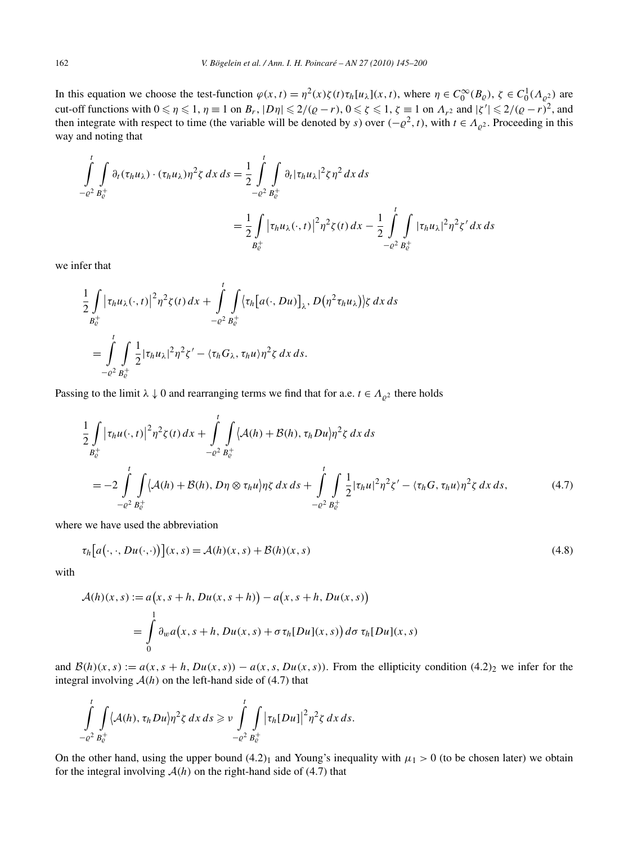In this equation we choose the test-function  $\varphi(x,t) = \eta^2(x)\zeta(t)\tau_h[u_\lambda](x,t)$ , where  $\eta \in C_0^\infty(B_\varrho)$ ,  $\zeta \in C_0^1(\Lambda_{\varrho^2})$  are cut-off functions with  $0 \le \eta \le 1$ ,  $\eta \equiv 1$  on  $B_r$ ,  $|D\eta| \le 2/(Q-r)$ ,  $0 \le \zeta \le 1$ ,  $\zeta \equiv 1$  on  $\Lambda_{r^2}$  and  $|\zeta'| \le 2/(Q-r)^2$ , and then integrate with respect to time (the variable will be denoted by *s*) over  $(-\varrho^2, t)$ , with  $t \in A_{\varrho^2}$ . Proceeding in this way and noting that

$$
\int_{-\varrho^{2}}^{t} \int_{B_{\varrho}^{+}} \partial_{t} (\tau_{h} u_{\lambda}) \cdot (\tau_{h} u_{\lambda}) \eta^{2} \zeta dx ds = \frac{1}{2} \int_{-\varrho^{2}}^{t} \int_{B_{\varrho}^{+}} \partial_{t} |\tau_{h} u_{\lambda}|^{2} \zeta \eta^{2} dx ds
$$
  

$$
= \frac{1}{2} \int_{B_{\varrho}^{+}} |\tau_{h} u_{\lambda} (\cdot, t)|^{2} \eta^{2} \zeta(t) dx - \frac{1}{2} \int_{-\varrho^{2}}^{t} \int_{B_{\varrho}^{+}} |\tau_{h} u_{\lambda}|^{2} \eta^{2} \zeta' dx ds
$$

we infer that

$$
\frac{1}{2} \int\limits_{B_{\mathcal{C}}^+} \left| \tau_h u_{\lambda}(\cdot,t) \right|^2 \eta^2 \zeta(t) \, dx + \int\limits_{-\varrho^2}^t \int\limits_{B_{\mathcal{C}}^+} \left\langle \tau_h \big[ a(\cdot,Du) \big]_{\lambda}, D\big( \eta^2 \tau_h u_{\lambda} \big) \right\rangle \zeta \, dx \, ds
$$
\n
$$
= \int\limits_{-\varrho^2}^t \int\limits_{B_{\mathcal{C}}^+} \frac{1}{2} |\tau_h u_{\lambda}|^2 \eta^2 \zeta' - \langle \tau_h G_{\lambda}, \tau_h u \rangle \eta^2 \zeta \, dx \, ds.
$$

Passing to the limit  $\lambda \downarrow 0$  and rearranging terms we find that for a.e.  $t \in A_{\rho^2}$  there holds

$$
\frac{1}{2} \int_{B_{\rho}^{+}} |\tau_{h}u(\cdot,t)|^{2} \eta^{2} \zeta(t) dx + \int_{-\varrho^{2}}^{t} \int_{B_{\rho}^{+}} \langle \mathcal{A}(h) + \mathcal{B}(h), \tau_{h}D u \rangle \eta^{2} \zeta dx ds
$$
\n
$$
= -2 \int_{-\varrho^{2}}^{t} \int_{B_{\rho}^{+}} \langle \mathcal{A}(h) + \mathcal{B}(h), D \eta \otimes \tau_{h} u \rangle \eta \zeta dx ds + \int_{-\varrho^{2}}^{t} \int_{B_{\rho}^{+}} \frac{1}{2} |\tau_{h}u|^{2} \eta^{2} \zeta' - \langle \tau_{h}G, \tau_{h}u \rangle \eta^{2} \zeta dx ds, \qquad (4.7)
$$

where we have used the abbreviation

$$
\tau_h\big[a(\cdot,\cdot,Du(\cdot,\cdot)\big)](x,s) = \mathcal{A}(h)(x,s) + \mathcal{B}(h)(x,s) \tag{4.8}
$$

with

$$
\mathcal{A}(h)(x,s) := a\big(x, s+h, Du(x, s+h)\big) - a\big(x, s+h, Du(x, s)\big)
$$

$$
= \int_{0}^{1} \partial_{w} a\big(x, s+h, Du(x, s) + \sigma \tau_{h}[Du](x, s)\big) d\sigma \tau_{h}[Du](x, s)
$$

and  $B(h)(x, s) := a(x, s + h, Du(x, s)) - a(x, s, Du(x, s))$ . From the ellipticity condition (4.2)<sub>2</sub> we infer for the integral involving  $A(h)$  on the left-hand side of (4.7) that

$$
\int_{-\varrho^2}^t \int_{B_{\varrho}^+} \langle A(h), \tau_h Du \rangle \eta^2 \zeta \, dx \, ds \geqslant \nu \int_{-\varrho^2}^t \int_{B_{\varrho}^+} |\tau_h[Du]|^2 \eta^2 \zeta \, dx \, ds.
$$

On the other hand, using the upper bound  $(4.2)_1$  and Young's inequality with  $\mu_1 > 0$  (to be chosen later) we obtain for the integral involving  $A(h)$  on the right-hand side of (4.7) that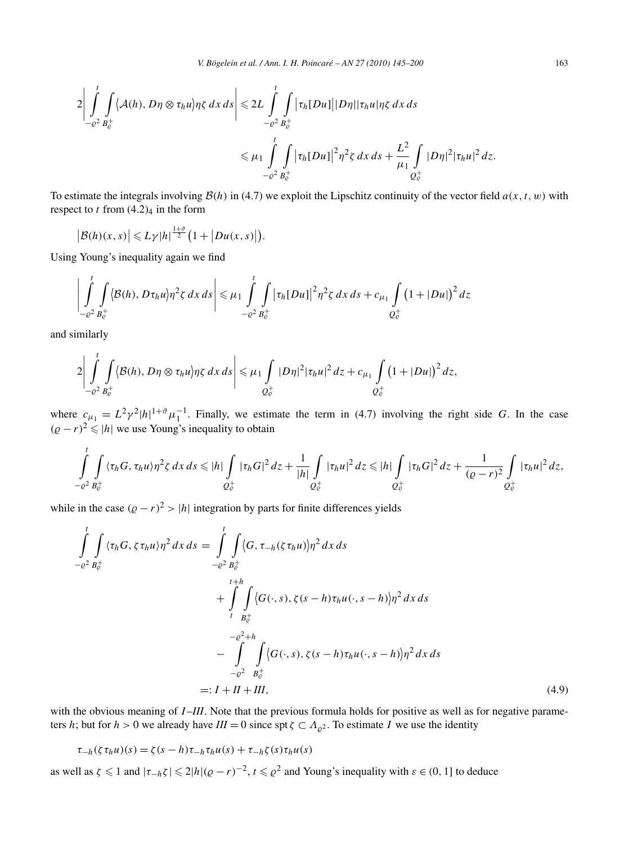$$
2\left|\int_{-\varrho^2}^t \int_{B_{\varrho}^+} \langle A(h), D\eta \otimes \tau_h u \rangle \eta \zeta \, dx \, ds \right| \leq 2L \int_{-\varrho^2}^t \int_{B_{\varrho}^+} |\tau_h[Du]| |D\eta| |\tau_h u| \eta \zeta \, dx \, ds
$$
  

$$
\leq \mu_1 \int_{-\varrho^2}^t \int_{B_{\varrho}^+} |\tau_h[Du]|^2 \eta^2 \zeta \, dx \, ds + \frac{L^2}{\mu_1} \int_{Q_{\varrho}^+} |D\eta|^2 |\tau_h u|^2 \, dz.
$$

To estimate the integrals involving  $B(h)$  in (4.7) we exploit the Lipschitz continuity of the vector field  $a(x, t, w)$  with respect to  $t$  from  $(4.2)<sub>4</sub>$  in the form

$$
\big|\mathcal{B}(h)(x,s)\big|\leqslant L\gamma|h|^{\frac{1+\vartheta}{2}}\big(1+\big|Du(x,s)\big|\big).
$$

Using Young's inequality again we find

$$
\left| \int_{-\varrho^2}^t \int_{B_{\varrho}^+} \langle B(h), D\tau_h u \rangle \eta^2 \zeta \, dx \, ds \right| \leq \mu_1 \int_{-\varrho^2}^t \int_{B_{\varrho}^+} |\tau_h[Du]|^2 \eta^2 \zeta \, dx \, ds + c_{\mu_1} \int_{Q_{\varrho}^+} \left(1 + |Du|\right)^2 \, dz
$$

and similarly

$$
2\left|\int\limits_{-\varrho^2}^t \int\limits_{B_{\varrho}^+} \langle \mathcal{B}(h), D\eta \otimes \tau_h u \rangle \eta \zeta \, dx \, ds \right| \leq \mu_1 \int\limits_{Q_{\varrho}^+} |D\eta|^2 |\tau_h u|^2 \, dz + c_{\mu_1} \int\limits_{Q_{\varrho}^+} \left(1 + |Du|\right)^2 \, dz,
$$

where  $c_{\mu_1} = L^2 \gamma^2 |h|^{1+\vartheta} \mu_1^{-1}$ . Finally, we estimate the term in (4.7) involving the right side *G*. In the case  $(Q - r)^2 \le |h|$  we use Young's inequality to obtain

$$
\int_{-e^2}^{t} \int_{B_e^+} \langle \tau_h G, \tau_h u \rangle \eta^2 \zeta \, dx \, ds \leqslant |h| \int_{Q_e^+} |\tau_h G|^2 \, dz + \frac{1}{|h|} \int_{Q_e^+} |\tau_h u|^2 \, dz \leqslant |h| \int_{Q_e^+} |\tau_h G|^2 \, dz + \frac{1}{(Q-r)^2} \int_{Q_e^+} |\tau_h u|^2 \, dz,
$$

while in the case  $(Q - r)^2 > |h|$  integration by parts for finite differences yields

$$
\int_{-e^2}^{t} \int_{B_c^+} \langle \tau_h G, \zeta \tau_h u \rangle \eta^2 dx ds = \int_{-e^2}^{t} \int_{B_c^+} \langle G, \tau_{-h}(\zeta \tau_h u) \rangle \eta^2 dx ds \n+ \int_{t}^{t+h} \int_{B_c^+} \langle G(\cdot, s), \zeta(s-h) \tau_h u(\cdot, s-h) \rangle \eta^2 dx ds \n- \int_{-e^2 + h}^{e^2 + h} \int_{-e^2} \langle G(\cdot, s), \zeta(s-h) \tau_h u(\cdot, s-h) \rangle \eta^2 dx ds \n=: I + II + III,
$$
\n(4.9)

with the obvious meaning of *I-III*. Note that the previous formula holds for positive as well as for negative parameters *h*; but for  $h > 0$  we already have  $III = 0$  since spt  $\zeta \subset \Lambda_{\rho^2}$ . To estimate *I* we use the identity

$$
\tau_{-h}(\zeta \tau_h u)(s) = \zeta(s-h)\tau_{-h}\tau_h u(s) + \tau_{-h}\zeta(s)\tau_h u(s)
$$

as well as  $\zeta \leq 1$  and  $|\tau_{-h}\zeta| \leq 2|h|(\rho - r)^{-2}$ ,  $t \leq \rho^2$  and Young's inequality with  $\varepsilon \in (0, 1]$  to deduce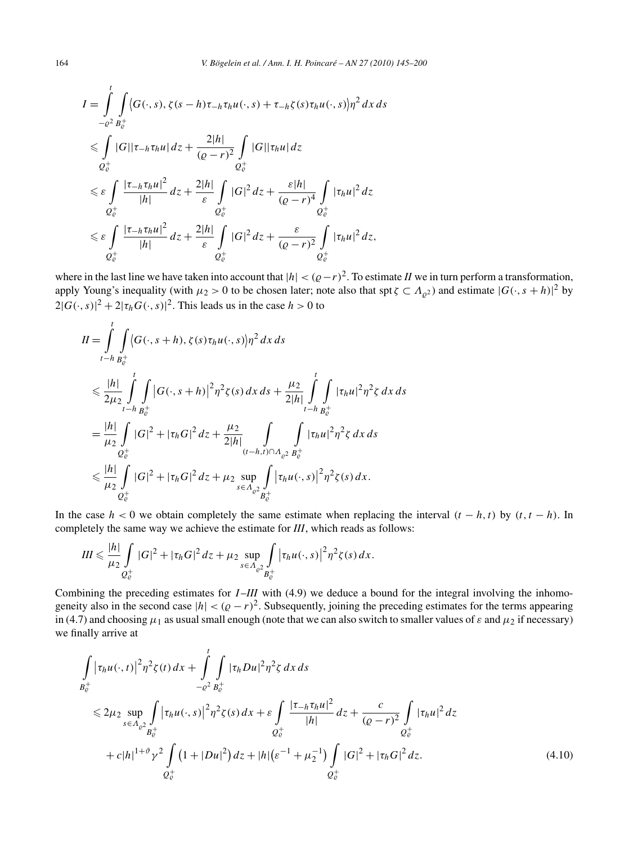$$
I = \int_{-e^2}^{t} \int_{B_e^+} \langle G(\cdot, s), \zeta(s - h) \tau_{-h} \tau_h u(\cdot, s) + \tau_{-h} \zeta(s) \tau_h u(\cdot, s) \rangle \eta^2 dx ds
$$
  
\n
$$
\leq \int_{Q_e^+} |G| |\tau_{-h} \tau_h u| dz + \frac{2|h|}{(\varrho - r)^2} \int_{Q_e^+} |G| |\tau_h u| dz
$$
  
\n
$$
\leq \varepsilon \int_{Q_e^+} \frac{|\tau_{-h} \tau_h u|^2}{|h|} dz + \frac{2|h|}{\varepsilon} \int_{Q_e^+} |G|^2 dz + \frac{\varepsilon|h|}{(\varrho - r)^4} \int_{Q_e^+} |\tau_h u|^2 dz
$$
  
\n
$$
\leq \varepsilon \int_{Q_e^+} \frac{|\tau_{-h} \tau_h u|^2}{|h|} dz + \frac{2|h|}{\varepsilon} \int_{Q_e^+} |G|^2 dz + \frac{\varepsilon}{(\varrho - r)^2} \int_{Q_e^+} |\tau_h u|^2 dz,
$$

where in the last line we have taken into account that  $|h| < (Q-r)^2$ . To estimate *II* we in turn perform a transformation, apply Young's inequality (with  $\mu_2 > 0$  to be chosen later; note also that spt  $\zeta \subset \Lambda_{\varrho^2}$ ) and estimate  $|G(\cdot, s + h)|^2$  by  $2|G(\cdot,s)|^2 + 2|\tau_h G(\cdot,s)|^2$ . This leads us in the case  $h > 0$  to

$$
II = \int_{t-h}^{t} \int_{B_{\epsilon}^{+}} \langle G(\cdot, s+h), \zeta(s)\tau_{h}u(\cdot, s) \rangle \eta^{2} dx ds
$$
  
\n
$$
\leq \frac{|h|}{2\mu_{2}} \int_{t-h}^{t} \int_{B_{\epsilon}^{+}} |G(\cdot, s+h)|^{2} \eta^{2} \zeta(s) dx ds + \frac{\mu_{2}}{2|h|} \int_{t-h}^{t} \int_{B_{\epsilon}^{+}} |\tau_{h}u|^{2} \eta^{2} \zeta dx ds
$$
  
\n
$$
= \frac{|h|}{\mu_{2}} \int_{Q_{\epsilon}^{+}} |G|^{2} + |\tau_{h}G|^{2} dz + \frac{\mu_{2}}{2|h|} \int_{(t-h,t)\cap A_{\rho^{2}}B_{\epsilon}^{+}} \int_{B_{\epsilon}^{+}} |\tau_{h}u|^{2} \eta^{2} \zeta dx ds
$$
  
\n
$$
\leq \frac{|h|}{\mu_{2}} \int_{Q_{\epsilon}^{+}} |G|^{2} + |\tau_{h}G|^{2} dz + \mu_{2} \sup_{s \in A_{\rho^{2}} \int_{B_{\epsilon}^{+}} |\tau_{h}u(\cdot, s)|^{2} \eta^{2} \zeta(s) dx.
$$

In the case  $h < 0$  we obtain completely the same estimate when replacing the interval  $(t - h, t)$  by  $(t, t - h)$ . In completely the same way we achieve the estimate for *III*, which reads as follows:

$$
III \leq \frac{|h|}{\mu_2} \int\limits_{Q_{\mathcal{C}}^+} |G|^2 + |\tau_h G|^2 \, dz + \mu_2 \sup\limits_{s \in \Lambda_{\mathcal{C}^2}} \int\limits_{B_{\mathcal{C}}^+} |\tau_h u(\cdot, s)|^2 \eta^2 \zeta(s) \, dx.
$$

Combining the preceding estimates for *I-III* with (4.9) we deduce a bound for the integral involving the inhomogeneity also in the second case  $|h| < (q - r)^2$ . Subsequently, joining the preceding estimates for the terms appearing in (4.7) and choosing  $\mu_1$  as usual small enough (note that we can also switch to smaller values of  $\varepsilon$  and  $\mu_2$  if necessary) we finally arrive at

$$
\int_{B_{\epsilon}^{+}} |\tau_{h}u(\cdot,t)|^{2} \eta^{2} \zeta(t) dx + \int_{-\varrho^{2}}^{t} \int_{B_{\epsilon}^{+}} |\tau_{h}Du|^{2} \eta^{2} \zeta dx ds
$$
\n
$$
\leq 2\mu_{2} \sup_{s \in \Lambda_{\varrho^{2}}}\int_{B_{\epsilon}^{+}} |\tau_{h}u(\cdot,s)|^{2} \eta^{2} \zeta(s) dx + \varepsilon \int_{\mathcal{Q}_{\epsilon}^{+}} \frac{|\tau_{-h}\tau_{h}u|^{2}}{|h|} dz + \frac{c}{(\varrho-r)^{2}} \int_{\mathcal{Q}_{\epsilon}^{+}} |\tau_{h}u|^{2} dz
$$
\n
$$
+ c|h|^{1+\vartheta} \gamma^{2} \int_{\mathcal{Q}_{\epsilon}^{+}} (1 + |Du|^{2}) dz + |h| (\varepsilon^{-1} + \mu_{2}^{-1}) \int_{\mathcal{Q}_{\epsilon}^{+}} |G|^{2} + |\tau_{h}G|^{2} dz.
$$
\n(4.10)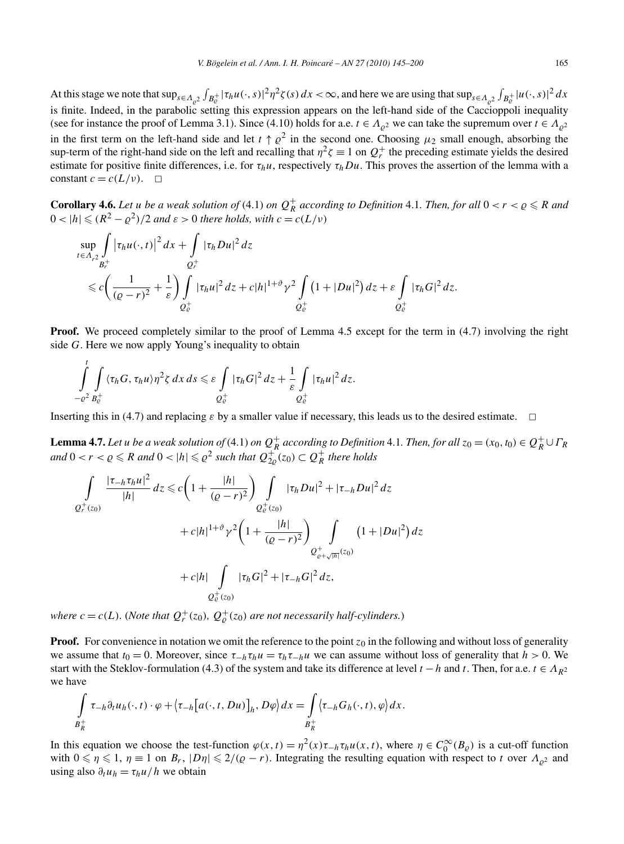At this stage we note that  $\sup_{s \in A_{\varrho^2}} \int_{B_c^+} |\tau_h u(\cdot, s)|^2 \eta^2 \zeta(s) dx < \infty$ , and here we are using that  $\sup_{s \in A_{\varrho^2}} \int_{B_c^+} |u(\cdot, s)|^2 dx$ is finite. Indeed, in the parabolic setting this expression appears on the left-hand side of the Caccioppoli inequality (see for instance the proof of Lemma 3.1). Since (4.10) holds for a.e.  $t \in A_{\rho^2}$  we can take the supremum over  $t \in A_{\rho^2}$ in the first term on the left-hand side and let  $t \uparrow \varrho^2$  in the second one. Choosing  $\mu_2$  small enough, absorbing the sup-term of the right-hand side on the left and recalling that  $\eta^2 \zeta \equiv 1$  on  $Q_r^+$  the preceding estimate yields the desired estimate for positive finite differences, i.e. for  $\tau_h u$ , respectively  $\tau_h Du$ . This proves the assertion of the lemma with a constant  $c = c(L/v)$ .  $\Box$ 

**Corollary 4.6.** Let *u* be a weak solution of (4.1) on  $Q_R^+$  according to Definition 4.1. Then, for all  $0 < r < \varrho \le R$  and  $0 < |h| \leq (R^2 - \rho^2)/2$  *and*  $\varepsilon > 0$  *there holds, with*  $c = c(L/\nu)$ 

$$
\sup_{t\in\Lambda_{r^2}}\int\limits_{B_r^+}|\tau_hu(\cdot,t)|^2\,dx+\int\limits_{Q_r^+}|\tau_hDu|^2\,dz
$$
\n
$$
\leq c\bigg(\frac{1}{(\varrho-r)^2}+\frac{1}{\varepsilon}\bigg)\int\limits_{Q_\varrho^+}|\tau_hu|^2\,dz+c|h|^{1+\vartheta}\gamma^2\int\limits_{Q_\varrho^+}(1+|Du|^2)\,dz+\varepsilon\int\limits_{Q_\varrho^+}|\tau_hG|^2\,dz.
$$

**Proof.** We proceed completely similar to the proof of Lemma 4.5 except for the term in (4.7) involving the right side *G*. Here we now apply Young's inequality to obtain

$$
\int_{-\varrho^2}^t \int_{B_{\varrho}^+} \langle \tau_h G, \tau_h u \rangle \eta^2 \zeta \, dx \, ds \leq \varepsilon \int_{Q_{\varrho}^+} |\tau_h G|^2 \, dz + \frac{1}{\varepsilon} \int_{Q_{\varrho}^+} |\tau_h u|^2 \, dz.
$$

Inserting this in (4.7) and replacing  $\varepsilon$  by a smaller value if necessary, this leads us to the desired estimate.  $\Box$ 

**Lemma 4.7.** Let u be a weak solution of (4.1) on  $Q_R^+$  according to Definition 4.1. Then, for all  $z_0 = (x_0, t_0) \in Q_R^+ \cup \Gamma_R$ *and*  $0 < r < \varrho \le R$  *and*  $0 < |h| \le \varrho^2$  *such that*  $Q_{2\varrho}^+(z_0) \subset Q_R^+$  *there holds* 

$$
\int_{Q_r^+(z_0)} \frac{|\tau_{-h}\tau_h u|^2}{|h|} dz \leq c \left( 1 + \frac{|h|}{(\varrho - r)^2} \right) \int_{Q_\varrho^+(z_0)} |\tau_h Du|^2 + |\tau_{-h} Du|^2 dz
$$
  
+  $c|h|^{1+\vartheta} \gamma^2 \left( 1 + \frac{|h|}{(\varrho - r)^2} \right) \int_{Q_{\varrho + \sqrt{|h|}}^+(z_0)} (1 + |Du|^2) dz$   
+  $c|h| \int_{Q_\varrho^+(z_0)} |\tau_h G|^2 + |\tau_{-h} G|^2 dz$ ,

*where*  $c = c(L)$ *.* (*Note that*  $Q_r^+(z_0)$ *,*  $Q_\varrho^+(z_0)$  *are not necessarily half-cylinders.*)

**Proof.** For convenience in notation we omit the reference to the point  $z_0$  in the following and without loss of generality we assume that  $t_0 = 0$ . Moreover, since  $\tau_{-h} \tau_h u = \tau_h \tau_{-h} u$  we can assume without loss of generality that  $h > 0$ . We start with the Steklov-formulation (4.3) of the system and take its difference at level  $t - h$  and  $t$ . Then, for a.e.  $t \in A_{R^2}$ we have

$$
\int_{B_R^+} \tau_{-h} \partial_t u_h(\cdot, t) \cdot \varphi + \langle \tau_{-h} [a(\cdot, t, Du)]_h, D\varphi \rangle dx = \int_{B_R^+} \langle \tau_{-h} G_h(\cdot, t), \varphi \rangle dx.
$$

In this equation we choose the test-function  $\varphi(x,t) = \eta^2(x)\tau_{-h}\tau_hu(x,t)$ , where  $\eta \in C_0^{\infty}(B_{\varrho})$  is a cut-off function with  $0 \le \eta \le 1$ ,  $\eta \equiv 1$  on  $B_r$ ,  $|D\eta| \le 2/(\rho - r)$ . Integrating the resulting equation with respect to *t* over  $\Lambda_{\rho^2}$  and using also  $\partial_t u_h = \tau_h u / h$  we obtain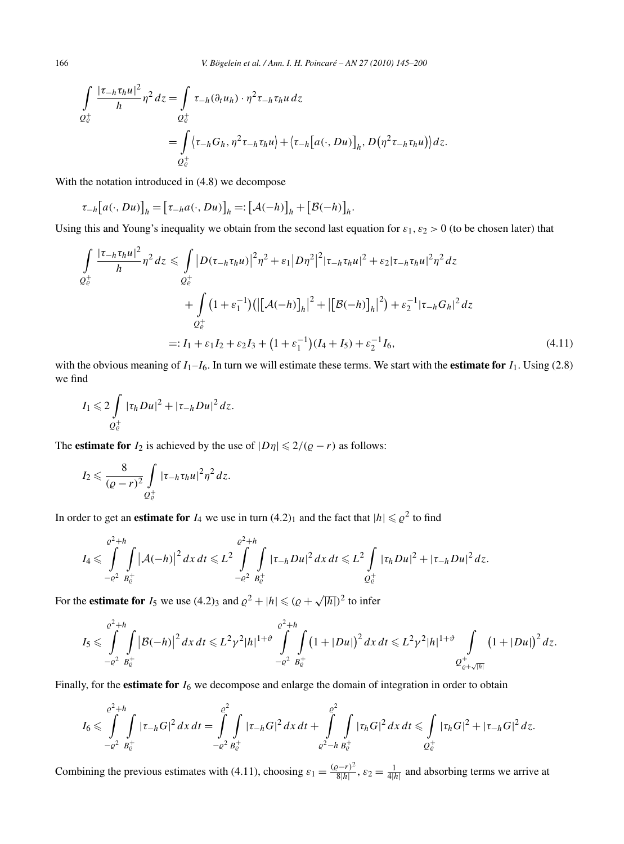166 *V. Bögelein et al. / Ann. I. H. Poincaré – AN 27 (2010) 145–200*

$$
\int_{Q_{\mathcal{C}}^+} \frac{|\tau_{-h}\tau_h u|^2}{h} \eta^2 dz = \int_{Q_{\mathcal{C}}^+} \tau_{-h}(\partial_t u_h) \cdot \eta^2 \tau_{-h} \tau_h u dz
$$
\n
$$
= \int_{Q_{\mathcal{C}}^+} \langle \tau_{-h} G_h, \eta^2 \tau_{-h} \tau_h u \rangle + \langle \tau_{-h} [a(\cdot, Du)]_h, D(\eta^2 \tau_{-h} \tau_h u) \rangle dz.
$$

With the notation introduced in  $(4.8)$  we decompose

$$
\tau_{-h}[a(\cdot,Du)]_h = [\tau_{-h}a(\cdot,Du)]_h =: [\mathcal{A}(-h)]_h + [\mathcal{B}(-h)]_h.
$$

Using this and Young's inequality we obtain from the second last equation for  $\varepsilon_1$ ,  $\varepsilon_2 > 0$  (to be chosen later) that

$$
\int_{Q_{\xi}^{+}} \frac{|\tau_{-h}\tau_{h}u|^{2}}{h} \eta^{2} dz \leq \int_{Q_{\xi}^{+}} |D(\tau_{-h}\tau_{h}u)|^{2} \eta^{2} + \varepsilon_{1} |D\eta^{2}|^{2} |\tau_{-h}\tau_{h}u|^{2} + \varepsilon_{2} |\tau_{-h}\tau_{h}u|^{2} \eta^{2} dz
$$
\n
$$
+ \int_{Q_{\xi}^{+}} (1 + \varepsilon_{1}^{-1}) (|[\mathcal{A}(-h)]_{h}|^{2} + |[\mathcal{B}(-h)]_{h}|^{2}) + \varepsilon_{2}^{-1} |\tau_{-h}G_{h}|^{2} dz
$$
\n
$$
=: I_{1} + \varepsilon_{1} I_{2} + \varepsilon_{2} I_{3} + (1 + \varepsilon_{1}^{-1}) (I_{4} + I_{5}) + \varepsilon_{2}^{-1} I_{6}, \qquad (4.11)
$$

with the obvious meaning of  $I_1-I_6$ . In turn we will estimate these terms. We start with the **estimate for**  $I_1$ . Using (2.8) we find

$$
I_1 \leqslant 2\int\limits_{Q^+_e} |\tau_h Du|^2 + |\tau_{-h} Du|^2 dz.
$$

The **estimate for**  $I_2$  is achieved by the use of  $|D\eta| \leq 2/(Q - r)$  as follows:

$$
I_2 \leqslant \frac{8}{(\varrho-r)^2} \int\limits_{Q^+_e} |\tau_{-h} \tau_h u|^2 \eta^2 dz.
$$

In order to get an **estimate for**  $I_4$  we use in turn  $(4.2)_1$  and the fact that  $|h| \leq \varrho^2$  to find

$$
I_4 \leqslant \int\limits_{-\varrho^2}^{\varrho^2+h} \int\limits_{B_{\varrho}^+} \left| \mathcal{A}(-h) \right|^2 dx \, dt \leqslant L^2 \int\limits_{-\varrho^2}^{\varrho^2+h} \int\limits_{B_{\varrho}^+} |\tau_{-h} Du|^2 \, dx \, dt \leqslant L^2 \int\limits_{Q_{\varrho}^+} |\tau_{h} Du|^2 + |\tau_{-h} Du|^2 \, dz.
$$

For the **estimate for**  $I_5$  we use (4.2)<sub>3</sub> and  $\rho^2 + |h| \leq (\rho + \sqrt{|h|})^2$  to infer

$$
I_5 \leqslant \int\limits_{-\varrho^2}^{\varrho^2+h} \int\limits_{B_{\varrho}^+} \left|\mathcal{B}(-h)\right|^2 dx \, dt \leqslant L^2 \gamma^2 |h|^{1+\vartheta} \int\limits_{-\varrho^2}^{\varrho^2+h} \int\limits_{B_{\varrho}^+} \left(1+|Du|\right)^2 dx \, dt \leqslant L^2 \gamma^2 |h|^{1+\vartheta} \int\limits_{\varrho^2+\sqrt{|h|}} \left(1+|Du|\right)^2 dz.
$$

Finally, for the **estimate for** *I*<sup>6</sup> we decompose and enlarge the domain of integration in order to obtain

$$
I_6\leqslant \int\limits_{-\varrho^2}^{\varrho^2+h}\int\limits_{B_{\varrho}^+}|\tau_{-h}G|^2\,dx\,dt=\int\limits_{-\varrho^2}^{\varrho^2}\int\limits_{B_{\varrho}^+}|\tau_{-h}G|^2\,dx\,dt+\int\limits_{\varrho^2-h}\int\limits_{B_{\varrho}^+}|\tau_{h}G|^2\,dx\,dt\leqslant \int\limits_{Q_{\varrho}^+}|\tau_{h}G|^2+|\tau_{-h}G|^2\,dz.
$$

Combining the previous estimates with (4.11), choosing  $\varepsilon_1 = \frac{(\rho - r)^2}{8|h|}$ ,  $\varepsilon_2 = \frac{1}{4|h|}$  and absorbing terms we arrive at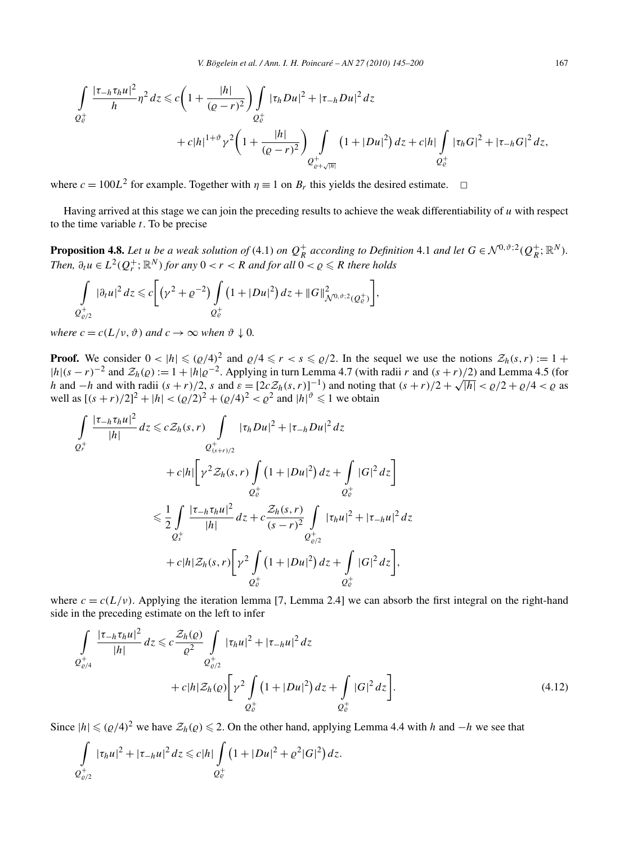$$
\int_{Q_{\varrho}^+} \frac{|\tau_{-h}\tau_h u|^2}{h} \eta^2 dz \leq c \left( 1 + \frac{|h|}{(\varrho - r)^2} \right) \int_{Q_{\varrho}^+} |\tau_h Du|^2 + |\tau_{-h} Du|^2 dz \n+ c|h|^{1+\vartheta} \gamma^2 \left( 1 + \frac{|h|}{(\varrho - r)^2} \right) \int_{Q_{\varrho + \sqrt{|h|}}^+} \left( 1 + |Du|^2 \right) dz + c|h| \int_{Q_{\varrho}^+} |\tau_h G|^2 + |\tau_{-h} G|^2 dz,
$$

where  $c = 100L^2$  for example. Together with  $\eta \equiv 1$  on  $B_r$  this yields the desired estimate.  $\Box$ 

Having arrived at this stage we can join the preceding results to achieve the weak differentiability of *u* with respect to the time variable *t*. To be precise

**Proposition 4.8.** Let u be a weak solution of (4.1) on  $Q_R^+$  according to Definition 4.1 and let  $G \in \mathcal{N}^{0,\vartheta;2}(Q_R^+;\mathbb{R}^N)$ . *Then,*  $\partial_t u \in L^2(Q_r^+; \mathbb{R}^N)$  *for any*  $0 < r < R$  *and for all*  $0 < \varrho \leq R$  *there holds* 

$$
\int_{Q_{\varrho/2}^+} |\partial_t u|^2 dz \leq c \bigg[ \big(\gamma^2 + \varrho^{-2}\big) \int_{Q_{\varrho}^+} \big(1 + |Du|^2\big) dz + \|G\|_{\mathcal{N}^{0,\vartheta;2}(Q_{\varrho}^+)}^2 \bigg],
$$

*where*  $c = c(L/v, \vartheta)$  *and*  $c \to \infty$  *when*  $\vartheta \downarrow 0$ *.* 

**Proof.** We consider  $0 < |h| \le (Q/4)^2$  and  $Q/4 \le r < s \le Q/2$ . In the sequel we use the notions  $\mathcal{Z}_h(s,r) := 1 +$  $|h|(s-r)^{-2}$  and  $\mathcal{Z}_h(\varrho) := 1 + |h|\varrho^{-2}$ . Applying in turn Lemma 4.7 (with radii *r* and  $(s + r)/2$ ) and Lemma 4.5 (for *h* and  $-h$  and with radii  $(s + r)/2$ , *s* and  $\varepsilon = [2cZ_h(s, r)]^{-1}$  and noting that  $(s + r)/2 + \sqrt{|h|} < \frac{\varrho}{2} + \varrho/4 < \varrho$  as well as  $[(s + r)/2]^2 + |h| < (\rho/2)^2 + (\rho/4)^2 < \rho^2$  and  $|h|^\vartheta \le 1$  we obtain

$$
\int_{Q_r^+} \frac{|\tau_{-h}\tau_h u|^2}{|h|} dz \leqslant c \mathcal{Z}_h(s,r) \int_{Q_{(s+r)/2}^+} |\tau_h Du|^2 + |\tau_{-h} Du|^2 dz
$$
\n
$$
+ c|h| \left[ \gamma^2 \mathcal{Z}_h(s,r) \int_{Q_{\varrho}^+} (1+|Du|^2) dz + \int_{Q_{\varrho}^+} |G|^2 dz \right]
$$
\n
$$
\leqslant \frac{1}{2} \int_{Q_s^+} \frac{|\tau_{-h}\tau_h u|^2}{|h|} dz + c \frac{\mathcal{Z}_h(s,r)}{(s-r)^2} \int_{Q_{\varrho/2}^+} |\tau_h u|^2 + |\tau_{-h} u|^2 dz
$$
\n
$$
+ c|h| \mathcal{Z}_h(s,r) \left[ \gamma^2 \int_{Q_{\varrho}^+} (1+|Du|^2) dz + \int_{Q_{\varrho}^+} |G|^2 dz \right],
$$

where  $c = c(L/\nu)$ . Applying the iteration lemma [7, Lemma 2.4] we can absorb the first integral on the right-hand side in the preceding estimate on the left to infer

$$
\int_{Q_{\varrho/4}^{+}} \frac{|\tau_{-h}\tau_{h}u|^{2}}{|h|} dz \leqslant c \frac{\mathcal{Z}_{h}(\varrho)}{\varrho^{2}} \int_{Q_{\varrho/2}^{+}} |\tau_{h}u|^{2} + |\tau_{-h}u|^{2} dz \n+ c|h|\mathcal{Z}_{h}(\varrho) \bigg[\gamma^{2} \int_{Q_{\varrho}^{+}} (1 + |Du|^{2}) dz + \int_{Q_{\varrho}^{+}} |G|^{2} dz \bigg].
$$
\n(4.12)

Since  $|h| \leq (Q/4)^2$  we have  $\mathcal{Z}_h(Q) \leq 2$ . On the other hand, applying Lemma 4.4 with *h* and −*h* we see that

$$
\int_{Q_{\varrho/2}^+} |\tau_h u|^2 + |\tau_{-h} u|^2 dz \leq c |h| \int_{Q_{\varrho}^+} (1 + |Du|^2 + \varrho^2 |G|^2) dz.
$$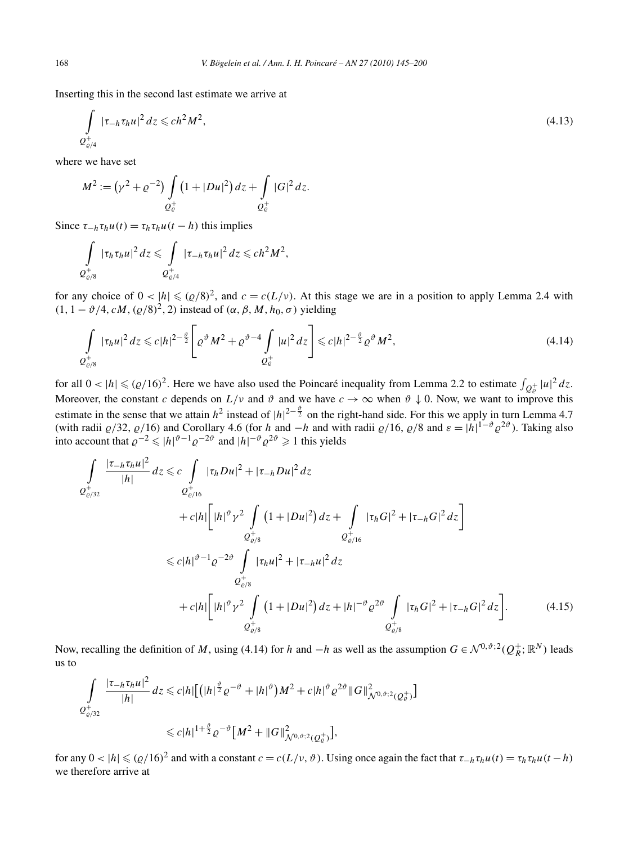Inserting this in the second last estimate we arrive at

$$
\int_{Q_{\varrho/4}^+} |\tau_{-h}\tau_h u|^2 dz \leqslant ch^2 M^2,
$$
\n(4.13)

where we have set

$$
M^{2} := (\gamma^{2} + \varrho^{-2}) \int_{Q_{\varrho}^{+}} \left(1 + |Du|^{2}\right) dz + \int_{Q_{\varrho}^{+}} |G|^{2} dz.
$$

Since  $\tau_{-h} \tau_h u(t) = \tau_h \tau_h u(t-h)$  this implies

$$
\int\limits_{Q_{\varrho/8}^+} |\tau_h \tau_h u|^2 dz \leqslant \int\limits_{Q_{\varrho/4}^+} |\tau_{-h} \tau_h u|^2 dz \leqslant ch^2 M^2,
$$

for any choice of  $0 < |h| \leq (\rho/8)^2$ , and  $c = c(L/\nu)$ . At this stage we are in a position to apply Lemma 2.4 with  $(1, 1 - \vartheta/4, cM, (\varrho/8)^2, 2)$  instead of  $(\alpha, \beta, M, h_0, \sigma)$  yielding

$$
\int_{Q_{\varrho/8}^+} |\tau_h u|^2 \, dz \leqslant c |h|^{2-\frac{\vartheta}{2}} \Bigg[ \varrho^{\vartheta} M^2 + \varrho^{\vartheta-4} \int_{Q_{\varrho}^+} |u|^2 \, dz \Bigg] \leqslant c |h|^{2-\frac{\vartheta}{2}} \varrho^{\vartheta} M^2,
$$
\n(4.14)

for all  $0 < |h| \le (Q/16)^2$ . Here we have also used the Poincaré inequality from Lemma 2.2 to estimate  $\int_{Q_e^+} |u|^2 dz$ . Moreover, the constant *c* depends on  $L/\nu$  and  $\vartheta$  and we have  $c \to \infty$  when  $\vartheta \downarrow 0$ . Now, we want to improve this estimate in the sense that we attain  $h^2$  instead of  $|h|^{2-\frac{\vartheta}{2}}$  on the right-hand side. For this we apply in turn Lemma 4.7 (with radii  $\varrho/32$ ,  $\varrho/16$ ) and Corollary 4.6 (for *h* and −*h* and with radii  $\varrho/16$ ,  $\varrho/8$  and  $\varepsilon = |h|^{1-\vartheta} \varrho^{2\vartheta}$ ). Taking also into account that  $\varrho^{-2} \leq |h|^{v-1} \varrho^{-2v}$  and  $|h|^{-v} \varrho^{2v} \geq 1$  this yields

$$
\int_{Q_{\varrho/32}^{+}} \frac{|\tau_{-h}\tau_{h}u|^{2}}{|h|} dz \leq c \int_{Q_{\varrho/16}^{+}} |\tau_{h}Du|^{2} + |\tau_{-h}Du|^{2} dz \n+ c|h| \Big[ |h|^{\vartheta} \gamma^{2} \int_{Q_{\varrho/8}^{+}} (1 + |Du|^{2}) dz + \int_{Q_{\varrho/16}^{+}} |\tau_{h}G|^{2} + |\tau_{-h}G|^{2} dz \Big] \n\leq c|h|^{\vartheta - 1} \varrho^{-2\vartheta} \int_{Q_{\varrho/8}^{+}} |\tau_{h}u|^{2} + |\tau_{-h}u|^{2} dz \n\varrho_{\varrho/8}^{+} \n+ c|h| \Big[ |h|^{\vartheta} \gamma^{2} \int_{Q_{\varrho/8}^{+}} (1 + |Du|^{2}) dz + |h|^{-\vartheta} \varrho^{2\vartheta} \int_{Q_{\varrho/8}^{+}} |\tau_{h}G|^{2} + |\tau_{-h}G|^{2} dz \Big].
$$
\n(4.15)

Now, recalling the definition of *M*, using (4.14) for *h* and  $-h$  as well as the assumption  $G \in \mathcal{N}^{0,\vartheta;2}(\mathcal{Q}_R^+;\mathbb{R}^N)$  leads us to

$$
\int_{Q_{\varrho/32}^+} \frac{|\tau_{-h}\tau_h u|^2}{|h|} dz \leq c |h| \left[ \left( |h|^{\frac{\vartheta}{2}} \varrho^{-\vartheta} + |h|^{\vartheta} \right) M^2 + c |h|^{\vartheta} \varrho^{2\vartheta} \|G\|_{\mathcal{N}^{0,\vartheta;2}(Q_{\varrho}^+)}^2 \right] \leq c |h|^{1+\frac{\vartheta}{2}} \varrho^{-\vartheta} \left[ M^2 + \|G\|_{\mathcal{N}^{0,\vartheta;2}(Q_{\varrho}^+)}^2 \right],
$$

for any  $0 < |h| \leq (\rho/16)^2$  and with a constant  $c = c(L/v, \vartheta)$ . Using once again the fact that  $\tau_{-h} \tau_h u(t) = \tau_h \tau_h u(t - h)$ we therefore arrive at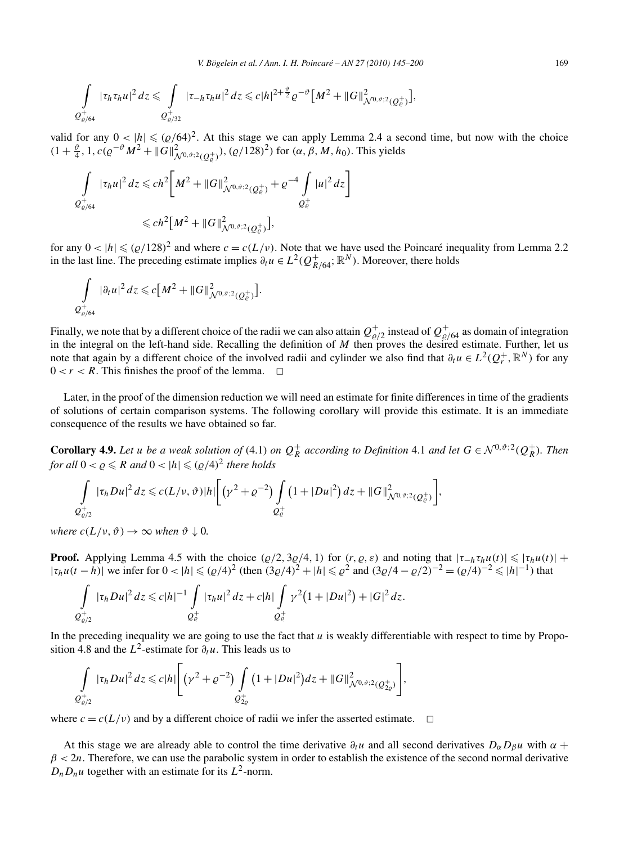$$
\int_{\mathcal{Q}^+_{\varrho/64}} |\tau_h \tau_h u|^2 \, dz \leq \int_{\mathcal{Q}^+_{\varrho/32}} |\tau_{-h} \tau_h u|^2 \, dz \leq c |h|^{2+\frac{\vartheta}{2}} \varrho^{-\vartheta} \big[ M^2 + \|G\|^2_{\mathcal{N}^{0,\vartheta;2}(\mathcal{Q}^+_{\varrho})} \big],
$$

valid for any  $0 < |h| \le (q/64)^2$ . At this stage we can apply Lemma 2.4 a second time, but now with the choice  $(1 + \frac{\vartheta}{4}, 1, c(\varrho^{-\vartheta} M^2 + ||G||^2_{\mathcal{N}^{0,\vartheta;2}(Q^+_{\varrho})}), (\varrho/128)^2)$  for  $(\alpha, \beta, M, h_0)$ . This yields

$$
\int_{Q^+_{\varrho/64}} |\tau_h u|^2 dz \leq c h^2 \bigg[ M^2 + ||G||^2_{\mathcal{N}^{0,\vartheta;2}(Q^+_{\varrho})} + \varrho^{-4} \int_{Q^+_{\varrho}} |u|^2 dz \bigg]
$$
  

$$
\leq c h^2 \big[ M^2 + ||G||^2_{\mathcal{N}^{0,\vartheta;2}(Q^+_{\varrho})} \big],
$$

for any  $0 < |h| \leq (Q/128)^2$  and where  $c = c(L/v)$ . Note that we have used the Poincaré inequality from Lemma 2.2 in the last line. The preceding estimate implies  $\partial_t u \in L^2(Q_{R/64}^+; \mathbb{R}^N)$ . Moreover, there holds

$$
\int_{Q_{\varrho/64}^+} |\partial_t u|^2 dz \leq c \big[ M^2 + \|G\|_{\mathcal{N}^{0,\vartheta;2}(Q_{\varrho}^+)}^2 \big].
$$

Finally, we note that by a different choice of the radii we can also attain  $Q^+_{\varrho/2}$  instead of  $Q^+_{\varrho/64}$  as domain of integration in the integral on the left-hand side. Recalling the definition of  $M$  then proves the desired estimate. Further, let us note that again by a different choice of the involved radii and cylinder we also find that  $\partial_t u \in L^2(Q^+_r, \mathbb{R}^N)$  for any  $0 < r < R$ . This finishes the proof of the lemma.  $\Box$ 

Later, in the proof of the dimension reduction we will need an estimate for finite differences in time of the gradients of solutions of certain comparison systems. The following corollary will provide this estimate. It is an immediate consequence of the results we have obtained so far.

**Corollary 4.9.** Let *u* be a weak solution of (4.1) on  $Q_R^+$  according to Definition 4.1 and let  $G \in \mathcal{N}^{0,\vartheta;2}(Q_R^+)$ . Then *for all*  $0 < \rho \le R$  *and*  $0 < |h| \le (\rho/4)^2$  *there holds* 

$$
\int_{Q_{\varrho/2}^+} |\tau_h Du|^2 dz \leqslant c(L/\nu,\vartheta)|h|\bigg[\big(\gamma^2+\varrho^{-2}\big)\int_{Q_{\varrho}^+} \big(1+|Du|^2\big) dz + \|G\|_{\mathcal{N}^{0,\vartheta;2}(Q_{\varrho}^+)}^2\bigg],
$$

*where*  $c(L/\nu, \vartheta) \rightarrow \infty$  *when*  $\vartheta \downarrow 0$ *.* 

**Proof.** Applying Lemma 4.5 with the choice  $(\varrho/2, 3\varrho/4, 1)$  for  $(r, \varrho, \varepsilon)$  and noting that  $|\tau_{-h}\tau_h u(t)| \leq |\tau_h u(t)| +$  $|\tau_h u(t-h)|$  we infer for  $0 < |h| \le (Q/4)^2$  (then  $(3Q/4)^2 + |h| \le Q^2$  and  $(3Q/4 - Q/2)^{-2} = (Q/4)^{-2} \le |h|^{-1}$ ) that

$$
\int_{Q_{\varrho/2}^+} |\tau_h Du|^2 dz \leq c |h|^{-1} \int_{Q_{\varrho}^+} |\tau_h u|^2 dz + c |h| \int_{Q_{\varrho}^+} \gamma^2 (1 + |Du|^2) + |G|^2 dz.
$$

In the preceding inequality we are going to use the fact that *u* is weakly differentiable with respect to time by Proposition 4.8 and the  $L^2$ -estimate for  $\partial_t u$ . This leads us to

$$
\int_{Q_{\varrho/2}^+} |\tau_h Du|^2 dz \leq c |h| \Bigg[ \big(\gamma^2 + \varrho^{-2}\big) \int_{Q_{2\varrho}^+} \big(1 + |Du|^2\big) dz + ||G||^2_{\mathcal{N}^{0,\vartheta;2}(Q_{2\varrho}^+)} \Bigg],
$$

where  $c = c(L/v)$  and by a different choice of radii we infer the asserted estimate.  $\Box$ 

At this stage we are already able to control the time derivative  $\partial_t u$  and all second derivatives  $D_\alpha D_\beta u$  with  $\alpha$  +  $\beta$  < 2*n*. Therefore, we can use the parabolic system in order to establish the existence of the second normal derivative  $D_n D_n u$  together with an estimate for its  $L^2$ -norm.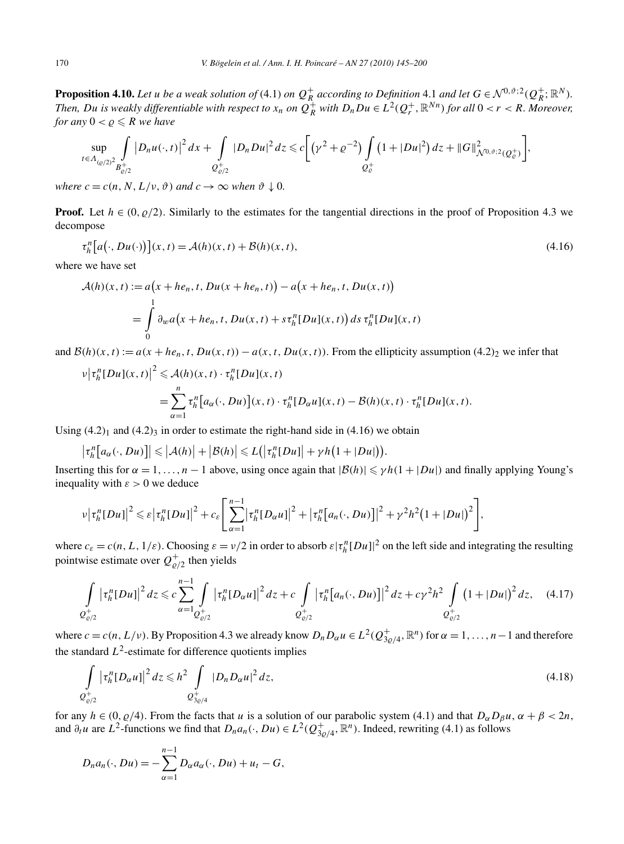**Proposition 4.10.** Let u be a weak solution of (4.1) on  $Q_R^+$  according to Definition 4.1 and let  $G \in \mathcal{N}^{0,\vartheta;2}(Q_R^+;\mathbb{R}^N)$ . Then, Du is weakly differentiable with respect to  $x_n$  on  $Q_R^+$  with  $D_nDu\in L^2(Q_r^+,\mathbb{R}^{Nn})$  for all  $0 < r < R$ . Moreover, *for any*  $0 < \rho \leq R$  *we have* 

$$
\sup_{t\in\Lambda_{(Q/2)^2}}\int\limits_{B_{\varrho/2}^+}|D_nu(\cdot,t)|^2\,dx+\int\limits_{Q_{\varrho/2}^+}|D_nDu|^2\,dz\leq c\bigg[\big(\gamma^2+\varrho^{-2}\big)\int\limits_{Q_{\varrho}^+}\big(1+|Du|^2\big)\,dz+\|G\|^2_{\mathcal{N}^{0,\vartheta;2}(Q_{\varrho}^+)}\bigg],
$$

*where*  $c = c(n, N, L/\nu, \vartheta)$  *and*  $c \rightarrow \infty$  *when*  $\vartheta \downarrow 0$ *.* 

**Proof.** Let  $h \in (0, \rho/2)$ . Similarly to the estimates for the tangential directions in the proof of Proposition 4.3 we decompose

$$
\tau_h^n\big[a(\cdot,Du(\cdot))\big](x,t) = \mathcal{A}(h)(x,t) + \mathcal{B}(h)(x,t),\tag{4.16}
$$

where we have set

$$
\mathcal{A}(h)(x,t) := a\big(x + he_n, t, Du(x + he_n, t)\big) - a\big(x + he_n, t, Du(x, t)\big)
$$
  
= 
$$
\int_0^1 \partial_w a\big(x + he_n, t, Du(x, t) + s\tau_h^n[Du](x, t)\big) ds \tau_h^n[Du](x, t)
$$

and  $\mathcal{B}(h)(x,t) := a(x + h e_n, t, Du(x,t)) - a(x,t, Du(x,t))$ . From the ellipticity assumption (4.2)<sub>2</sub> we infer that

$$
\begin{split} \left| \tau_h^n[Du](x,t) \right|^2 &\leq \mathcal{A}(h)(x,t) \cdot \tau_h^n[Du](x,t) \\ & = \sum_{\alpha=1}^n \tau_h^n\big[a_\alpha(\cdot,Du)\big](x,t) \cdot \tau_h^n[D_\alpha u](x,t) - \mathcal{B}(h)(x,t) \cdot \tau_h^n[Du](x,t). \end{split}
$$

Using  $(4.2)_1$  and  $(4.2)_3$  in order to estimate the right-hand side in  $(4.16)$  we obtain

$$
\left|\tau_h^n\big[a_\alpha(\cdot,Du)\big]\right|\leqslant \left|\mathcal{A}(h)\right|+\left|\mathcal{B}(h)\right|\leqslant L\big(\left|\tau_h^n[Du]\right|+\gamma h\big(1+|Du|\big)\big).
$$

Inserting this for  $\alpha = 1, \ldots, n - 1$  above, using once again that  $|\mathcal{B}(h)| \le \gamma h(1 + |Du|)$  and finally applying Young's inequality with  $\varepsilon > 0$  we deduce

$$
v|\tau_h^n(Du)|^2 \leqslant \varepsilon |\tau_h^n(Du)|^2 + c_{\varepsilon} \Bigg[\sum_{\alpha=1}^{n-1} |\tau_h^n(D_{\alpha}u)|^2 + |\tau_h^n[a_n(\cdot,Du)]|^2 + \gamma^2 h^2 (1+|Du|)^2\Bigg],
$$

where  $c_{\varepsilon} = c(n, L, 1/\varepsilon)$ . Choosing  $\varepsilon = v/2$  in order to absorb  $\varepsilon | \tau_h^n[Du]|^2$  on the left side and integrating the resulting pointwise estimate over  $Q_{\varrho/2}^+$  then yields

$$
\int_{Q_{\varrho/2}^+} |\tau_h^n[Du]|^2 dz \leqslant c \sum_{\alpha=1}^{n-1} \int_{Q_{\varrho/2}^+} |\tau_h^n[D_\alpha u]|^2 dz + c \int_{Q_{\varrho/2}^+} |\tau_h^n[a_n(\cdot, Du)]|^2 dz + c\gamma^2 h^2 \int_{Q_{\varrho/2}^+} (1+|Du|)^2 dz, \quad (4.17)
$$

where  $c = c(n, L/\nu)$ . By Proposition 4.3 we already know  $D_n D_\alpha u \in L^2(Q^+_{3\varrho/4}, \mathbb{R}^n)$  for  $\alpha = 1, \ldots, n-1$  and therefore the standard  $L^2$ -estimate for difference quotients implies

$$
\int_{Q_{\varrho/2}^+} \left| \tau_h^n[D_\alpha u] \right|^2 dz \leqslant h^2 \int_{Q_{3\varrho/4}^+} |D_n D_\alpha u|^2 dz,
$$
\n(4.18)

for any  $h \in (0, \rho/4)$ . From the facts that *u* is a solution of our parabolic system (4.1) and that  $D_{\alpha}D_{\beta}u$ ,  $\alpha + \beta < 2n$ , and  $\partial_t u$  are  $L^2$ -functions we find that  $D_n a_n(\cdot, Du) \in L^2(Q_{3\varrho/4}^+, \mathbb{R}^n)$ . Indeed, rewriting (4.1) as follows

$$
D_n a_n(\cdot, Du) = -\sum_{\alpha=1}^{n-1} D_{\alpha} a_{\alpha}(\cdot, Du) + u_t - G,
$$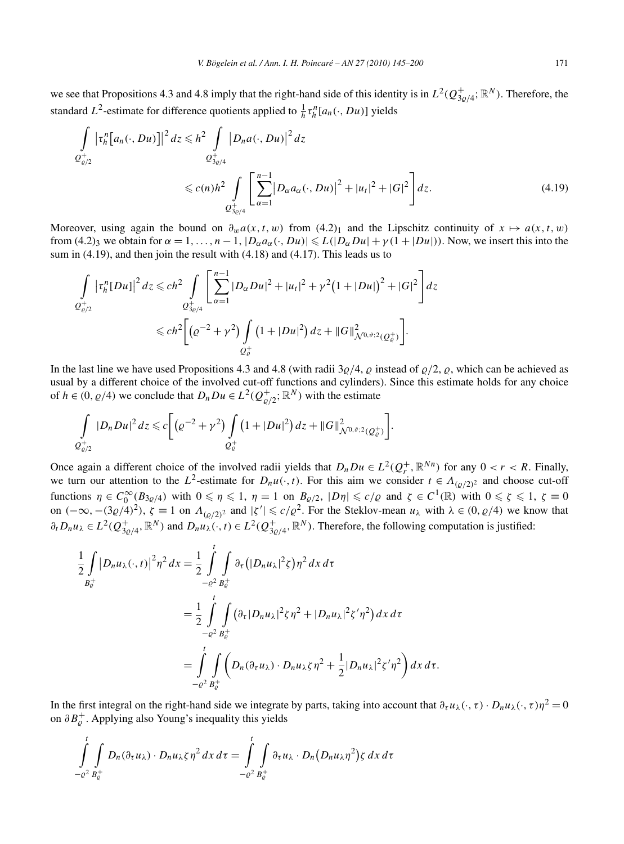we see that Propositions 4.3 and 4.8 imply that the right-hand side of this identity is in  $L^2(Q_{3g/4}^+; \mathbb{R}^N)$ . Therefore, the standard  $L^2$ -estimate for difference quotients applied to  $\frac{1}{h} \tau_h^n [a_n(\cdot, Du)]$  yields

$$
\int_{Q_{\varrho/2}^+} |\tau_h^n[a_n(\cdot, Du)]|^2 dz \le h^2 \int_{Q_{3\varrho/4}^+} |D_n a(\cdot, Du)|^2 dz
$$
\n
$$
\le c(n)h^2 \int_{Q_{3\varrho/4}^+} \left[ \sum_{\alpha=1}^{n-1} |D_\alpha a_\alpha(\cdot, Du)|^2 + |u_t|^2 + |G|^2 \right] dz.
$$
\n(4.19)

Moreover, using again the bound on  $\partial_w a(x, t, w)$  from (4.2)<sub>1</sub> and the Lipschitz continuity of  $x \mapsto a(x, t, w)$ from  $(4.2)$ <sub>3</sub> we obtain for  $\alpha = 1, \ldots, n-1$ ,  $|D_{\alpha}a_{\alpha}(\cdot, Du)| \le L(|D_{\alpha}Du| + \gamma(1+|Du|))$ . Now, we insert this into the sum in  $(4.19)$ , and then join the result with  $(4.18)$  and  $(4.17)$ . This leads us to

$$
\int_{Q_{\varrho/2}^+} |\tau_h^n[Du]|^2 dz \leq c h^2 \int_{Q_{3\varrho/4}^+} \left[ \sum_{\alpha=1}^{n-1} |D_{\alpha}Du|^2 + |u_t|^2 + \gamma^2 (1+|Du|)^2 + |G|^2 \right] dz
$$
  

$$
\leq c h^2 \left[ \left( \varrho^{-2} + \gamma^2 \right) \int_{Q_{\varrho}^+} \left( 1 + |Du|^2 \right) dz + \|G\|_{\mathcal{N}^{0,\vartheta;2}(Q_{\varrho}^+)}^2 \right].
$$

In the last line we have used Propositions 4.3 and 4.8 (with radii  $3\rho/4$ ,  $\rho$  instead of  $\rho/2$ ,  $\rho$ , which can be achieved as usual by a different choice of the involved cut-off functions and cylinders). Since this estimate holds for any choice of  $h \in (0, \varrho/4)$  we conclude that  $D_n D u \in L^2(Q_{\varrho/2}^+; \mathbb{R}^N)$  with the estimate

$$
\int\limits_{Q_{\varrho/2}^+} |D_n Du|^2\,dz \leqslant c \bigg[\big(\varrho^{-2}+\gamma^2\big)\int\limits_{Q_{\varrho}^+} \big(1+|Du|^2\big)\,dz+\|G\|_{\mathcal{N}^{0,\vartheta;2}(Q_{\varrho}^+)}^2\bigg].
$$

Once again a different choice of the involved radii yields that  $D_nDu \in L^2(Q_r^+, \mathbb{R}^{Nn})$  for any  $0 < r < R$ . Finally, we turn our attention to the  $L^2$ -estimate for  $D_nu(\cdot,t)$ . For this aim we consider  $t \in A_{(Q/2)^2}$  and choose cut-off functions  $\eta \in C_0^{\infty}(B_{3\varrho/4})$  with  $0 \le \eta \le 1$ ,  $\eta = 1$  on  $B_{\varrho/2}$ ,  $|D\eta| \le c/\varrho$  and  $\zeta \in C^1(\mathbb{R})$  with  $0 \le \zeta \le 1$ ,  $\zeta \equiv 0$ on  $(-\infty, -(3\varrho/4)^2)$ ,  $\zeta \equiv 1$  on  $\Lambda_{(\varrho/2)^2}$  and  $|\zeta'| \leqslant c/\varrho^2$ . For the Steklov-mean  $u_\lambda$  with  $\lambda \in (0, \varrho/4)$  we know that  $\partial_t D_n u_\lambda \in L^2(Q^+_{3\varrho/4}, \mathbb{R}^N)$  and  $D_n u_\lambda(\cdot, t) \in L^2(Q^+_{3\varrho/4}, \mathbb{R}^N)$ . Therefore, the following computation is justified:

$$
\frac{1}{2} \int_{B_{c}^{+}} |D_{n} u_{\lambda}(\cdot, t)|^{2} \eta^{2} dx = \frac{1}{2} \int_{-e^{2}}^{t} \int_{B_{c}^{+}} \partial_{\tau} (|D_{n} u_{\lambda}|^{2} \zeta) \eta^{2} dx d\tau
$$
\n
$$
= \frac{1}{2} \int_{-e^{2}}^{t} \int_{B_{c}^{+}} (\partial_{\tau} |D_{n} u_{\lambda}|^{2} \zeta \eta^{2} + |D_{n} u_{\lambda}|^{2} \zeta' \eta^{2}) dx d\tau
$$
\n
$$
= \int_{-e^{2}}^{t} \int_{B_{c}^{+}} (D_{n} (\partial_{\tau} u_{\lambda}) \cdot D_{n} u_{\lambda} \zeta \eta^{2} + \frac{1}{2} |D_{n} u_{\lambda}|^{2} \zeta' \eta^{2}) dx d\tau.
$$

In the first integral on the right-hand side we integrate by parts, taking into account that  $\partial_{\tau} u_{\lambda}(\cdot, \tau) \cdot D_n u_{\lambda}(\cdot, \tau) \eta^2 = 0$ on *∂B*<sup>+</sup>  . Applying also Young's inequality this yields

$$
\int_{-c^2}^t \int_{B_c^+} D_n(\partial_\tau u_\lambda) \cdot D_n u_\lambda \zeta \eta^2 dx d\tau = \int_{-c^2}^t \int_{B_c^+} \partial_\tau u_\lambda \cdot D_n(D_n u_\lambda \eta^2) \zeta dx d\tau
$$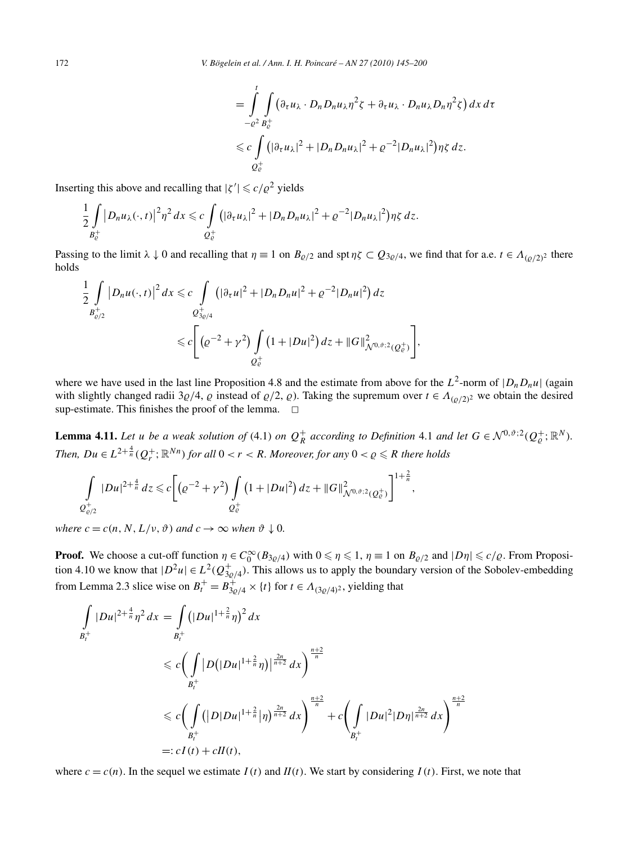$$
= \int_{-e^2}^{t} \int_{B_e^+} \left( \partial_{\tau} u_{\lambda} \cdot D_n D_n u_{\lambda} \eta^2 \zeta + \partial_{\tau} u_{\lambda} \cdot D_n u_{\lambda} D_n \eta^2 \zeta \right) dx \, d\tau
$$
  

$$
\leq c \int_{Q_e^+} \left( |\partial_{\tau} u_{\lambda}|^2 + |D_n D_n u_{\lambda}|^2 + \rho^{-2} |D_n u_{\lambda}|^2 \right) \eta \zeta \, d\tau.
$$

Inserting this above and recalling that  $|\zeta'| \leqslant c/\varrho^2$  yields

$$
\frac{1}{2}\int\limits_{B_{\mathcal{C}}^+}|D_n u_{\lambda}(\cdot,t)|^2\eta^2\,dx\leqslant c\int\limits_{Q_{\mathcal{C}}^+}(|\partial_{\tau} u_{\lambda}|^2+|D_n D_n u_{\lambda}|^2+ \varrho^{-2}|D_n u_{\lambda}|^2\big)\eta\zeta\,dz.
$$

Passing to the limit  $\lambda \downarrow 0$  and recalling that  $\eta \equiv 1$  on  $B_{\varrho/2}$  and spt  $\eta \zeta \subset Q_{3\varrho/4}$ , we find that for a.e.  $t \in \Lambda_{(\varrho/2)^2}$  there holds

$$
\frac{1}{2} \int\limits_{B_{\varrho/2}^+} |D_n u(\cdot,t)|^2 \, dx \leq c \int\limits_{Q_{3\varrho/4}^+} \left( |\partial_\tau u|^2 + |D_n D_n u|^2 + \varrho^{-2} |D_n u|^2 \right) \, dz
$$
\n
$$
\leq c \Bigg[ \left( \varrho^{-2} + \gamma^2 \right) \int\limits_{Q_\varrho^+} \left( 1 + |Du|^2 \right) \, dz + \|G\|_{\mathcal{N}^{0,\vartheta;2}(Q_\varrho^+)}^2 \Bigg],
$$

where we have used in the last line Proposition 4.8 and the estimate from above for the  $L^2$ -norm of  $|D_nD_nu|$  (again with slightly changed radii 3 $\varrho/4$ ,  $\varrho$  instead of  $\varrho/2$ ,  $\varrho$ ). Taking the supremum over  $t \in \Lambda_{(\varrho/2)^2}$  we obtain the desired sup-estimate. This finishes the proof of the lemma.  $\Box$ 

**Lemma 4.11.** Let u be a weak solution of (4.1) on  $Q_R^+$  according to Definition 4.1 and let  $G \in \mathcal{N}^{0,\vartheta;2}(Q_\varrho^+;\mathbb{R}^N)$ . *Then, Du*  $\in L^{2+\frac{4}{n}}(Q_r^+; \mathbb{R}^{Nn})$  *for all*  $0 < r < R$ *. Moreover, for any*  $0 < \varrho \leqslant R$  *there holds* 

$$
\int\limits_{Q_{\varrho/2}^+} |Du|^{2+\frac{4}{n}} dz \leq c \bigg[ \big( \varrho^{-2} + \gamma^2 \big) \int\limits_{Q_{\varrho}^+} \big( 1 + |Du|^2 \big) \, dz + \|G\|_{\mathcal{N}^{0,\vartheta;2}(Q_{\varrho}^+)}^2 \bigg]^{1+\frac{2}{n}},
$$

*where*  $c = c(n, N, L/v, \vartheta)$  *and*  $c \to \infty$  *when*  $\vartheta \downarrow 0$ *.* 

**Proof.** We choose a cut-off function  $\eta \in C_0^{\infty}(B_{3\varrho/4})$  with  $0 \le \eta \le 1$ ,  $\eta \equiv 1$  on  $B_{\varrho/2}$  and  $|D\eta| \le c/\varrho$ . From Proposition 4.10 we know that  $|D^2u| \in L^2(Q_{3\varrho/4}^+)$ . This allows us to apply the boundary version of the Sobolev-embedding from Lemma 2.3 slice wise on  $B_t^+ = B_{3\rho/4}^+ \times \{t\}$  for  $t \in A_{(3\rho/4)^2}$ , yielding that

$$
\int_{B_t^+} |Du|^{2+\frac{4}{n}} \eta^2 dx = \int_{B_t^+} (|Du|^{1+\frac{2}{n}} \eta)^2 dx
$$
\n
$$
\leq c \Big( \int_{B_t^+} |D(|Du|^{1+\frac{2}{n}} \eta)|^{\frac{2n}{n+2}} dx \Big)^{\frac{n+2}{n}}
$$
\n
$$
\leq c \Big( \int_{B_t^+} (|D|Du|^{1+\frac{2}{n}} \eta)^{\frac{2n}{n+2}} dx \Big)^{\frac{n+2}{n}} + c \Big( \int_{B_t^+} |Du|^2 |D\eta|^{\frac{2n}{n+2}} dx \Big)^{\frac{n+2}{n}}
$$
\n
$$
=: cI(t) + cH(t),
$$

where  $c = c(n)$ . In the sequel we estimate  $I(t)$  and  $II(t)$ . We start by considering  $I(t)$ . First, we note that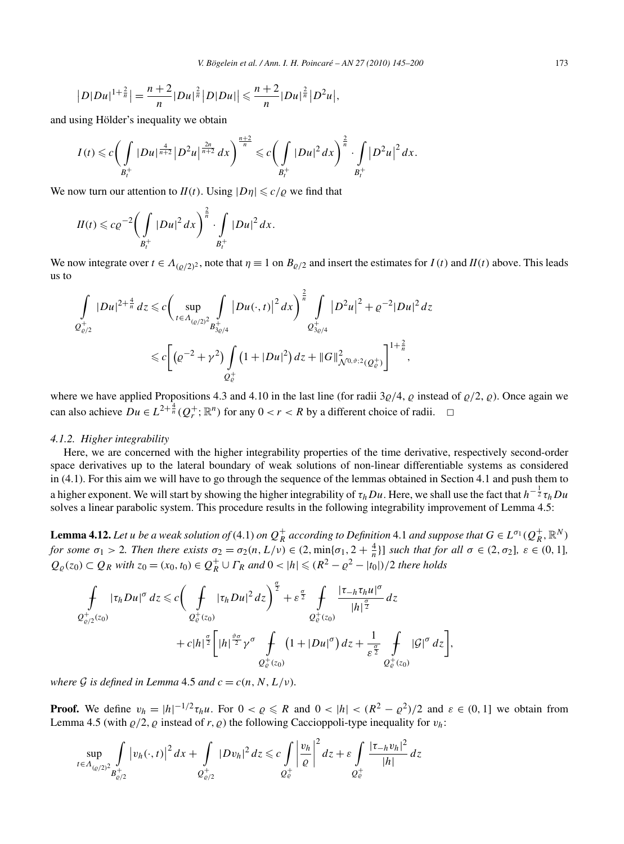$$
|D|Du|^{1+\frac{2}{n}}|=\frac{n+2}{n}|Du|^{\frac{2}{n}}|D|Du| \leq \frac{n+2}{n}|Du|^{\frac{2}{n}}|D^2u|,
$$

and using Hölder's inequality we obtain

$$
I(t) \leqslant c \bigg(\int\limits_{B_t^+} |Du|^{\frac{4}{n+2}} |D^2u|^{\frac{2n}{n+2}} dx\bigg)^{\frac{n+2}{n}} \leqslant c \bigg(\int\limits_{B_t^+} |Du|^2 dx\bigg)^{\frac{2}{n}} \cdot \int\limits_{B_t^+} |D^2u|^2 dx.
$$

We now turn our attention to  $II(t)$ . Using  $|D\eta| \leq c/\varrho$  we find that

$$
II(t)\leqslant c\varrho^{-2}\bigg(\int\limits_{B_{t}^{+}}|Du|^{2} dx\bigg)^{\frac{2}{n}}\cdot \int\limits_{B_{t}^{+}}|Du|^{2} dx.
$$

We now integrate over  $t \in A_{(\rho/2)^2}$ , note that  $\eta \equiv 1$  on  $B_{\rho/2}$  and insert the estimates for  $I(t)$  and  $II(t)$  above. This leads us to

$$
\int_{Q_{\varrho/2}^+} |Du|^{2+\frac{4}{n}} dz \leq c \bigg( \sup_{t \in \Lambda_{(\varrho/2)^2}} \int_{B_{3\varrho/4}^+} |Du(\cdot,t)|^2 dx \bigg)^{\frac{2}{n}} \int_{Q_{3\varrho/4}^+} |D^2u|^2 + \varrho^{-2} |Du|^2 dz
$$
  

$$
\leq c \bigg[ \big(\varrho^{-2} + \gamma^2 \big) \int_{Q_{\varrho}^+} \big(1 + |Du|^2 \big) dz + ||G||_{\Lambda^{(0,\vartheta;2}(Q_{\varrho}^+)}^2 \bigg]^{1+\frac{2}{n}},
$$

where we have applied Propositions 4.3 and 4.10 in the last line (for radii  $3\rho/4$ ,  $\rho$  instead of  $\rho/2$ ,  $\rho$ ). Once again we can also achieve  $Du \in L^{2+\frac{4}{n}}(Q_r^+; \mathbb{R}^n)$  for any  $0 < r < R$  by a different choice of radii.  $\Box$ 

#### *4.1.2. Higher integrability*

Here, we are concerned with the higher integrability properties of the time derivative, respectively second-order space derivatives up to the lateral boundary of weak solutions of non-linear differentiable systems as considered in (4.1). For this aim we will have to go through the sequence of the lemmas obtained in Section 4.1 and push them to a higher exponent. We will start by showing the higher integrability of  $\tau_hDu$ . Here, we shall use the fact that  $h^{-{1\over2}}\tau_hDu$ solves a linear parabolic system. This procedure results in the following integrability improvement of Lemma 4.5:

**Lemma 4.12.** Let u be a weak solution of (4.1) on  $Q_R^+$  according to Definition 4.1 and suppose that  $G \in L^{\sigma_1}(Q_R^+, \mathbb{R}^N)$ for some  $\sigma_1 > 2$ . Then there exists  $\sigma_2 = \sigma_2(n, L/\nu) \in (2, \min{\lbrace \sigma_1, 2 + \frac{4}{n} \rbrace}]$  such that for all  $\sigma \in (2, \sigma_2]$ ,  $\varepsilon \in (0, 1]$ ,  $Q_{\varrho}(z_0) \subset Q_R$  *with*  $z_0 = (x_0, t_0) \in Q_R^+ \cup \Gamma_R$  *and*  $0 < |h| \leq (R^2 - \varrho^2 - |t_0|)/2$  *there holds* 

$$
\int_{Q_{\varrho/2}^+(z_0)} |\tau_h Du|^{\sigma} dz \leq c \bigg( \int_{Q_{\varrho}^+(z_0)} |\tau_h Du|^2 dz \bigg)^{\frac{\sigma}{2}} + \varepsilon^{\frac{\sigma}{2}} \int_{Q_{\varrho}^+(z_0)} \frac{|\tau_{-h} \tau_h u|^{\sigma}}{|h|^{\frac{\sigma}{2}}} dz + c|h|^{\frac{\sigma}{2}} \bigg[ |h|^{\frac{\vartheta \sigma}{2}} \gamma^{\sigma} \int_{Q_{\varrho}^+(z_0)} (1 + |Du|^{\sigma}) dz + \frac{1}{\varepsilon^{\frac{\sigma}{2}}} \int_{Q_{\varrho}^+(z_0)} |G|^{\sigma} dz \bigg],
$$

*where*  $G$  *is defined in Lemma* 4.5 *and*  $c = c(n, N, L/\nu)$ *.* 

**Proof.** We define  $v_h = |h|^{-1/2} \tau_h u$ . For  $0 < \varrho \le R$  and  $0 < |h| < (R^2 - \varrho^2)/2$  and  $\varepsilon \in (0, 1]$  we obtain from Lemma 4.5 (with  $\varrho/2$ ,  $\varrho$  instead of *r*,  $\varrho$ ) the following Caccioppoli-type inequality for  $v_h$ :

$$
\sup_{t \in \Lambda_{(Q/2)}^2} \int_{B_{\varrho/2}^+} |v_h(\cdot, t)|^2 \, dx + \int_{Q_{\varrho/2}^+} |Dv_h|^2 \, dz \leqslant c \int_{Q_{\varrho}^+} \left| \frac{v_h}{\varrho} \right|^2 \, dz + \varepsilon \int_{Q_{\varrho}^+} \frac{|\tau_{-h}v_h|^2}{|h|} \, dz
$$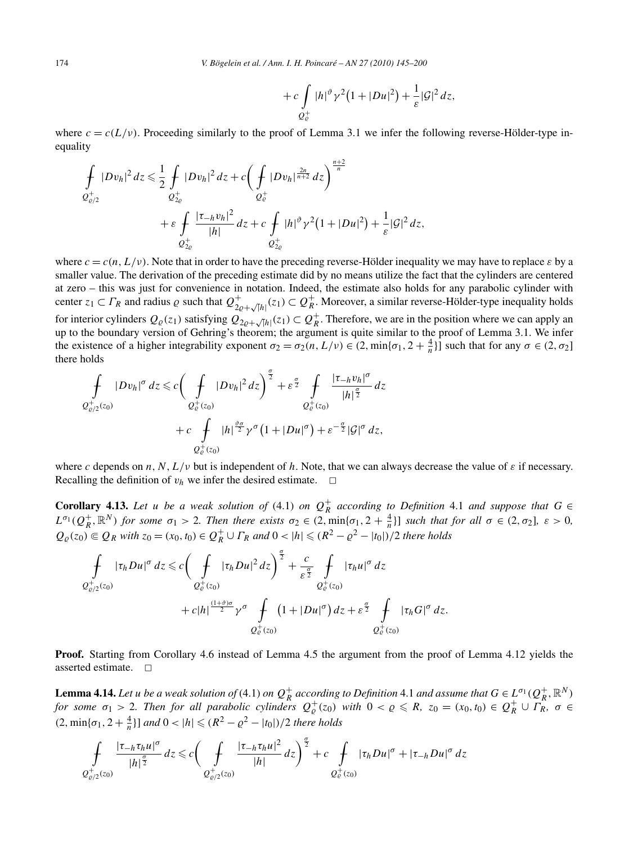$$
+ c \int\limits_{Q_{\mathcal{C}}^+} |h|^{\vartheta} \gamma^2 (1 + |Du|^2) + \frac{1}{\varepsilon} |\mathcal{G}|^2 dz,
$$

where  $c = c(L/\nu)$ . Proceeding similarly to the proof of Lemma 3.1 we infer the following reverse-Hölder-type inequality

$$
\int_{\mathcal{Q}^+_{\varrho/2}} |Dv_h|^2 dz \leq \frac{1}{2} \int_{\mathcal{Q}^+_{2\varrho}} |Dv_h|^2 dz + c \bigg( \int_{\mathcal{Q}^+_{\varrho}} |Dv_h|^{\frac{2n}{n+2}} dz \bigg)^{\frac{n+2}{n}} \n+ \varepsilon \int_{\mathcal{Q}^+_{2\varrho}} \frac{|\tau_{-h}v_h|^2}{|h|} dz + c \int_{\mathcal{Q}^+_{2\varrho}} |h|^{p} \gamma^2 (1 + |Du|^2) + \frac{1}{\varepsilon} |\mathcal{G}|^2 dz,
$$

where  $c = c(n, L/v)$ . Note that in order to have the preceding reverse-Hölder inequality we may have to replace  $\varepsilon$  by a smaller value. The derivation of the preceding estimate did by no means utilize the fact that the cylinders are centered at zero – this was just for convenience in notation. Indeed, the estimate also holds for any parabolic cylinder with center  $z_1 \subset \Gamma_R$  and radius  $\varrho$  such that  $\mathcal{Q}_{2\varrho+\sqrt{|h|}}^+(z_1) \subset \mathcal{Q}_R^+$ . Moreover, a similar reverse-Hölder-type inequality holds for interior cylinders  $Q_{\varrho}(z_1)$  satisfying  $Q_{2\varrho+\sqrt{|h|}}(z_1) \subset Q_R^+$ . Therefore, we are in the position where we can apply an up to the boundary version of Gehring's theorem; the argument is quite similar to the proof of Lemma 3.1. We infer the existence of a higher integrability exponent  $\sigma_2 = \sigma_2(n, L/\nu) \in (2, \min\{\sigma_1, 2 + \frac{4}{n}\}]$  such that for any  $\sigma \in (2, \sigma_2]$ there holds

$$
\begin{split} \oint\limits_{Q_{\varrho/2}^+(z_0)} |Dv_h|^\sigma \, dz \leqslant c \bigg(\oint\limits_{Q_{\varrho}^+(z_0)} |Dv_h|^2 \, dz\bigg)^{\frac{\sigma}{2}} + \varepsilon^{\frac{\sigma}{2}} \oint\limits_{Q_{\varrho}^+(z_0)} \frac{|\tau_{-h}v_h|^\sigma}{|h|^{\frac{\sigma}{2}}} \, dz \\ &\quad + c \oint\limits_{Q_{\varrho}^+(z_0)} |h|^{\frac{\vartheta\sigma}{2}} \gamma^\sigma \big(1 + |Du|^\sigma\big) + \varepsilon^{-\frac{\sigma}{2}} |\mathcal{G}|^\sigma \, dz, \end{split}
$$

where c depends on  $n, N, L/\nu$  but is independent of  $h$ . Note, that we can always decrease the value of  $\varepsilon$  if necessary. Recalling the definition of  $v_h$  we infer the desired estimate.  $\Box$ 

**Corollary 4.13.** Let *u* be a weak solution of (4.1) on  $Q_R^+$  according to Definition 4.1 and suppose that  $G \in$  $L^{\sigma_1}(Q_R^+, \mathbb{R}^N)$  for some  $\sigma_1 > 2$ . Then there exists  $\sigma_2 \in (2, \min{\{\sigma_1, 2 + \frac{4}{n}\}}]$  such that for all  $\sigma \in (2, \sigma_2]$ ,  $\varepsilon > 0$ ,  $Q_{\varrho}(z_0) \subseteq Q_R$  *with*  $z_0 = (x_0, t_0) \in Q_R^+ \cup \Gamma_R$  *and*  $0 < |h| \leq (R^2 - \varrho^2 - |t_0|)/2$  *there holds* 

$$
\int_{Q_{\varrho/2}^+(z_0)} |\tau_h Du|^{\sigma} dz \leq c \bigg( \int_{Q_{\varrho}^+(z_0)} |\tau_h Du|^2 dz \bigg)^{\frac{\sigma}{2}} + \frac{c}{\varepsilon^{\frac{\sigma}{2}}} \int_{Q_{\varrho}^+(z_0)} |\tau_h u|^{\sigma} dz \n+ c|h|^{\frac{(1+\vartheta)\sigma}{2}} \gamma^{\sigma} \int_{Q_{\varrho}^+(z_0)} (1 + |Du|^{\sigma}) dz + \varepsilon^{\frac{\sigma}{2}} \int_{Q_{\varrho}^+(z_0)} |\tau_h G|^{\sigma} dz.
$$

**Proof.** Starting from Corollary 4.6 instead of Lemma 4.5 the argument from the proof of Lemma 4.12 yields the asserted estimate.  $\square$ 

**Lemma 4.14.** Let u be a weak solution of (4.1) on  $Q_R^+$  according to Definition 4.1 and assume that  $G \in L^{\sigma_1}(Q_R^+, \mathbb{R}^N)$ for some  $\sigma_1 > 2$ . Then for all parabolic cylinders  $Q_{\varrho}^+(z_0)$  with  $0 < \varrho \le R$ ,  $z_0 = (x_0, t_0) \in Q_R^+ \cup T_R^R$ ,  $\sigma \in$  $(2, \min{\lbrace \sigma_1, 2 + \frac{4}{n} \rbrace}$  *and*  $0 < |h| \leq (R^2 - \varrho^2 - |t_0|)/2$  *there holds* 

$$
\int\limits_{Q^+_{\varrho/2}(z_0)}\frac{|\tau_{-h}\tau_h u|^{\sigma}}{|h|^{\frac{\sigma}{2}}}dz \leqslant c\bigg(\int\limits_{Q^+_{\varrho/2}(z_0)}\frac{|\tau_{-h}\tau_h u|^2}{|h|}dz\bigg)^{\frac{\sigma}{2}}+c\int\limits_{Q^+_{\varrho}(z_0)}|\tau_h Du|^{\sigma}+|\tau_{-h}Du|^{\sigma}dz
$$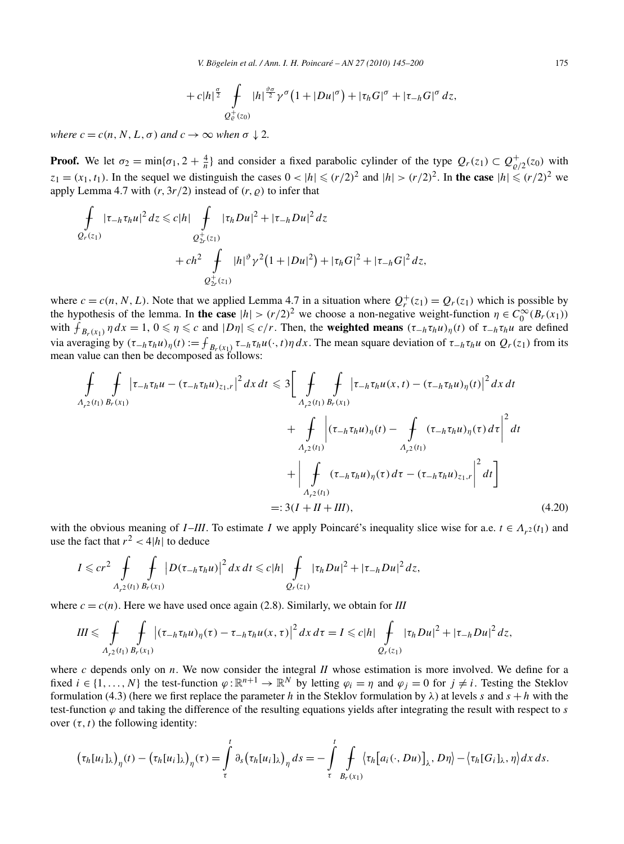$$
+ c|h|^{\frac{\sigma}{2}} \int\limits_{Q^+_{\varrho}(z_0)} |h|^{\frac{\vartheta\sigma}{2}} \gamma^{\sigma}\big(1+|Du|^{\sigma}\big) + |\tau_h G|^{\sigma} + |\tau_{-h} G|^{\sigma} dz,
$$

*where*  $c = c(n, N, L, \sigma)$  *and*  $c \rightarrow \infty$  *when*  $\sigma \downarrow 2$ *.* 

**Proof.** We let  $\sigma_2 = \min{\{\sigma_1, 2 + \frac{4}{n}\}}$  and consider a fixed parabolic cylinder of the type  $Q_r(z_1) \subset Q_{\varrho/2}^+(z_0)$  with  $z_1 = (x_1, t_1)$ . In the sequel we distinguish the cases  $0 < |h| \le (r/2)^2$  and  $|h| > (r/2)^2$ . In the case  $|h| \le (r/2)^2$  we apply Lemma 4.7 with  $(r, 3r/2)$  instead of  $(r, \rho)$  to infer that

$$
\int_{Q_r(z_1)} |\tau_{-h}\tau_h u|^2 dz \leq c|h| \int_{Q_{2r}^+(z_1)} |\tau_h Du|^2 + |\tau_{-h} Du|^2 dz
$$
\n
$$
+ ch^2 \int_{Q_{2r}^+(z_1)} |h|^{\vartheta} \gamma^2 (1+|Du|^2) + |\tau_h G|^2 + |\tau_{-h} G|^2 dz,
$$

where  $c = c(n, N, L)$ . Note that we applied Lemma 4.7 in a situation where  $Q_r^+(z_1) = Q_r(z_1)$  which is possible by the hypothesis of the lemma. In **the case**  $|h| > (r/2)^2$  we choose a non-negative weight-function  $\eta \in C_0^{\infty}(B_r(x_1))$ with  $f_{B_r(x_1)} \eta dx = 1$ ,  $0 \le \eta \le c$  and  $|D\eta| \le c/r$ . Then, the **weighted means**  $(\tau_{-h} \tau_h u)_{\eta}(t)$  of  $\tau_{-h} \tau_h u$  are defined via averaging by  $(\tau_{-h}\tau_h u)_\eta(t) := \int_{B_r(x_1)} \tau_{-h}\tau_h u(\cdot,t)\eta dx$ . The mean square deviation of  $\tau_{-h}\tau_h u$  on  $Q_r(z_1)$  from its mean value can then be decomposed as follows:

$$
\int_{A_{r^{2}}(t_{1})} \int_{B_{r}(x_{1})} |\tau_{-h}\tau_{h}u - (\tau_{-h}\tau_{h}u)_{z_{1},r}|^{2} dx dt \leq 3 \Big[ \int_{A_{r^{2}}(t_{1})} \int_{B_{r}(x_{1})} |\tau_{-h}\tau_{h}u(x,t) - (\tau_{-h}\tau_{h}u)_{\eta}(t)|^{2} dx dt \n+ \int_{A_{r^{2}}(t_{1})} |\tau_{-h}\tau_{h}u)_{\eta}(t) - \int_{A_{r^{2}}(t_{1})} (\tau_{-h}\tau_{h}u)_{\eta}(\tau) d\tau \Big|^{2} dt \n+ \Big| \int_{A_{r^{2}}(t_{1})} (\tau_{-h}\tau_{h}u)_{\eta}(\tau) d\tau - (\tau_{-h}\tau_{h}u)_{z_{1},r} \Big|^{2} dt \Big] \n=: 3(I + II + III), \tag{4.20}
$$

with the obvious meaning of *I*-*III*. To estimate *I* we apply Poincaré's inequality slice wise for a.e.  $t \in A_{r^2}(t_1)$  and use the fact that  $r^2 < 4|h|$  to deduce

$$
I \leqslant c r^2 \int\limits_{A_{r^2}(t_1)} \int\limits_{B_r(x_1)} |D(\tau_{-h} \tau_h u)|^2 \, dx \, dt \leqslant c |h| \int\limits_{Q_r(z_1)} |\tau_h Du|^2 + |\tau_{-h} Du|^2 \, dz,
$$

where  $c = c(n)$ . Here we have used once again (2.8). Similarly, we obtain for *III* 

$$
III \leqslant \int\limits_{A_{r^2}(t_1)} \int\limits_{B_r(x_1)} \left| (\tau_{-h} \tau_h u)_\eta(\tau) - \tau_{-h} \tau_h u(x,\tau) \right|^2 dx d\tau = I \leqslant c |h| \int\limits_{Q_r(x_1)} |\tau_h Du|^2 + |\tau_{-h} Du|^2 dz,
$$

where *c* depends only on *n*. We now consider the integral *II* whose estimation is more involved. We define for a fixed  $i \in \{1, ..., N\}$  the test-function  $\varphi : \mathbb{R}^{n+1} \to \mathbb{R}^N$  by letting  $\varphi_i = \eta$  and  $\varphi_j = 0$  for  $j \neq i$ . Testing the Steklov formulation (4.3) (here we first replace the parameter *h* in the Steklov formulation by  $\lambda$ ) at levels *s* and  $\overline{s} + h$  with the test-function  $\varphi$  and taking the difference of the resulting equations yields after integrating the result with respect to *s* over  $(\tau, t)$  the following identity:

$$
(\tau_h[u_i]_\lambda)_\eta(t) - (\tau_h[u_i]_\lambda)_\eta(\tau) = \int\limits_\tau^t \partial_s(\tau_h[u_i]_\lambda)_\eta ds = -\int\limits_\tau^t \int\limits_{B_r(x_1)} \langle \tau_h[a_i(\cdot, Du)]_\lambda, D\eta \rangle - \langle \tau_h[G_i]_\lambda, \eta \rangle dx ds.
$$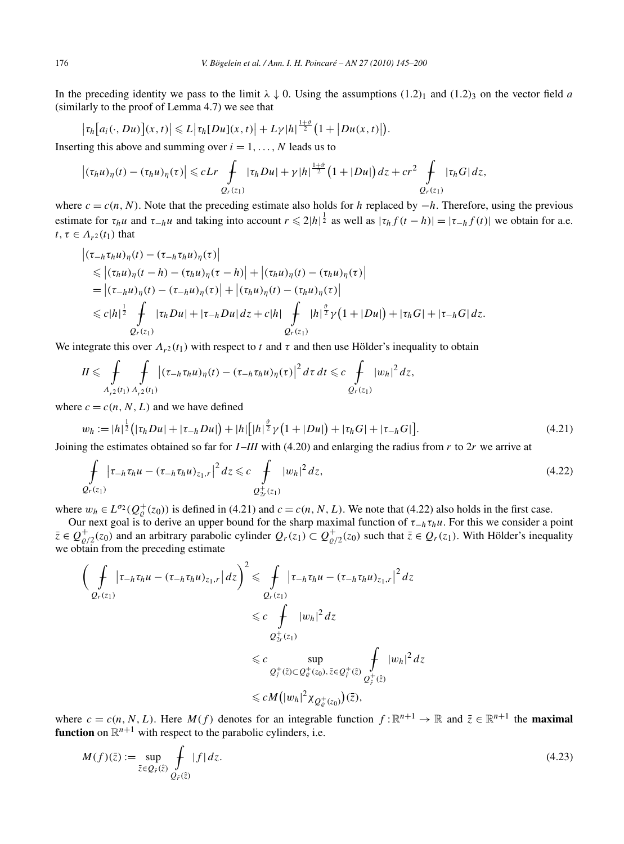In the preceding identity we pass to the limit  $\lambda \downarrow 0$ . Using the assumptions (1.2)<sub>1</sub> and (1.2)<sub>3</sub> on the vector field *a* (similarly to the proof of Lemma 4.7) we see that

$$
\big|\tau_h\big[a_i(\cdot,Du)\big](x,t)\big|\leqslant L\big|\tau_h[Du](x,t)\big|+L\gamma|h|^{\frac{1+\vartheta}{2}}\big(1+\big|Du(x,t)\big|\big).
$$

Inserting this above and summing over  $i = 1, \ldots, N$  leads us to

$$
\left|(\tau_h u)_\eta(t) - (\tau_h u)_\eta(\tau)\right| \leqslant cLr \int\limits_{Q_r(z_1)} |\tau_h Du| + \gamma |h|^{\frac{1+\vartheta}{2}} \left(1+|Du|\right) dz + cr^2 \int\limits_{Q_r(z_1)} |\tau_h G| dz,
$$

where  $c = c(n, N)$ . Note that the preceding estimate also holds for *h* replaced by  $-h$ . Therefore, using the previous estimate for  $\tau_h u$  and  $\tau_{-h} u$  and taking into account  $r \leq 2|h|^{\frac{1}{2}}$  as well as  $|\tau_h f(t-h)| = |\tau_{-h} f(t)|$  we obtain for a.e. *t*,  $\tau \in A_{r^2}(t_1)$  that

$$
\begin{aligned} \left| (\tau_{-h} \tau_h u)_\eta(t) - (\tau_{-h} \tau_h u)_\eta(\tau) \right| \\ &\leqslant \left| (\tau_h u)_\eta(t - h) - (\tau_h u)_\eta(\tau - h) \right| + \left| (\tau_h u)_\eta(t) - (\tau_h u)_\eta(\tau) \right| \\ &\quad= \left| (\tau_{-h} u)_\eta(t) - (\tau_{-h} u)_\eta(\tau) \right| + \left| (\tau_h u)_\eta(t) - (\tau_h u)_\eta(\tau) \right| \\ &\leqslant c |h|^{\frac{1}{2}} \int\limits_{Q_r(z_1)} |\tau_h Du| + |\tau_{-h} Du| dz + c |h| \int\limits_{Q_r(z_1)} \int\limits_{Q_r(z_1)} |\eta|^\frac{\vartheta}{2} \gamma(1 + |Du|) + |\tau_h G| + |\tau_{-h} G| dz. \end{aligned}
$$

We integrate this over  $\Lambda_{r^2}(t_1)$  with respect to *t* and  $\tau$  and then use Hölder's inequality to obtain

$$
II \leqslant \int\limits_{A_{r^2}(t_1)}\int\limits_{A_{r^2}(t_1)} \left|(\tau_{-h}\tau_h u)_\eta(t)-(\tau_{-h}\tau_h u)_\eta(\tau)\right|^2 d\tau dt \leqslant c \int\limits_{Q_r(z_1)} |w_h|^2 dz,
$$

where  $c = c(n, N, L)$  and we have defined

$$
w_h := |h|^{\frac{1}{2}} \left( |\tau_h Du| + |\tau_{-h} Du| \right) + |h| \left[ |h|^{\frac{\vartheta}{2}} \gamma \left( 1 + |Du| \right) + |\tau_h G| + |\tau_{-h} G| \right]. \tag{4.21}
$$

Joining the estimates obtained so far for *I* –*III* with (4.20) and enlarging the radius from *r* to 2*r* we arrive at

$$
\int_{Q_r(z_1)} |\tau_{-h}\tau_h u - (\tau_{-h}\tau_h u)_{z_1,r}|^2 dz \leq c \int_{Q_{2r}^+(z_1)} |w_h|^2 dz,
$$
\n(4.22)

where  $w_h \in L^{\sigma_2}(Q^+_{\varrho}(z_0))$  is defined in (4.21) and  $c = c(n, N, L)$ . We note that (4.22) also holds in the first case.

Our next goal is to derive an upper bound for the sharp maximal function of  $\tau_{-h}\tau_hu$ . For this we consider a point  $\overline{z} \in Q_{\varrho/2}^+(z_0)$  and an arbitrary parabolic cylinder  $Q_r(z_1) \subset Q_{\varrho/2}^+(z_0)$  such that  $\overline{z} \in Q_r(z_1)$ . With Hölder's inequality we obtain from the preceding estimate

$$
\left(\int_{Q_r(z_1)} |\tau_{-h}\tau_h u - (\tau_{-h}\tau_h u)_{z_1,r}| dz\right)^2 \leq \int_{Q_r(z_1)} |\tau_{-h}\tau_h u - (\tau_{-h}\tau_h u)_{z_1,r}|^2 dz
$$
\n
$$
\leq c \int_{Q_T^+(z_1)} |w_h|^2 dz
$$
\n
$$
\leq c \sup_{Q_r^+(z) \subset Q_\varrho^+(z_0), \bar{z} \in Q_r^+(z)} \int_{Q_r^+(z)} |w_h|^2 dz
$$
\n
$$
\leq c M \left(|w_h|^2 \chi_{Q_\varrho^+(z_0)}\right)(\bar{z}),
$$

where  $c = c(n, N, L)$ . Here  $M(f)$  denotes for an integrable function  $f : \mathbb{R}^{n+1} \to \mathbb{R}$  and  $\overline{z} \in \mathbb{R}^{n+1}$  the **maximal function** on  $\mathbb{R}^{n+1}$  with respect to the parabolic cylinders, i.e.

$$
M(f)(\bar{z}) := \sup_{\bar{z} \in Q_{\hat{r}}(\hat{z})} \int_{Q_{\hat{r}}(\hat{z})} |f| \, dz. \tag{4.23}
$$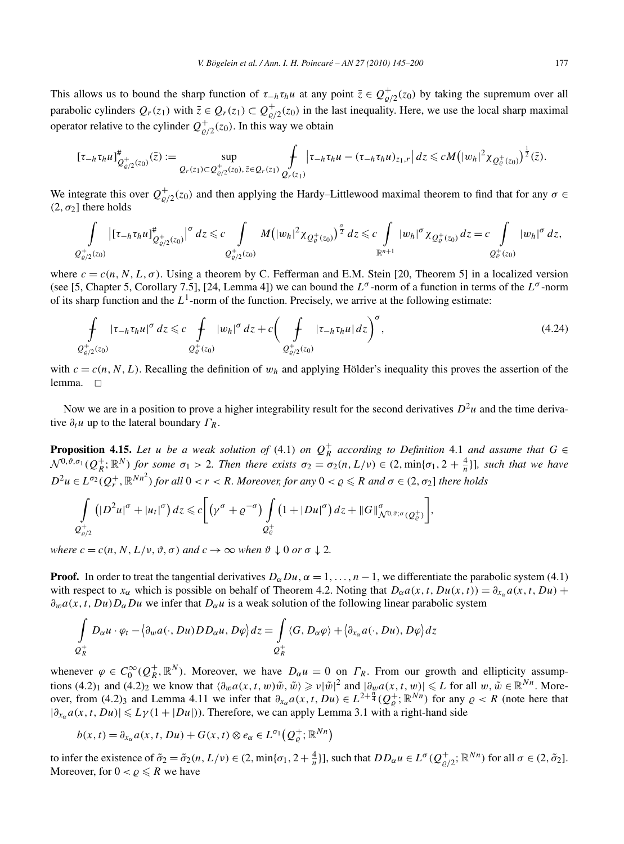This allows us to bound the sharp function of  $\tau_{h} \tau_h u$  at any point  $\bar{z} \in Q_{\varrho/2}^+(z_0)$  by taking the supremum over all parabolic cylinders  $Q_r(z_1)$  with  $\bar{z} \in Q_r(z_1) \subset Q_{\rho/2}^+(z_0)$  in the last inequality. Here, we use the local sharp maximal operator relative to the cylinder  $Q_{\varrho/2}^+(z_0)$ . In this way we obtain

$$
[\tau_{-h}\tau_h u]^{\#}_{Q^+_{\varrho/2}(z_0)}(\bar{z}) := \sup_{Q_r(z_1) \subset Q^+_{\varrho/2}(z_0),\,\bar{z} \in Q_r(z_1)} \int_{Q_r(z_1)} |\tau_{-h}\tau_h u - (\tau_{-h}\tau_h u)_{z_1,r}| \, dz \le c M \big( |w_h|^2 \chi_{Q^+_{\varrho}(z_0)} \big)^{\frac{1}{2}}(\bar{z}).
$$

We integrate this over  $Q_{\varrho/2}^+(z_0)$  and then applying the Hardy–Littlewood maximal theorem to find that for any  $\sigma \in$ *(*2*, σ*<sub>2</sub>) there holds

$$
\int_{Q_{\varrho/2}^+(z_0)} \left| [\tau_{-h} \tau_h u]_{Q_{\varrho/2}^+(z_0)}^{\#} \right|^{\sigma} dz \leq c \int_{Q_{\varrho/2}^+(z_0)} M \left( |w_h|^2 \chi_{Q_{\varrho}^+(z_0)} \right)^{\frac{\sigma}{2}} dz \leq c \int_{\mathbb{R}^{n+1}} |w_h|^{\sigma} \chi_{Q_{\varrho}^+(z_0)} dz = c \int_{Q_{\varrho}^+(z_0)} |w_h|^{\sigma} dz,
$$

where  $c = c(n, N, L, \sigma)$ . Using a theorem by C. Fefferman and E.M. Stein [20, Theorem 5] in a localized version (see [5, Chapter 5, Corollary 7.5], [24, Lemma 4]) we can bound the *Lσ* -norm of a function in terms of the *L<sup>σ</sup>* -norm of its sharp function and the  $L^1$ -norm of the function. Precisely, we arrive at the following estimate:

$$
\int_{Q_{\varrho/2}^+(z_0)} |\tau_{-h}\tau_h u|^{\sigma} dz \leq c \int_{Q_{\varrho}^+(z_0)} |w_h|^{\sigma} dz + c \bigg(\int_{Q_{\varrho/2}^+(z_0)} |\tau_{-h}\tau_h u| dz\bigg)^{\sigma}, \tag{4.24}
$$

with  $c = c(n, N, L)$ . Recalling the definition of  $w_h$  and applying Hölder's inequality this proves the assertion of the lemma.  $\square$ 

Now we are in a position to prove a higher integrability result for the second derivatives  $D^2u$  and the time derivative  $\partial_t u$  up to the lateral boundary  $\Gamma_R$ .

**Proposition 4.15.** Let *u* be a weak solution of (4.1) on  $Q_R^+$  according to Definition 4.1 and assume that  $G \in$  $\mathcal{N}^{0,\vartheta,\sigma_1}(Q_R^+;\mathbb{R}^N)$  for some  $\sigma_1 > 2$ . Then there exists  $\sigma_2 = \sigma_2(n,L/\nu) \in (2,\min{\{\sigma_1,2+\frac{4}{n}\}}]$ , such that we have  $D^2u \in L^{\sigma_2}(Q_r^+, \mathbb{R}^{Nn^2})$  for all  $0 < r < R$ . Moreover, for any  $0 < \varrho \le R$  and  $\sigma \in (2, \sigma_2]$  there holds

$$
\int\limits_{Q_{\varrho/2}^+} \left(|D^2 u|^{\sigma} + |u_t|^{\sigma}\right) dz \leq c \bigg[\big(\gamma^{\sigma} + \varrho^{-\sigma}\big) \int\limits_{Q_{\varrho}^+} \left(1 + |Du|^{\sigma}\right) dz + \|G\|_{\mathcal{N}^{0,\vartheta; \sigma}(Q_{\varrho}^+)}^{\sigma}\bigg],
$$

*where*  $c = c(n, N, L/\nu, \vartheta, \sigma)$  *and*  $c \to \infty$  *when*  $\vartheta \downarrow 0$  *or*  $\sigma \downarrow 2$ *.* 

**Proof.** In order to treat the tangential derivatives  $D_{\alpha}Du$ ,  $\alpha = 1, ..., n-1$ , we differentiate the parabolic system (4.1) with respect to  $x_\alpha$  which is possible on behalf of Theorem 4.2. Noting that  $D_\alpha a(x, t, Du(x, t)) = \partial_{x_\alpha} a(x, t, Du) +$ *∂wa(x,t,Du)DαDu* we infer that *Dαu* is a weak solution of the following linear parabolic system

$$
\int_{\mathcal{Q}_R^+} D_{\alpha} u \cdot \varphi_t - \langle \partial_w a(\cdot, Du) D_{\alpha} u, D\varphi \rangle dz = \int_{\mathcal{Q}_R^+} \langle G, D_{\alpha} \varphi \rangle + \langle \partial_{x_{\alpha}} a(\cdot, Du), D\varphi \rangle dz
$$

whenever  $\varphi \in C_0^{\infty}(Q_R^+, \mathbb{R}^N)$ . Moreover, we have  $D_{\alpha}u = 0$  on  $\Gamma_R$ . From our growth and ellipticity assumptions  $(4.2)_1$  and  $(4.2)_2$  we know that  $\langle \partial_w a(x, t, w) \tilde{w}, \tilde{w} \rangle \geq v |\tilde{w}|^2$  and  $|\partial_w a(x, t, w)| \leq L$  for all  $w, \tilde{w} \in \mathbb{R}^{Nn}$ . Moreover, from (4.2)<sub>3</sub> and Lemma 4.11 we infer that  $\partial_{x_\alpha} a(x, t, Du) \in L^{2+\frac{n}{4}}(Q_\rho^+; \mathbb{R}^{Nn})$  for any  $\rho < R$  (note here that  $|\partial_{x_\alpha} a(x, t, Du)| \leq L\gamma(1 + |Du|)$ ). Therefore, we can apply Lemma 3.1 with a right-hand side

$$
b(x,t) = \partial_{x_{\alpha}} a(x,t, Du) + G(x,t) \otimes e_{\alpha} \in L^{\sigma_1}(Q_{\varrho}^+; \mathbb{R}^{Nn})
$$

to infer the existence of  $\tilde{\sigma}_2 = \tilde{\sigma}_2(n, L/\nu) \in (2, \min{\{\sigma_1, 2 + \frac{4}{n}\}\},\text{ such that } DD_{\alpha}u \in L^{\sigma}(Q^+_{\varrho/2}; \mathbb{R}^{Nn}) \text{ for all } \sigma \in (2, \tilde{\sigma}_2].$ Moreover, for  $0 < \rho \le R$  we have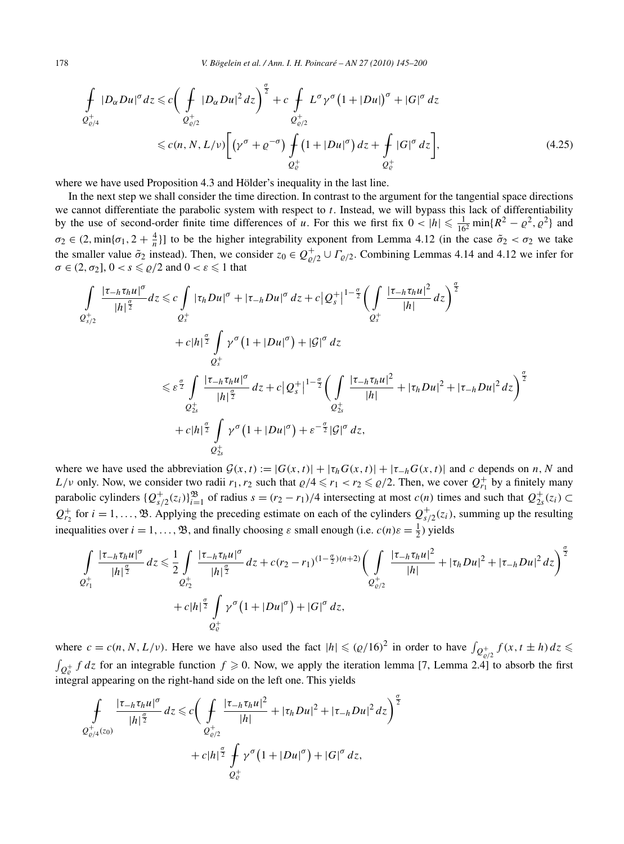178 *V. Bögelein et al. / Ann. I. H. Poincaré – AN 27 (2010) 145–200*

$$
\int_{\mathcal{Q}^+_{\varrho/4}} |D_{\alpha}Du|^{\sigma} dz \leq c \bigg( \int_{\mathcal{Q}^+_{\varrho/2}} |D_{\alpha}Du|^2 dz \bigg)^{\frac{\sigma}{2}} + c \int_{\mathcal{Q}^+_{\varrho/2}} L^{\sigma} \gamma^{\sigma} (1 + |Du|)^{\sigma} + |G|^{\sigma} dz
$$
\n
$$
\leq c(n, N, L/\nu) \bigg[ \big( \gamma^{\sigma} + \varrho^{-\sigma} \big) \int_{\mathcal{Q}^+_{\varrho}} (1 + |Du|^{\sigma}) dz + \int_{\mathcal{Q}^+_{\varrho}} |G|^{\sigma} dz \bigg], \tag{4.25}
$$

where we have used Proposition 4.3 and Hölder's inequality in the last line.

In the next step we shall consider the time direction. In contrast to the argument for the tangential space directions we cannot differentiate the parabolic system with respect to *t*. Instead, we will bypass this lack of differentiability by the use of second-order finite time differences of *u*. For this we first fix  $0 < |h| \le \frac{1}{16^2} \min\{R^2 - \varrho^2, \varrho^2\}$  and  $\sigma_2 \in (2, \min\{\sigma_1, 2 + \frac{4}{n}\}]$  to be the higher integrability exponent from Lemma 4.12 (in the case  $\tilde{\sigma}_2 < \sigma_2$  we take the smaller value  $\tilde{\sigma}_2$  instead). Then, we consider  $z_0 \in Q_{\varrho/2}^+ \cup \Gamma_{\varrho/2}$ . Combining Lemmas 4.14 and 4.12 we infer for  $\sigma \in (2, \sigma_2], 0 < s \leq \rho/2$  and  $0 < \varepsilon \leq 1$  that

$$
\int_{Q_{s/2}^{+}} \frac{|\tau_{-h}\tau_h u|^{\sigma}}{|h|^{\frac{\sigma}{2}}} dz \leqslant c \int_{Q_{s}^{+}} |\tau_h Du|^{\sigma} + |\tau_{-h} Du|^{\sigma} dz + c |Q_{s}^{+}|^{1-\frac{\sigma}{2}} \left(\int_{Q_{s}^{+}} \frac{|\tau_{-h}\tau_h u|^2}{|h|} dz\right)^{\frac{\sigma}{2}} \n+ c |h|^{\frac{\sigma}{2}} \int_{Q_{s}^{+}} \gamma^{\sigma} (1 + |Du|^{\sigma}) + |G|^{\sigma} dz \n\leqslant \varepsilon^{\frac{\sigma}{2}} \int_{Q_{2s}^{+}} \frac{|\tau_{-h}\tau_h u|^{\sigma}}{|h|^{\frac{\sigma}{2}}} dz + c |Q_{s}^{+}|^{1-\frac{\sigma}{2}} \left(\int_{Q_{2s}^{+}} \frac{|\tau_{-h}\tau_h u|^2}{|h|} + |\tau_h Du|^2 + |\tau_{-h} Du|^2 dz\right)^{\frac{\sigma}{2}} \n+ c |h|^{\frac{\sigma}{2}} \int_{Q_{2s}^{+}} \gamma^{\sigma} (1 + |Du|^{\sigma}) + \varepsilon^{-\frac{\sigma}{2}} |G|^{\sigma} dz,
$$

where we have used the abbreviation  $G(x, t) := |G(x, t)| + |\tau_h G(x, t)| + |\tau_{-h} G(x, t)|$  and *c* depends on *n*, *N* and *L*/*v* only. Now, we consider two radii  $r_1, r_2$  such that  $\varrho/4 \leq r_1 < r_2 \leq \varrho/2$ . Then, we cover  $Q_{r_1}^+$  by a finitely many parabolic cylinders  $\{Q_{s/2}^+(z_i)\}_{i=1}^{\mathfrak{B}}$  of radius  $s = (r_2 - r_1)/4$  intersecting at most  $c(n)$  times and such that  $Q_{2s}^+(z_i) \subset$  $Q_{r_2}^+$  for  $i = 1, \ldots, \mathfrak{B}$ . Applying the preceding estimate on each of the cylinders  $Q_{s/2}^+(z_i)$ , summing up the resulting inequalities over  $i = 1, ..., \mathfrak{B}$ , and finally choosing  $\varepsilon$  small enough (i.e.  $c(n)\varepsilon = \frac{1}{2}$ ) yields

$$
\int_{Q_{r_1}^+} \frac{|\tau_{-h}\tau_h u|^{\sigma}}{|h|^{\frac{\sigma}{2}}} dz \leq \frac{1}{2} \int_{Q_{r_2}^+} \frac{|\tau_{-h}\tau_h u|^{\sigma}}{|h|^{\frac{\sigma}{2}}} dz + c(r_2 - r_1)^{(1-\frac{\sigma}{2})(n+2)} \Biggl(\int_{Q_{\varrho/2}^+} \frac{|\tau_{-h}\tau_h u|^2}{|h|} + |\tau_h Du|^2 + |\tau_{-h} Du|^2 dz\Biggr)^{\frac{\sigma}{2}} + c|h|^{\frac{\sigma}{2}} \int_{Q_{\varrho}^+} \gamma^{\sigma} (1 + |Du|^{\sigma}) + |G|^{\sigma} dz,
$$

where  $c = c(n, N, L/\nu)$ . Here we have also used the fact  $|h| \leqslant (Q/16)^2$  in order to have  $\int_{Q_{e/2}^+} f(x, t \pm h) dz \leqslant$  $\int_{Q_e^+} f \, dz$  for an integrable function  $f \ge 0$ . Now, we apply the iteration lemma [7, Lemma 2.4] to absorb the first integral appearing on the right-hand side on the left one. This yields

$$
\int_{Q_{\varrho/4}^{+}(z_0)} \frac{|\tau_{-h}\tau_h u|^{\sigma}}{|h|^{\frac{\sigma}{2}}} dz \leq c \bigg( \int_{Q_{\varrho/2}^{+}} \frac{|\tau_{-h}\tau_h u|^2}{|h|} + |\tau_h Du|^2 + |\tau_{-h} Du|^2 dz \bigg)^{\frac{\sigma}{2}} + c|h|^{\frac{\sigma}{2}} \int_{Q_{\varrho}^{+}} \gamma^{\sigma} (1 + |Du|^{\sigma}) + |G|^{\sigma} dz,
$$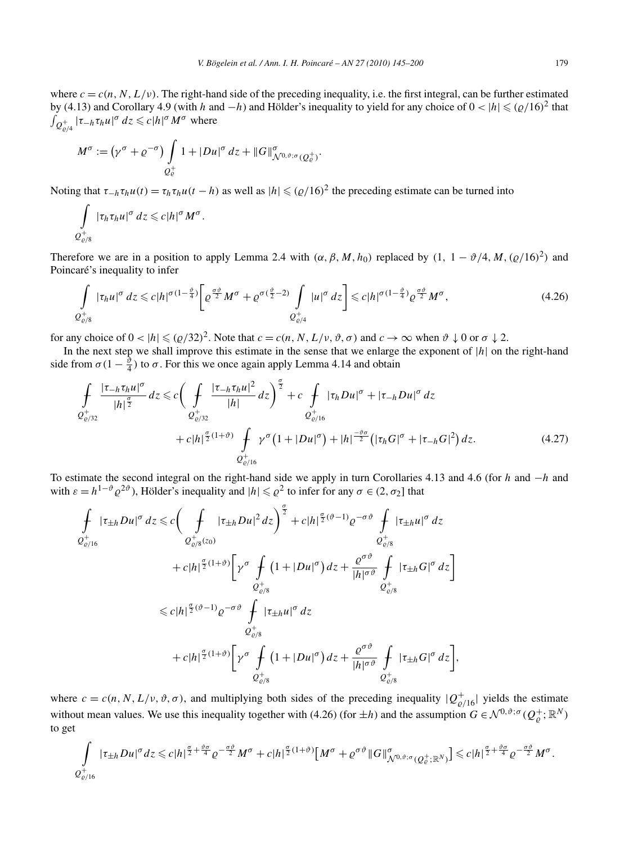where  $c = c(n, N, L/\nu)$ . The right-hand side of the preceding inequality, i.e. the first integral, can be further estimated by (4.13) and Corollary 4.9 (with *h* and −*h*) and Hölder's inequality to yield for any choice of  $0 < |h| \le (Q/16)^2$  that  $\int_{Q_{\varrho/4}^+} |\tau_{-h} \tau_h u|^{\sigma} dz \leqslant c|h|^{\sigma} M^{\sigma}$  where

$$
M^{\sigma} := (\gamma^{\sigma} + \varrho^{-\sigma}) \int\limits_{Q_{\varrho}^+} 1 + |Du|^{\sigma} dz + ||G||^{\sigma}_{\mathcal{N}^{0,\vartheta};\sigma(Q_{\varrho}^+)}.
$$

Noting that  $\tau_{-h} \tau_h u(t) = \tau_h \tau_h u(t-h)$  as well as  $|h| \leq (\rho/16)^2$  the preceding estimate can be turned into

$$
\int\limits_{Q_{\varrho/8}^+} |\tau_h\tau_h u|^{\sigma}\,dz \leqslant c|h|^{\sigma}M^{\sigma}.
$$

Therefore we are in a position to apply Lemma 2.4 with  $(\alpha, \beta, M, h_0)$  replaced by  $(1, 1 - \vartheta/4, M, (\varrho/16)^2)$  and Poincaré's inequality to infer

$$
\int_{\mathcal{Q}^+_{\varrho/8}} |\tau_h u|^{\sigma} dz \leqslant c |h|^{\sigma(1-\frac{\vartheta}{4})} \bigg[ \varrho^{\frac{\sigma\vartheta}{2}} M^{\sigma} + \varrho^{\sigma(\frac{\vartheta}{2}-2)} \int_{\mathcal{Q}^+_{\varrho/4}} |u|^{\sigma} dz \bigg] \leqslant c |h|^{\sigma(1-\frac{\vartheta}{4})} \varrho^{\frac{\sigma\vartheta}{2}} M^{\sigma},\tag{4.26}
$$

for any choice of  $0 < |h| \leq (Q/32)^2$ . Note that  $c = c(n, N, L/\nu, \vartheta, \sigma)$  and  $c \to \infty$  when  $\vartheta \downarrow 0$  or  $\sigma \downarrow 2$ .

In the next step we shall improve this estimate in the sense that we enlarge the exponent of |*h*| on the right-hand side from  $\sigma(1 - \frac{\tilde{\vartheta}}{4})$  to  $\sigma$ . For this we once again apply Lemma 4.14 and obtain

$$
\int_{\mathcal{Q}^{+}_{\rho/32}} \frac{|\tau_{-h}\tau_{h}u|^{\sigma}}{|h|^{\frac{\sigma}{2}}} dz \leq c \bigg( \int_{\mathcal{Q}^{+}_{\rho/32}} \frac{|\tau_{-h}\tau_{h}u|^{2}}{|h|} dz \bigg)^{\frac{\sigma}{2}} + c \int_{\mathcal{Q}^{+}_{\rho/16}} |\tau_{h}Du|^{\sigma} + |\tau_{-h}Du|^{\sigma} dz \n+ c|h|^{\frac{\sigma}{2}(1+\vartheta)} \int_{\mathcal{Q}^{+}_{\rho/16}} \gamma^{\sigma} (1+|Du|^{\sigma}) + |h|^{\frac{-\vartheta\sigma}{2}} (|\tau_{h}G|^{\sigma} + |\tau_{-h}G|^{2}) dz.
$$
\n(4.27)

To estimate the second integral on the right-hand side we apply in turn Corollaries 4.13 and 4.6 (for *h* and −*h* and with  $\varepsilon = h^{1-\vartheta} \varrho^{2\vartheta}$ , Hölder's inequality and  $|h| \leq \varrho^2$  to infer for any  $\sigma \in (2, \sigma_2]$  that

$$
\int_{\mathcal{Q}^+_{\varrho/16}} |\tau_{\pm h}Du|^{\sigma} dz \leq c \bigg(\int_{\mathcal{Q}^+_{\varrho/8}(z_0)} |\tau_{\pm h}Du|^2 dz\bigg)^{\frac{\sigma}{2}} + c|h|^{\frac{\sigma}{2}(\vartheta-1)}\varrho^{-\sigma\vartheta} \int_{\mathcal{Q}^+_{\varrho/8}} |\tau_{\pm h}u|^{\sigma} dz \n+ c|h|^{\frac{\sigma}{2}(1+\vartheta)}\bigg[\gamma^{\sigma} \int_{\mathcal{Q}^+_{\varrho/8}} (1+|Du|^{\sigma}) dz + \frac{\varrho^{\sigma\vartheta}}{|h|^{\sigma\vartheta}} \int_{\mathcal{Q}^+_{\varrho/8}} |\tau_{\pm h}G|^{\sigma} dz\bigg] \n\leq c|h|^{\frac{\sigma}{2}(\vartheta-1)}\varrho^{-\sigma\vartheta} \int_{\mathcal{Q}^+_{\varrho/8}} |\tau_{\pm h}u|^{\sigma} dz \n\varrho^+_{\varrho/8} \n+ c|h|^{\frac{\sigma}{2}(1+\vartheta)}\bigg[\gamma^{\sigma} \int_{\mathcal{Q}^+_{\varrho/8}} (1+|Du|^{\sigma}) dz + \frac{\varrho^{\sigma\vartheta}}{|h|^{\sigma\vartheta}} \int_{\mathcal{Q}^+_{\varrho/8}} |\tau_{\pm h}G|^{\sigma} dz\bigg],
$$

where  $c = c(n, N, L/\nu, \vartheta, \sigma)$ , and multiplying both sides of the preceding inequality  $|Q_{\varrho/16}^+|$  yields the estimate without mean values. We use this inequality together with (4.26) (for  $\pm h$ ) and the assumption  $G \in \mathcal{N}^{0,\vartheta;\sigma}(\mathcal{Q}_{\varrho}^+;\mathbb{R}^N)$ to get

$$
\int_{Q_{\varrho/16}^+} |\tau_{\pm h}Du|^{\sigma}dz \leqslant c|h|^{\frac{\sigma}{2}+\frac{\vartheta\sigma}{4}}\varrho^{-\frac{\sigma\vartheta}{2}}M^{\sigma}+c|h|^{\frac{\sigma}{2}(1+\vartheta)}\Big[M^{\sigma}+\varrho^{\sigma\vartheta}\|G\|_{\mathcal{N}^{0,\vartheta;\sigma}(\mathcal{Q}_{\varrho}^+;\mathbb{R}^N)}^{\sigma}\Big] \leqslant c|h|^{\frac{\sigma}{2}+\frac{\vartheta\sigma}{4}}\varrho^{-\frac{\sigma\vartheta}{2}}M^{\sigma}.
$$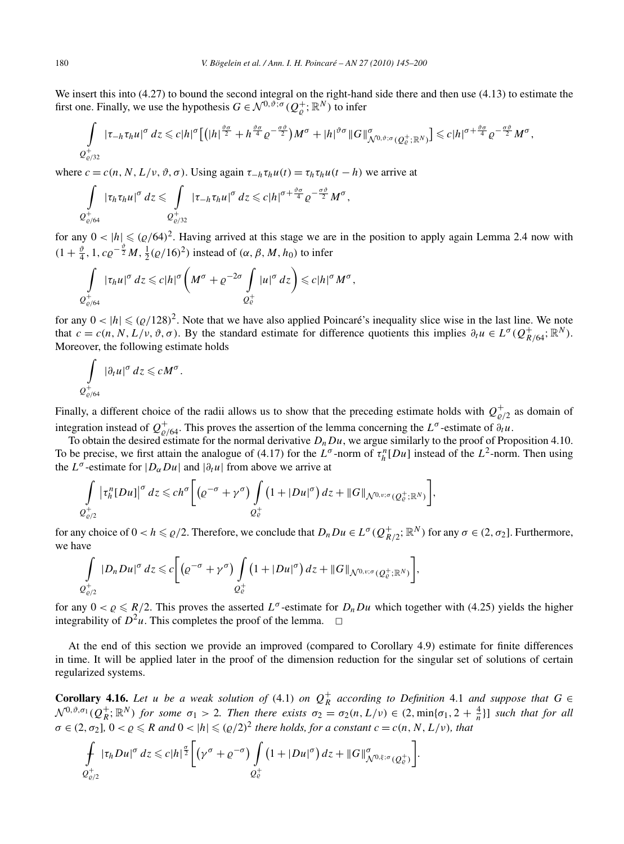We insert this into (4.27) to bound the second integral on the right-hand side there and then use (4.13) to estimate the first one. Finally, we use the hypothesis  $G \in \mathcal{N}^{0,\vartheta;\sigma}(Q_{\varrho}^+;\mathbb{R}^N)$  to infer

$$
\int\limits_{Q_{\varrho/32}^+} |\tau_{-h}\tau_h u|^{\sigma}\,dz \leqslant c|h|^{\sigma}\Big[\big(|h|^{\frac{\vartheta\sigma}{2}}+h^{\frac{\vartheta\sigma}{4}}\varrho^{-\frac{\sigma\vartheta}{2}}\big)M^{\sigma}+|h|^{\vartheta\sigma}\|G\|_{\mathcal{N}^{0,\vartheta;\sigma}(Q_{\varrho}^+;\mathbb{R}^N)}^{\sigma}\Big]\leqslant c|h|^{\sigma+\frac{\vartheta\sigma}{4}}\varrho^{-\frac{\sigma\vartheta}{2}}M^{\sigma},
$$

where  $c = c(n, N, L/v, \vartheta, \sigma)$ . Using again  $\tau_{-h} \tau_h u(t) = \tau_h \tau_h u(t - h)$  we arrive at

$$
\int\limits_{Q^+_{c/64}} |\tau_h \tau_h u|^{\sigma}\,dz \leqslant \int\limits_{Q^+_{c/32}} |\tau_{-h} \tau_h u|^{\sigma}\,dz \leqslant c |h|^{\sigma + \frac{\vartheta \sigma}{4}} \varrho^{-\frac{\sigma \vartheta}{2}} M^{\sigma},
$$

for any  $0 < |h| \le (Q/64)^2$ . Having arrived at this stage we are in the position to apply again Lemma 2.4 now with  $(1 + \frac{\vartheta}{4}, 1, c\rho^{-\frac{\vartheta}{2}}M, \frac{1}{2}(\rho/16)^2)$  instead of  $(\alpha, \beta, M, h_0)$  to infer

$$
\int\limits_{Q^+_{\varrho/64}} |\tau_h u|^{\sigma} dz \leqslant c|h|^{\sigma} \left(M^{\sigma} + \varrho^{-2\sigma} \int\limits_{Q^+_{\varrho}} |u|^{\sigma} dz\right) \leqslant c|h|^{\sigma} M^{\sigma},
$$

for any  $0 < |h| \leq (\rho/128)^2$ . Note that we have also applied Poincaré's inequality slice wise in the last line. We note that  $c = c(n, N, L/\nu, \vartheta, \sigma)$ . By the standard estimate for difference quotients this implies  $\partial_t u \in L^{\sigma}(Q_{R/64}^+, \mathbb{R}^N)$ . Moreover, the following estimate holds

$$
\int\limits_{Q^+_{c/64}} |\partial_t u|^{\sigma} dz \leqslant c M^{\sigma}.
$$

Finally, a different choice of the radii allows us to show that the preceding estimate holds with  $Q_{\varrho/2}^+$  as domain of integration instead of  $Q_{\varrho/64}^+$ . This proves the assertion of the lemma concerning the  $L^{\sigma}$ -estimate of  $\partial_t u$ .

To obtain the desired estimate for the normal derivative  $D_nDu$ , we argue similarly to the proof of Proposition 4.10. To be precise, we first attain the analogue of (4.17) for the  $L^{\sigma}$ -norm of  $\tau_h^n[Du]$  instead of the  $L^2$ -norm. Then using the  $L^{\sigma}$ -estimate for  $|D_{\alpha}Du|$  and  $|\partial_tu|$  from above we arrive at

$$
\int\limits_{Q_{\varrho/2}^+} \left|\tau_h^n[Du]\right|^{\sigma}dz \leqslant ch^{\sigma}\bigg[\big(\varrho^{-\sigma}+\gamma^{\sigma}\big)\int\limits_{Q_{\varrho}^+} \big(1+|Du|^{\sigma}\big)dz + \|G\|_{\mathcal{N}^{0,\nu;\sigma}(Q_{\varrho}^+;\mathbb{R}^N)}\bigg],
$$

for any choice of  $0 < h \le \varrho/2$ . Therefore, we conclude that  $D_n D u \in L^{\sigma}(Q_{R/2}^+; \mathbb{R}^N)$  for any  $\sigma \in (2, \sigma_2]$ . Furthermore, we have

$$
\int\limits_{Q_{\varrho/2}^+} |D_n Du|^{\sigma} dz \leq c \bigg[ \big( \varrho^{-\sigma} + \gamma^{\sigma} \big) \int\limits_{Q_{\varrho}^+} \big( 1 + |Du|^{\sigma} \big) dz + \|G\|_{\mathcal{N}^{0,v;\sigma}(Q_{\varrho}^+; \mathbb{R}^N)} \bigg],
$$

for any  $0 < \varrho \le R/2$ . This proves the asserted  $L^{\sigma}$ -estimate for  $D_nDu$  which together with (4.25) yields the higher integrability of  $D^2u$ . This completes the proof of the lemma.  $\Box$ 

At the end of this section we provide an improved (compared to Corollary 4.9) estimate for finite differences in time. It will be applied later in the proof of the dimension reduction for the singular set of solutions of certain regularized systems.

**Corollary 4.16.** Let *u* be a weak solution of (4.1) on  $Q_R^+$  according to Definition 4.1 and suppose that  $G \in$  $\mathcal{N}^{0,\vartheta,\sigma_1}(Q_R^+;\mathbb{R}^N)$  for some  $\sigma_1 > 2$ . Then there exists  $\sigma_2 = \sigma_2(n,L/\nu) \in (2,\min\{\sigma_1,2+\frac{4}{n}\}]$  such that for all  $\sigma \in (2, \sigma_2]$ ,  $0 < \rho \le R$  *and*  $0 < |h| \le (\rho/2)^2$  *there holds, for a constant*  $c = c(n, N, L/\nu)$ *, that* 

$$
\int\limits_{Q_{\varrho/2}^+} |\tau_h Du|^{\sigma} dz \leqslant c |h|^{\frac{\sigma}{2}} \bigg[ \big(\gamma^{\sigma} + \varrho^{-\sigma}\big) \int\limits_{Q_{\varrho}^+} \big(1 + |Du|^{\sigma}\big) dz + ||G||^{\sigma}_{\mathcal{N}^{0,\xi;\sigma}(Q_{\varrho}^+)} \bigg].
$$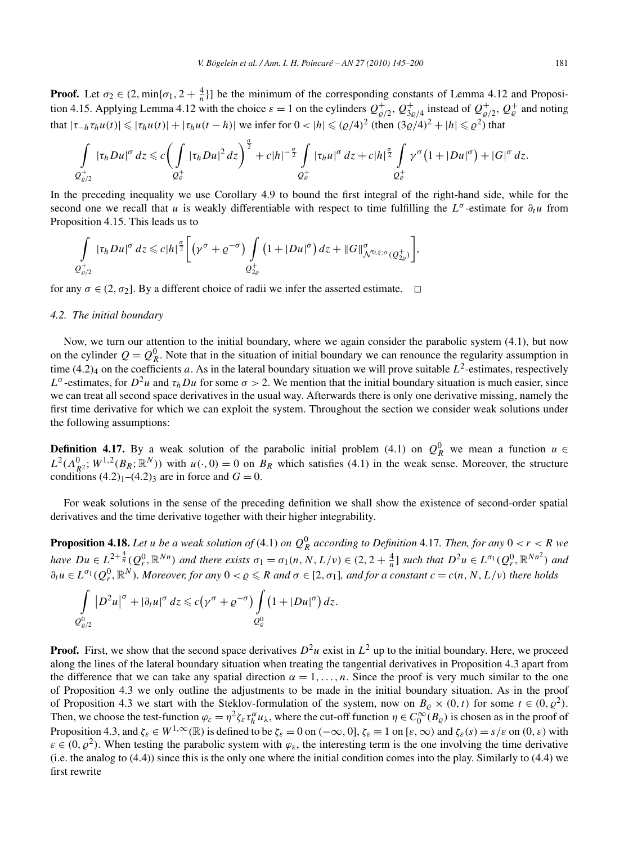**Proof.** Let  $\sigma_2 \in (2, \min\{\sigma_1, 2 + \frac{4}{n}\}]$  be the minimum of the corresponding constants of Lemma 4.12 and Proposition 4.15. Applying Lemma 4.12 with the choice  $\varepsilon = 1$  on the cylinders  $Q_{\varrho/2}^+$ ,  $Q_{3\varrho/4}^+$  instead of  $Q_{\varrho/2}^+$ ,  $Q_{\varrho}^+$  and noting  $t_1$ **that**  $|τ_{-h}τ_{h}u(t)| ≤ |τ_{h}u(t)| + |τ_{h}u(t - h)|$  we infer for  $0 < |h| ≤ (Q/4)^2$  (then  $(3Q/4)^2 + |h| ≤ Q^2$ ) that

$$
\int\limits_{Q_{\varrho/2}^+} |\tau_h Du|^\sigma\,dz \leqslant c\bigg(\int\limits_{Q_{\varrho}^+} |\tau_h Du|^2\,dz\bigg)^{\frac{\sigma}{2}}+c|h|^{-\frac{\sigma}{2}}\int\limits_{Q_{\varrho}^+} |\tau_h u|^\sigma\,dz+c|h|^{\frac{\sigma}{2}}\int\limits_{Q_{\varrho}^+} \gamma^\sigma\big(1+|Du|^\sigma\big)+|G|^\sigma\,dz.
$$

In the preceding inequality we use Corollary 4.9 to bound the first integral of the right-hand side, while for the second one we recall that *u* is weakly differentiable with respect to time fulfilling the  $L^{\sigma}$ -estimate for  $\partial_t u$  from Proposition 4.15. This leads us to

$$
\int\limits_{Q_{\varrho/2}^+} |\tau_h Du|^{\sigma} dz \leq c |h|^{\frac{\sigma}{2}} \bigg[ \big(\gamma^{\sigma} + \varrho^{-\sigma}\big) \int\limits_{Q_{2\varrho}^+} \big(1 + |Du|^{\sigma}\big) dz + ||G||^{\sigma}_{\mathcal{N}^{0,\xi;\sigma}(Q_{2\varrho}^+)} \bigg],
$$

for any  $\sigma \in (2, \sigma_2]$ . By a different choice of radii we infer the asserted estimate.  $\Box$ 

## *4.2. The initial boundary*

Now, we turn our attention to the initial boundary, where we again consider the parabolic system (4.1), but now on the cylinder  $Q = Q_R^0$ . Note that in the situation of initial boundary we can renounce the regularity assumption in time  $(4.2)_4$  on the coefficients *a*. As in the lateral boundary situation we will prove suitable  $L^2$ -estimates, respectively *L*<sup>*σ*</sup>-estimates, for *D*<sup>2</sup>*u* and *τ<sub>h</sub>Du* for some *σ* > 2. We mention that the initial boundary situation is much easier, since we can treat all second space derivatives in the usual way. Afterwards there is only one derivative missing, namely the first time derivative for which we can exploit the system. Throughout the section we consider weak solutions under the following assumptions:

**Definition 4.17.** By a weak solution of the parabolic initial problem (4.1) on  $Q_R^0$  we mean a function  $u \in$  $L^2(\Lambda_{R^2}^0; W^{1,2}(B_R; \mathbb{R}^N))$  with  $u(\cdot, 0) = 0$  on  $B_R$  which satisfies (4.1) in the weak sense. Moreover, the structure conditions  $(4.2)<sub>1</sub>-(4.2)<sub>3</sub>$  are in force and  $G=0$ .

For weak solutions in the sense of the preceding definition we shall show the existence of second-order spatial derivatives and the time derivative together with their higher integrability.

**Proposition 4.18.** Let *u* be a weak solution of (4.1) on  $Q_R^0$  according to Definition 4.17. Then, for any  $0 < r < R$  we have  $Du \in L^{2+\frac{4}{n}}(Q_r^0,\mathbb{R}^{Nn})$  and there exists  $\sigma_1 = \sigma_1(n,N,L/\nu) \in (2,2+\frac{4}{n}]$  such that  $D^2u \in L^{\sigma_1}(Q_r^0,\mathbb{R}^{Nn^2})$  and  $\partial_t u \in L^{\sigma_1}(Q_r^0,\mathbb{R}^N)$ . Moreover, for any  $0 < \varrho \le R$  and  $\sigma \in [2,\sigma_1]$ , and for a constant  $c = c(n, N, L/\nu)$  there holds

$$
\int\limits_{Q^0_{\varrho/2}} |D^2 u|^{\sigma} + |\partial_t u|^{\sigma} dz \leq c(\gamma^{\sigma} + \varrho^{-\sigma}) \int\limits_{Q^0_{\varrho}} \left(1 + |Du|^{\sigma}\right) dz.
$$

**Proof.** First, we show that the second space derivatives  $D^2u$  exist in  $L^2$  up to the initial boundary. Here, we proceed along the lines of the lateral boundary situation when treating the tangential derivatives in Proposition 4.3 apart from the difference that we can take any spatial direction  $\alpha = 1, \ldots, n$ . Since the proof is very much similar to the one of Proposition 4.3 we only outline the adjustments to be made in the initial boundary situation. As in the proof of Proposition 4.3 we start with the Steklov-formulation of the system, now on  $B_\rho \times (0, t)$  for some  $t \in (0, \rho^2)$ . Then, we choose the test-function  $\varphi_{\varepsilon} = \eta^2 \zeta_{\varepsilon} \tau_h^{\alpha} u_{\lambda}$ , where the cut-off function  $\eta \in C_0^{\infty}(B_{\varrho})$  is chosen as in the proof of Proposition 4.3, and  $\zeta_{\varepsilon} \in W^{1,\infty}(\mathbb{R})$  is defined to be  $\zeta_{\varepsilon} = 0$  on  $(-\infty,0]$ ,  $\zeta_{\varepsilon} \equiv 1$  on  $[\varepsilon,\infty)$  and  $\zeta_{\varepsilon}(s) = s/\varepsilon$  on  $(0,\varepsilon)$  with  $\varepsilon \in (0, \rho^2)$ . When testing the parabolic system with  $\varphi_{\varepsilon}$ , the interesting term is the one involving the time derivative (i.e. the analog to (4.4)) since this is the only one where the initial condition comes into the play. Similarly to (4.4) we first rewrite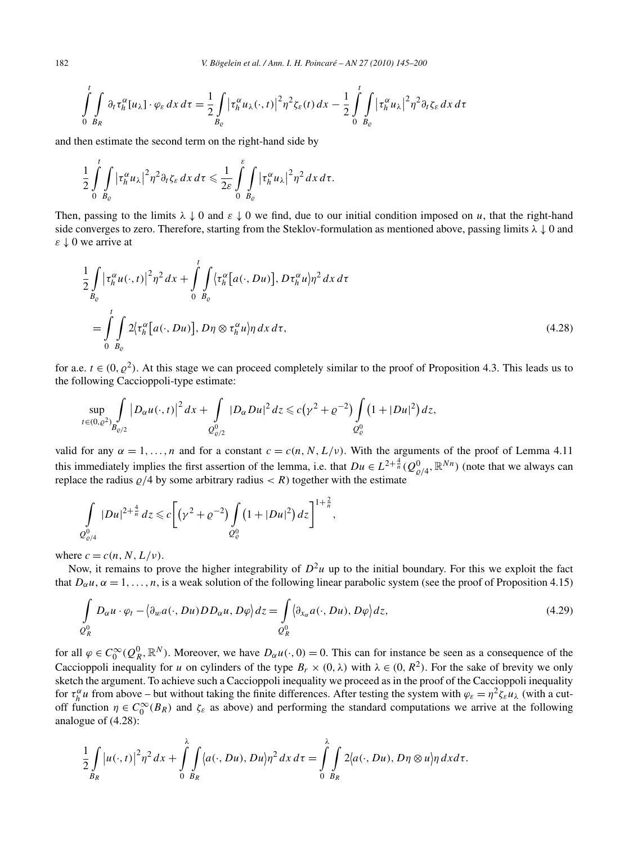182 *V. Bögelein et al. / Ann. I. H. Poincaré – AN 27 (2010) 145–200*

$$
\int_{0}^{t} \int_{B_R} \partial_t \tau_h^{\alpha}[u_\lambda] \cdot \varphi_{\varepsilon} \, dx \, d\tau = \frac{1}{2} \int_{B_{\varepsilon}} \left| \tau_h^{\alpha} u_\lambda(\cdot, t) \right|^2 \eta^2 \zeta_{\varepsilon}(t) \, dx - \frac{1}{2} \int_{0}^{t} \int_{B_{\varepsilon}} \left| \tau_h^{\alpha} u_\lambda \right|^2 \eta^2 \partial_t \zeta_{\varepsilon} \, dx \, d\tau
$$

and then estimate the second term on the right-hand side by

$$
\frac{1}{2}\int\limits_{0}^{t}\int\limits_{B_{\varrho}}\big|\tau_{h}^{\alpha}u_{\lambda}\big|^{2}\eta^{2}\partial_{t}\zeta_{\varepsilon}\,dx\,d\tau\leqslant \frac{1}{2\varepsilon}\int\limits_{0}^{\varepsilon}\int\limits_{B_{\varrho}}\big|\tau_{h}^{\alpha}u_{\lambda}\big|^{2}\eta^{2}\,dx\,d\tau.
$$

Then, passing to the limits  $\lambda \downarrow 0$  and  $\varepsilon \downarrow 0$  we find, due to our initial condition imposed on *u*, that the right-hand side converges to zero. Therefore, starting from the Steklov-formulation as mentioned above, passing limits *λ* ↓ 0 and *ε* ↓ 0 we arrive at

$$
\frac{1}{2} \int_{B_{\varrho}} \left| \tau_h^{\alpha} u(\cdot, t) \right|^2 \eta^2 dx + \int_0^t \int_{B_{\varrho}} \left\langle \tau_h^{\alpha} \left[ a(\cdot, Du) \right], D \tau_h^{\alpha} u \right\rangle \eta^2 dx d\tau
$$
\n
$$
= \int_0^t \int_{B_{\varrho}} 2 \left\langle \tau_h^{\alpha} \left[ a(\cdot, Du) \right], D \eta \otimes \tau_h^{\alpha} u \right\rangle \eta dx d\tau, \tag{4.28}
$$

for a.e.  $t \in (0, \rho^2)$ . At this stage we can proceed completely similar to the proof of Proposition 4.3. This leads us to the following Caccioppoli-type estimate:

$$
\sup_{t\in(0,\varrho^2)}\int_{B_{\varrho/2}}|D_{\alpha}u(\cdot,t)|^2\,dx+\int_{Q_{\varrho/2}^0}|D_{\alpha}Du|^2\,dz\leqslant c(\gamma^2+\varrho^{-2})\int_{Q_{\varrho}^0}(1+|Du|^2)\,dz,
$$

valid for any  $\alpha = 1, \ldots, n$  and for a constant  $c = c(n, N, L/\nu)$ . With the arguments of the proof of Lemma 4.11 this immediately implies the first assertion of the lemma, i.e. that  $Du \in L^{2+\frac{4}{n}}(Q^0_{\varrho/4}, \mathbb{R}^{Nn})$  (note that we always can replace the radius  $\varrho/4$  by some arbitrary radius  $\langle R \rangle$  together with the estimate

$$
\int\limits_{Q^0_{\varrho/4}} |Du|^{2+\frac{4}{n}} dz \leq c \bigg[ \big(\gamma^2 + \varrho^{-2}\big) \int\limits_{Q^0_{\varrho}} \big(1 + |Du|^2\big) \, dz \bigg]^{1+\frac{2}{n}},
$$

where  $c = c(n, N, L/\nu)$ .

Now, it remains to prove the higher integrability of  $D^2u$  up to the initial boundary. For this we exploit the fact that  $D_\alpha u$ ,  $\alpha = 1, \ldots, n$ , is a weak solution of the following linear parabolic system (see the proof of Proposition 4.15)

$$
\int_{Q_R^0} D_{\alpha}u \cdot \varphi_t - \langle \partial_w a(\cdot, Du) D D_{\alpha}u, D\varphi \rangle dz = \int_{Q_R^0} \langle \partial_{x_{\alpha}} a(\cdot, Du), D\varphi \rangle dz,
$$
\n(4.29)

for all  $\varphi \in C_0^{\infty}(Q_R^0, \mathbb{R}^N)$ . Moreover, we have  $D_{\alpha}u(\cdot, 0) = 0$ . This can for instance be seen as a consequence of the Caccioppoli inequality for *u* on cylinders of the type  $B_r \times (0, \lambda)$  with  $\lambda \in (0, R^2)$ . For the sake of brevity we only sketch the argument. To achieve such a Caccioppoli inequality we proceed as in the proof of the Caccioppoli inequality for  $\tau_h^{\alpha} u$  from above – but without taking the finite differences. After testing the system with  $\varphi_{\varepsilon} = \eta^2 \zeta_{\varepsilon} u_{\lambda}$  (with a cutoff function  $\eta \in C_0^{\infty}(B_R)$  and  $\zeta_{\varepsilon}$  as above) and performing the standard computations we arrive at the following analogue of (4.28):

$$
\frac{1}{2}\int\limits_{B_R}\big|u(\cdot,t)\big|^2\eta^2\,dx+\int\limits_0^\lambda\int\limits_{B_R}\big(a(\cdot,Du),Du\big)\eta^2\,dx\,d\tau=\int\limits_0^\lambda\int\limits_{B_R}2\big(a(\cdot,Du),D\eta\otimes u\big)\eta\,dxd\tau.
$$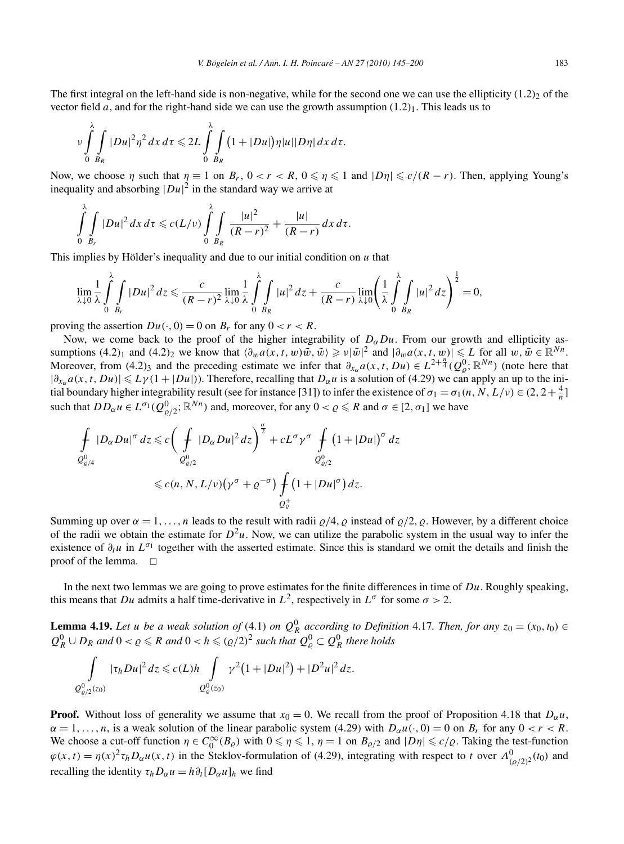The first integral on the left-hand side is non-negative, while for the second one we can use the ellipticity  $(1.2)_2$  of the vector field *a*, and for the right-hand side we can use the growth assumption  $(1.2)$ . This leads us to

$$
\nu\int\limits_{0}^{\lambda}\int\limits_{B_R}|Du|^2\eta^2\,dx\,d\tau\leqslant 2L\int\limits_{0}^{\lambda}\int\limits_{B_R}(1+|Du|)\eta|u||D\eta|\,dx\,d\tau.
$$

Now, we choose *η* such that  $η ≡ 1$  on  $B_r$ ,  $0 < r < R$ ,  $0 ≤ η ≤ 1$  and  $|Dη| ≤ c/(R - r)$ . Then, applying Young's inequality and absorbing  $|Du|^2$  in the standard way we arrive at

$$
\int_{0}^{\lambda} \int_{B_r} |Du|^2 dx \, d\tau \leqslant c(L/\nu) \int_{0}^{\lambda} \int_{B_R} \frac{|u|^2}{(R-r)^2} + \frac{|u|}{(R-r)} dx \, d\tau.
$$

This implies by Hölder's inequality and due to our initial condition on *u* that

$$
\lim_{\lambda\downarrow 0}\frac{1}{\lambda}\int_{0}^{\lambda}\int_{B_r}|Du|^2\,dz\leqslant\frac{c}{(R-r)^2}\lim_{\lambda\downarrow 0}\frac{1}{\lambda}\int_{0}^{\lambda}\int_{B_R}|u|^2\,dz+\frac{c}{(R-r)}\lim_{\lambda\downarrow 0}\left(\frac{1}{\lambda}\int_{0}^{\lambda}\int_{B_R}|u|^2\,dz\right)^{\frac{1}{2}}=0,
$$

proving the assertion  $Du(\cdot, 0) = 0$  on  $B_r$  for any  $0 < r < R$ .

Now, we come back to the proof of the higher integrability of  $D_{\alpha}Du$ . From our growth and ellipticity assumptions  $(4.2)_1$  and  $(4.2)_2$  we know that  $\langle \partial_w a(x, t, w) \tilde{w}, \tilde{w} \rangle \geq v |\tilde{w}|^2$  and  $|\partial_w a(x, t, w)| \leq L$  for all  $w, \tilde{w} \in \mathbb{R}^{Nn}$ . Moreover, from (4.2)<sub>3</sub> and the preceding estimate we infer that  $\partial_{x_\alpha} a(x, t, Du) \in L^{2+\frac{n'}{4}}(Q_\rho^0; \mathbb{R}^{Nn})$  (note here that  $|\partial_{x_\alpha} a(x, t, Du)| \leq L \gamma (1 + |Du|)$ ). Therefore, recalling that  $D_\alpha u$  is a solution of (4.29) we can apply an up to the initial boundary higher integrability result (see for instance [31]) to infer the existence of  $\sigma_1 = \sigma_1(n, N, L/\nu) \in (2, 2 + \frac{4}{n}]$ such that  $DD_{\alpha}u \in L^{\sigma_1}(Q^0_{\varrho/2};{\mathbb R}^{Nn})$  and, moreover, for any  $0 < \varrho \leq R$  and  $\sigma \in [2,\sigma_1]$  we have

$$
\int_{Q^0_{\varrho/4}} |D_{\alpha}Du|^{\sigma} dz \leq c \bigg( \int_{Q^0_{\varrho/2}} |D_{\alpha}Du|^2 dz \bigg)^{\frac{\sigma}{2}} + cL^{\sigma} \gamma^{\sigma} \int_{Q^0_{\varrho/2}} (1 + |Du|)^{\sigma} dz
$$
  

$$
\leq c(n, N, L/\nu) \big( \gamma^{\sigma} + \varrho^{-\sigma} \big) \int_{Q^+_c} (1 + |Du|^{\sigma}) dz.
$$

Summing up over  $\alpha = 1, \ldots, n$  leads to the result with radii  $\rho/4$ ,  $\rho$  instead of  $\rho/2$ ,  $\rho$ . However, by a different choice of the radii we obtain the estimate for  $D^2u$ . Now, we can utilize the parabolic system in the usual way to infer the existence of  $\partial_t u$  in  $L^{\sigma_1}$  together with the asserted estimate. Since this is standard we omit the details and finish the proof of the lemma.  $\square$ 

In the next two lemmas we are going to prove estimates for the finite differences in time of *Du*. Roughly speaking, this means that *Du* admits a half time-derivative in  $L^2$ , respectively in  $L^{\sigma}$  for some  $\sigma > 2$ .

**Lemma 4.19.** Let *u* be a weak solution of (4.1) on  $Q_R^0$  according to Definition 4.17. Then, for any  $z_0 = (x_0, t_0) \in$  $Q_R^0 \cup D_R$  *and*  $0 < \varrho \le R$  *and*  $0 < h \le (\varrho/2)^2$  *such that*  $Q_\varrho^0 \subset Q_R^0$  *there holds* 

$$
\int_{Q^0_{\varrho/2}(z_0)} |\tau_h Du|^2 dz \leqslant c(L)h \int_{Q^0_{\varrho}(z_0)} \gamma^2 (1+|Du|^2) + |D^2u|^2 dz.
$$

**Proof.** Without loss of generality we assume that  $x_0 = 0$ . We recall from the proof of Proposition 4.18 that  $D_\alpha u$ ,  $\alpha = 1, \ldots, n$ , is a weak solution of the linear parabolic system (4.29) with  $D_{\alpha}u(\cdot, 0) = 0$  on  $B_r$  for any  $0 < r < R$ . We choose a cut-off function  $\eta \in C_0^{\infty}(B_{\varrho})$  with  $0 \le \eta \le 1$ ,  $\eta = 1$  on  $B_{\varrho/2}$  and  $|D\eta| \le c/\varrho$ . Taking the test-function  $\varphi(x,t) = \eta(x)^2 \tau_h D_\alpha u(x,t)$  in the Steklov-formulation of (4.29), integrating with respect to *t* over  $\Lambda^0_{(Q/2)^2}(t_0)$  and recalling the identity  $\tau_h D_\alpha u = h \partial_t [D_\alpha u]_h$  we find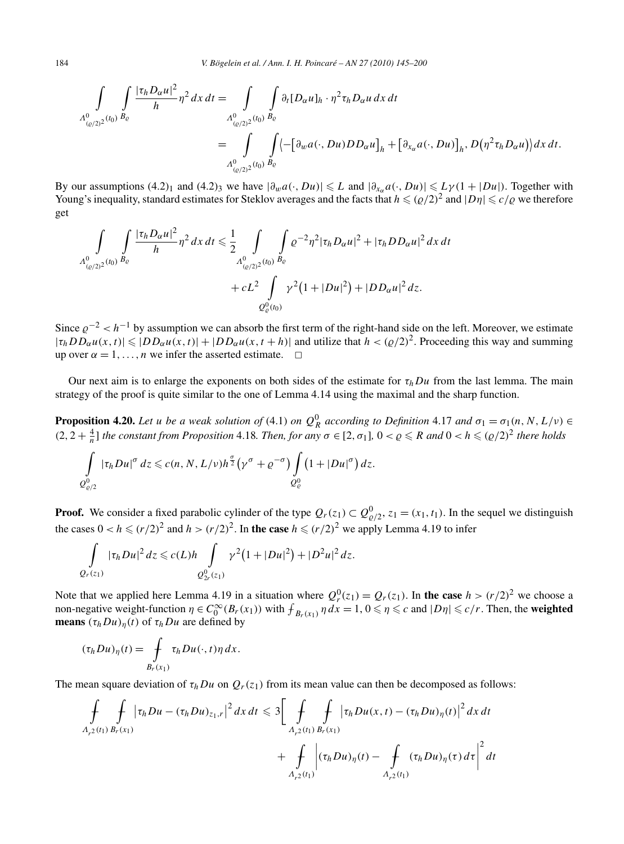$$
\int_{\Lambda^0_{(\varrho/2)^2}(t_0)} \int_{B_{\varrho}} \frac{|\tau_h D_{\alpha} u|^2}{h} \eta^2 dx dt = \int_{\Lambda^0_{(\varrho/2)^2}(t_0)} \int_{B_{\varrho}} \partial_t [D_{\alpha} u]_h \cdot \eta^2 \tau_h D_{\alpha} u dx dt
$$
  

$$
= \int_{\Lambda^0_{(\varrho/2)^2}(t_0)} \int_{B_{\varrho}} \left\langle -\left[\partial_w a(\cdot, Du) D_{\alpha} u\right]_h + \left[\partial_{x_{\alpha}} a(\cdot, Du)\right]_h, D\left(\eta^2 \tau_h D_{\alpha} u\right) \right\rangle dx dt.
$$

By our assumptions (4.2)<sub>1</sub> and (4.2)<sub>3</sub> we have  $|\partial_w a(\cdot, Du)| \leq L$  and  $|\partial_{x_0} a(\cdot, Du)| \leq L \gamma (1 + |Du|)$ . Together with Young's inequality, standard estimates for Steklov averages and the facts that  $h \leq (\rho/2)^2$  and  $|D\eta| \leq c/\rho$  we therefore get

$$
\int_{\Lambda_{(a/2)^2}^0(t_0)} \int_{B_{\varrho}} \frac{|\tau_h D_{\alpha} u|^2}{h} \eta^2 dx dt \le \frac{1}{2} \int_{\Lambda_{(a/2)^2}^0(t_0)} \int_{B_{\varrho}} \varrho^{-2} \eta^2 |\tau_h D_{\alpha} u|^2 + |\tau_h D_{\alpha} u|^2 dx dt
$$
  
+ 
$$
+ cL^2 \int_{\Omega_{\varrho}^0(t_0)} \gamma^2 (1 + |Du|^2) + |DD_{\alpha} u|^2 dz.
$$

Since  $\varrho^{-2}$  <  $h^{-1}$  by assumption we can absorb the first term of the right-hand side on the left. Moreover, we estimate  $|\tau_h DD_{\alpha}u(x,t)| \leq |DD_{\alpha}u(x,t)|+|DD_{\alpha}u(x,t+h)|$  and utilize that  $h < (Q/2)^2$ . Proceeding this way and summing up over  $\alpha = 1, \ldots, n$  we infer the asserted estimate.  $\Box$ 

Our next aim is to enlarge the exponents on both sides of the estimate for  $\tau_hDu$  from the last lemma. The main strategy of the proof is quite similar to the one of Lemma 4.14 using the maximal and the sharp function.

**Proposition 4.20.** *Let u be a weak solution of* (4.1) *on*  $Q_R^0$  *according to Definition* 4.17 *and*  $\sigma_1 = \sigma_1(n, N, L/\nu) \in$  $(2, 2 + \frac{4}{n}]$  *the constant from Proposition* 4.18*. Then, for any*  $\sigma \in [2, \sigma_1]$ ,  $0 < \rho \le R$  *and*  $0 < h \le (\rho/2)^2$  *there holds* 

$$
\int\limits_{Q^0_{\varrho/2}} |\tau_h Du|^{\sigma} dz \leqslant c(n, N, L/\nu) h^{\frac{\sigma}{2}} \big(\gamma^{\sigma} + \varrho^{-\sigma}\big) \int\limits_{Q^0_{\varrho}} \big(1 + |Du|^{\sigma}\big) dz.
$$

**Proof.** We consider a fixed parabolic cylinder of the type  $Q_r(z_1) \subset Q^0_{\varrho/2}$ ,  $z_1 = (x_1, t_1)$ . In the sequel we distinguish the cases  $0 < h \le (r/2)^2$  and  $h > (r/2)^2$ . In the case  $h \le (r/2)^2$  we apply Lemma 4.19 to infer

$$
\int_{Q_r(z_1)} |\tau_h Du|^2 dz \leqslant c(L)h \int_{Q_{2r}^0(z_1)} \gamma^2 (1+|Du|^2) + |D^2u|^2 dz.
$$

Note that we applied here Lemma 4.19 in a situation where  $Q_r^0(z_1) = Q_r(z_1)$ . In the case  $h > (r/2)^2$  we choose a non-negative weight-function  $\eta \in C_0^{\infty}(B_r(x_1))$  with  $f_{B_r(x_1)}$   $\eta dx = 1, 0 \le \eta \le c$  and  $|D\eta| \le c/r$ . Then, the **weighted means**  $(\tau_h Du)_n(t)$  of  $\tau_h Du$  are defined by

$$
(\tau_h Du)_{\eta}(t) = \int\limits_{B_r(x_1)} \tau_h Du(\cdot, t) \eta \, dx.
$$

The mean square deviation of  $\tau_h D u$  on  $Q_r(z_1)$  from its mean value can then be decomposed as follows:

$$
\int_{A_{r^2}(t_1)} \int_{B_r(x_1)} |\tau_h Du - (\tau_h Du)_{z_1,r}|^2 dx dt \leq 3 \Bigg[ \int_{A_{r^2}(t_1)} \int_{B_r(x_1)} |\tau_h Du(x,t) - (\tau_h Du)_{\eta}(t)|^2 dx dt \n+ \int_{A_{r^2}(t_1)} |\tau_h Du)_{\eta}(t) - \int_{A_{r^2}(t_1)} (\tau_h Du)_{\eta}(\tau) d\tau \Bigg|^2 dt
$$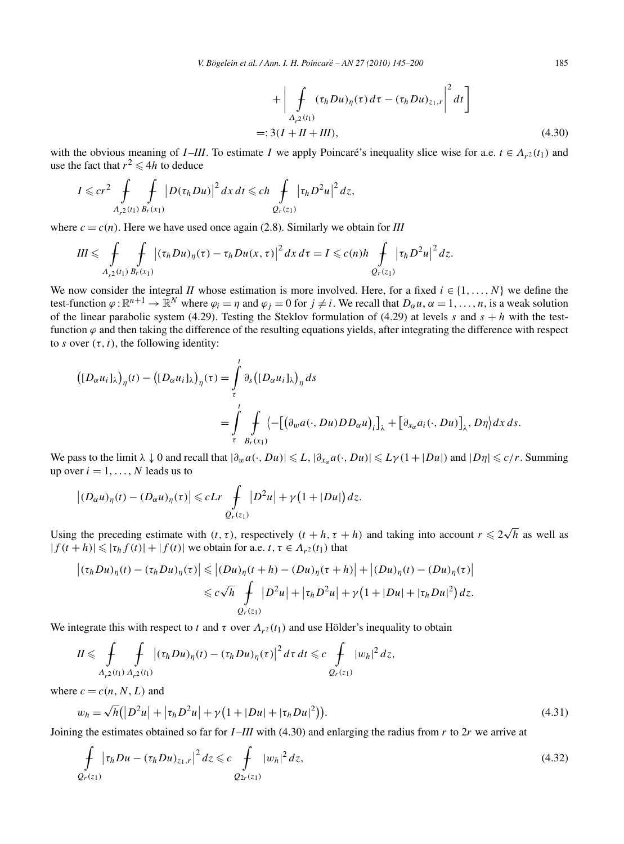$$
+\left|\int_{A_{r2}(t_1)} (\tau_h Du)_{\eta}(\tau) d\tau - (\tau_h Du)_{z_1,r}\right|^2 dt\right]
$$
  
=: 3(I + II + III), (4.30)

with the obvious meaning of *I*-*III*. To estimate *I* we apply Poincaré's inequality slice wise for a.e.  $t \in A_{r^2}(t_1)$  and use the fact that  $r^2 \le 4h$  to deduce

$$
I \leqslant cr^2 \int\limits_{A_{r^2}(t_1)} \int\limits_{B_r(x_1)} |D(\tau_h Du)|^2 dx dt \leqslant ch \int\limits_{Q_r(z_1)} |\tau_h D^2 u|^2 dz,
$$

where  $c = c(n)$ . Here we have used once again (2.8). Similarly we obtain for *III* 

$$
III \leqslant \int\limits_{A_{r^2}(t_1)}\int\limits_{B_r(x_1)} \left|(\tau_h Du)_{\eta}(\tau)-\tau_h Du(x,\tau)\right|^2 dx\,d\tau = I \leqslant c(n)h \int\limits_{Q_r(z_1)} \left|\tau_h D^2 u\right|^2 dz.
$$

We now consider the integral *II* whose estimation is more involved. Here, for a fixed  $i \in \{1, \ldots, N\}$  we define the test-function  $\varphi : \mathbb{R}^{n+1} \to \mathbb{R}^N$  where  $\varphi_i = \eta$  and  $\varphi_j = 0$  for  $j \neq i$ . We recall that  $D_{\alpha} u, \alpha = 1, \ldots, n$ , is a weak solution of the linear parabolic system (4.29). Testing the Steklov formulation of (4.29) at levels *s* and  $s + h$  with the testfunction  $\varphi$  and then taking the difference of the resulting equations yields, after integrating the difference with respect to *s* over  $(\tau, t)$ , the following identity:

$$
\begin{aligned} \left( [D_{\alpha}u_i]_{\lambda} \right)_{\eta}(t) - \left( [D_{\alpha}u_i]_{\lambda} \right)_{\eta}(\tau) &= \int_{\tau}^{t} \partial_s \left( [D_{\alpha}u_i]_{\lambda} \right)_{\eta} ds \\ &= \int_{\tau}^{t} \int_{B_r(x_1)} \left\langle - \left[ \left( \partial_w a(\cdot, Du) D D_{\alpha} u \right)_i \right]_{\lambda} + \left[ \partial_{x_{\alpha}} a_i(\cdot, Du) \right]_{\lambda}, D\eta \right\rangle dx \, ds. \end{aligned}
$$

We pass to the limit  $\lambda \downarrow 0$  and recall that  $|\partial_w a(\cdot, Du)| \leq L$ ,  $|\partial_{x_n} a(\cdot, Du)| \leq L \gamma (1+|Du|)$  and  $|D\eta| \leq c/r$ . Summing up over  $i = 1, \ldots, N$  leads us to

$$
\left|(D_{\alpha}u)_{\eta}(t)-(D_{\alpha}u)_{\eta}(\tau)\right|\leqslant cLr\int\limits_{Q_{r}(z_{1})}\left|D^{2}u\right|+\gamma\left(1+\left|Du\right|\right)dz.
$$

Using the preceding estimate with  $(t, \tau)$ , respectively  $(t + h, \tau + h)$  and taking into account  $r \leq 2\sqrt{h}$  as well as  $|f(t+h)| \le | \tau_h f(t) | + |f(t)|$  we obtain for a.e.  $t, \tau \in \Lambda_{r^2}(t_1)$  that

$$
\left| (\tau_h Du)_{\eta}(t) - (\tau_h Du)_{\eta}(\tau) \right| \leq |(Du)_{\eta}(t+h) - (Du)_{\eta}(\tau+h)| + |(Du)_{\eta}(t) - (Du)_{\eta}(\tau)|
$$
  

$$
\leq c\sqrt{h} \int_{Q_r(\tau_1)} |D^2u| + |\tau_h D^2u| + \gamma(1+|Du|+|\tau_h Du|^2) dz.
$$

We integrate this with respect to *t* and  $\tau$  over  $\Lambda_{r^2}(t_1)$  and use Hölder's inequality to obtain

$$
II \leq \int\limits_{A_{r^2}(t_1)} \int\limits_{A_{r^2}(t_1)} \left| (\tau_h Du)_{\eta}(t) - (\tau_h Du)_{\eta}(\tau) \right|^2 d\tau dt \leq c \int\limits_{Q_r(z_1)} |w_h|^2 dz,
$$

where  $c = c(n, N, L)$  and

$$
w_h = \sqrt{h} \left( |D^2 u| + |\tau_h D^2 u| + \gamma \left( 1 + |Du| + |\tau_h D u|^2 \right) \right).
$$
 (4.31)

Joining the estimates obtained so far for *I* –*III* with (4.30) and enlarging the radius from *r* to 2*r* we arrive at

$$
\int_{Q_r(z_1)} |\tau_h Du - (\tau_h Du)_{z_1,r}|^2 dz \leq c \int_{Q_{2r}(z_1)} |w_h|^2 dz,
$$
\n(4.32)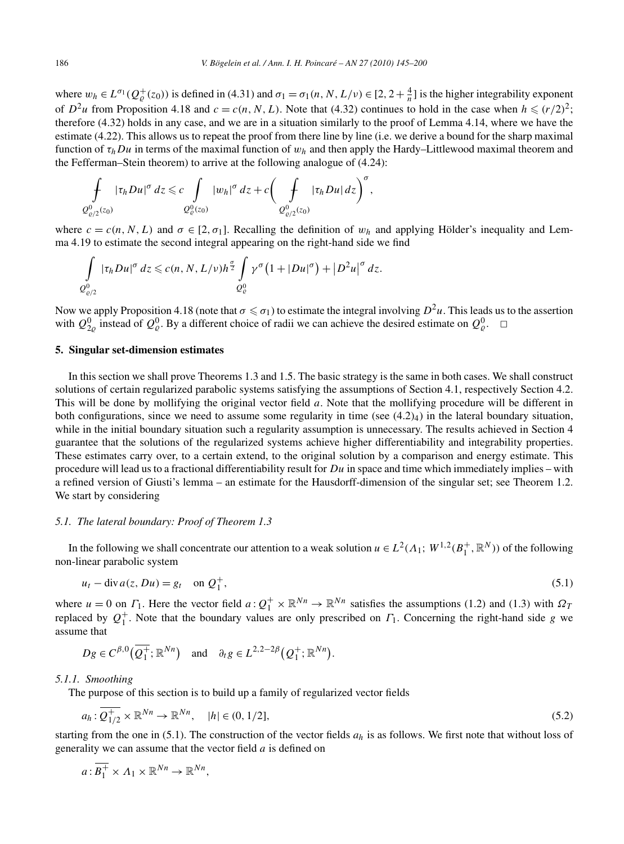where  $w_h \in L^{\sigma_1}(Q^+_{\varrho}(z_0))$  is defined in (4.31) and  $\sigma_1 = \sigma_1(n, N, L/\nu) \in [2, 2 + \frac{4}{n}]$  is the higher integrability exponent of  $D^2u$  from Proposition 4.18 and  $c = c(n, N, L)$ . Note that (4.32) continues to hold in the case when  $h \le (r/2)^2$ ; therefore (4.32) holds in any case, and we are in a situation similarly to the proof of Lemma 4.14, where we have the estimate (4.22). This allows us to repeat the proof from there line by line (i.e. we derive a bound for the sharp maximal function of *τhDu* in terms of the maximal function of *wh* and then apply the Hardy–Littlewood maximal theorem and the Fefferman–Stein theorem) to arrive at the following analogue of (4.24):

$$
\int\limits_{Q^0_{\varrho/2}(z_0)}|\tau_h Du|^{\sigma}\,dz\leqslant c\int\limits_{Q^0_{\varrho}(z_0)}|w_h|^{\sigma}\,dz+c\bigg(\int\limits_{Q^0_{\varrho/2}(z_0)}|\tau_h Du|\,dz\bigg)^{\sigma},
$$

where  $c = c(n, N, L)$  and  $\sigma \in [2, \sigma_1]$ . Recalling the definition of  $w_h$  and applying Hölder's inequality and Lemma 4.19 to estimate the second integral appearing on the right-hand side we find

$$
\int\limits_{Q^0_{\varrho/2}}|\tau_h Du|^{\sigma}\,dz \leqslant c(n,N,L/\nu)h^{\frac{\sigma}{2}}\int\limits_{Q^0_{\varrho}}\gamma^{\sigma}\big(1+|Du|^{\sigma}\big)+\big|D^2u\big|^{\sigma}\,dz.
$$

Now we apply Proposition 4.18 (note that  $\sigma \leq \sigma_1$ ) to estimate the integral involving  $D^2u$ . This leads us to the assertion with  $Q_{2\rho}^0$  instead of  $Q_{\rho}^0$ . By a different choice of radii we can achieve the desired estimate on  $Q_{\rho}^0$ .  $\Box$ 

# **5. Singular set-dimension estimates**

In this section we shall prove Theorems 1.3 and 1.5. The basic strategy is the same in both cases. We shall construct solutions of certain regularized parabolic systems satisfying the assumptions of Section 4.1, respectively Section 4.2. This will be done by mollifying the original vector field *a*. Note that the mollifying procedure will be different in both configurations, since we need to assume some regularity in time (see  $(4.2)_4$ ) in the lateral boundary situation, while in the initial boundary situation such a regularity assumption is unnecessary. The results achieved in Section 4 guarantee that the solutions of the regularized systems achieve higher differentiability and integrability properties. These estimates carry over, to a certain extend, to the original solution by a comparison and energy estimate. This procedure will lead us to a fractional differentiability result for *Du* in space and time which immediately implies – with a refined version of Giusti's lemma – an estimate for the Hausdorff-dimension of the singular set; see Theorem 1.2. We start by considering

# *5.1. The lateral boundary: Proof of Theorem 1.3*

In the following we shall concentrate our attention to a weak solution  $u \in L^2(\Lambda_1; W^{1,2}(B_1^+, \mathbb{R}^N))$  of the following non-linear parabolic system

$$
u_t - \operatorname{div} a(z, Du) = g_t \quad \text{on } Q_1^+, \tag{5.1}
$$

where  $u = 0$  on  $\Gamma_1$ . Here the vector field  $a: Q_1^+ \times \mathbb{R}^{Nn} \to \mathbb{R}^{Nn}$  satisfies the assumptions (1.2) and (1.3) with  $\Omega_7$ replaced by  $Q_1^+$ . Note that the boundary values are only prescribed on  $\Gamma_1$ . Concerning the right-hand side *g* we assume that

$$
Dg \in C^{\beta,0}(\overline{Q_1^+}; \mathbb{R}^{Nn})
$$
 and  $\partial_t g \in L^{2,2-2\beta}(Q_1^+; \mathbb{R}^{Nn}).$ 

#### *5.1.1. Smoothing*

The purpose of this section is to build up a family of regularized vector fields

$$
a_h: \overline{Q_{1/2}^+} \times \mathbb{R}^{Nn} \to \mathbb{R}^{Nn}, \quad |h| \in (0, 1/2], \tag{5.2}
$$

starting from the one in  $(5.1)$ . The construction of the vector fields  $a_h$  is as follows. We first note that without loss of generality we can assume that the vector field *a* is defined on

$$
a:\overline{B_1^+}\times\Lambda_1\times\mathbb{R}^{Nn}\to\mathbb{R}^{Nn},
$$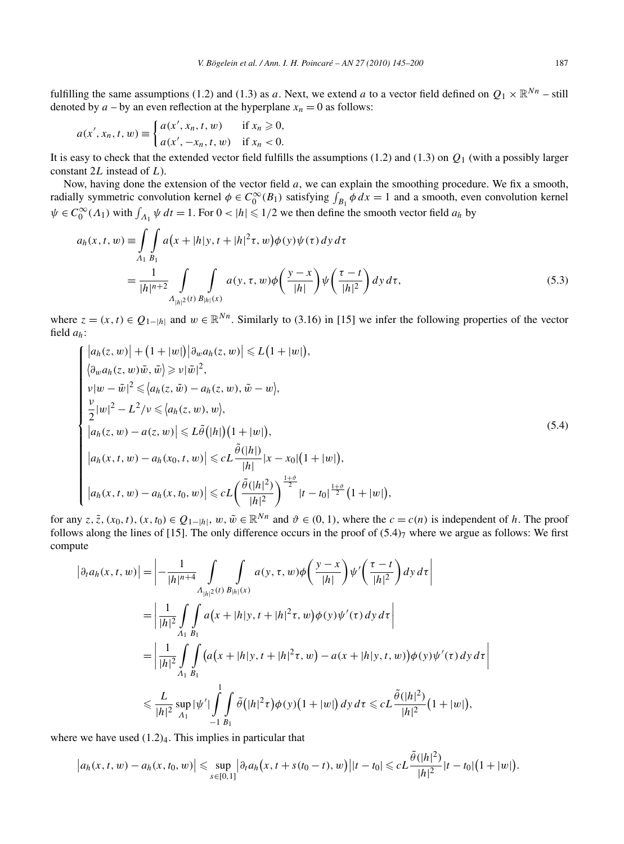fulfilling the same assumptions (1.2) and (1.3) as *a*. Next, we extend *a* to a vector field defined on  $Q_1 \times \mathbb{R}^{Nn}$  – still denoted by  $a - by$  an even reflection at the hyperplane  $x_n = 0$  as follows:

$$
a(x', x_n, t, w) \equiv \begin{cases} a(x', x_n, t, w) & \text{if } x_n \geq 0, \\ a(x', -x_n, t, w) & \text{if } x_n < 0. \end{cases}
$$

It is easy to check that the extended vector field fulfills the assumptions (1.2) and (1.3) on *Q*<sup>1</sup> (with a possibly larger constant 2*L* instead of *L*).

Now, having done the extension of the vector field *a*, we can explain the smoothing procedure. We fix a smooth, radially symmetric convolution kernel  $\phi \in C_0^{\infty}(B_1)$  satisfying  $\int_{B_1} \phi \, dx = 1$  and a smooth, even convolution kernel  $\psi \in C_0^{\infty}(\Lambda_1)$  with  $\int_{\Lambda_1} \psi \, dt = 1$ . For  $0 < |h| \leq 1/2$  we then define the smooth vector field  $a_h$  by

$$
a_h(x, t, w) = \int_{A_1} \int_{B_1} a(x + |h|y, t + |h|^2 \tau, w) \phi(y) \psi(\tau) dy d\tau
$$
  
= 
$$
\frac{1}{|h|^{n+2}} \int_{A_{|h|^2}(t)} \int_{B_{|h|}(x)} a(y, \tau, w) \phi\left(\frac{y - x}{|h|}\right) \psi\left(\frac{\tau - t}{|h|^2}\right) dy d\tau,
$$
(5.3)

where  $z = (x, t) \in Q_{1-|h|}$  and  $w \in \mathbb{R}^{Nn}$ . Similarly to (3.16) in [15] we infer the following properties of the vector field *ah*:

$$
\begin{cases}\n|a_h(z, w)| + (1 + |w|) |a_w a_h(z, w)| \le L(1 + |w|), \\
\langle a_w a_h(z, w)\tilde{w}, \tilde{w}\rangle \ge \nu |\tilde{w}|^2, \\
v|w - \tilde{w}|^2 \le \langle a_h(z, \tilde{w}) - a_h(z, w), \tilde{w} - w \rangle, \\
\frac{\nu}{2}|w|^2 - L^2/\nu \le \langle a_h(z, w), w \rangle, \\
|a_h(z, w) - a(z, w)| \le L\tilde{\theta}(|h|)(1 + |w|), \\
|a_h(x, t, w) - a_h(x_0, t, w)| \le cL \frac{\tilde{\theta}(|h|)}{|h|} |x - x_0|(1 + |w|), \\
|a_h(x, t, w) - a_h(x, t_0, w)| \le cL \left(\frac{\tilde{\theta}(|h|^2)}{|h|^2}\right)^{\frac{1+\vartheta}{2}} |t - t_0|^{\frac{1+\vartheta}{2}} (1 + |w|),\n\end{cases} (5.4)
$$

for any *z*,  $\tilde{z}$ ,  $(x_0, t)$ ,  $(x, t_0) \in Q_{1-|h|}$ ,  $w, \tilde{w} \in \mathbb{R}^{N_n}$  and  $\vartheta \in (0, 1)$ , where the  $c = c(n)$  is independent of *h*. The proof follows along the lines of [15]. The only difference occurs in the proof of  $(5.4)$ <sub>7</sub> where we argue as follows: We first compute

$$
\begin{split}\n\left|\partial_{t}a_{h}(x,t,w)\right| &= \left|-\frac{1}{|h|^{n+4}}\int_{A_{|h|^{2}}(t)}\int_{B_{|h|}(x)}a(y,\tau,w)\phi\left(\frac{y-x}{|h|}\right)\psi'\left(\frac{\tau-t}{|h|^{2}}\right)dy\,d\tau\right| \\
&= \left|\frac{1}{|h|^{2}}\int_{A_{1}}\int_{B_{1}}a(x+|h|y,t+|h|^{2}\tau,w)\phi(y)\psi'(\tau)\,dy\,d\tau\right| \\
&= \left|\frac{1}{|h|^{2}}\int_{A_{1}}\int_{B_{1}}\left(a(x+|h|y,t+|h|^{2}\tau,w)-a(x+|h|y,t,w)\right)\phi(y)\psi'(\tau)\,dy\,d\tau\right| \\
&\leqslant \frac{L}{|h|^{2}}\sup_{A_{1}}|\psi'|\int_{-1}^{1}\int_{B_{1}}\tilde{\theta}\left(|h|^{2}\tau\right)\phi(y)\left(1+|w|\right)dy\,d\tau \leqslant cL\frac{\tilde{\theta}(|h|^{2})}{|h|^{2}}\left(1+|w|\right),\n\end{split}
$$

where we have used  $(1.2)<sub>4</sub>$ . This implies in particular that

$$
|a_h(x,t,w)-a_h(x,t_0,w)| \leq \sup_{s\in[0,1]}|\partial_t a_h(x,t+s(t_0-t),w)||t-t_0| \leqslant cL\frac{\tilde{\theta}(|h|^2)}{|h|^2}|t-t_0|\big(1+|w|\big).
$$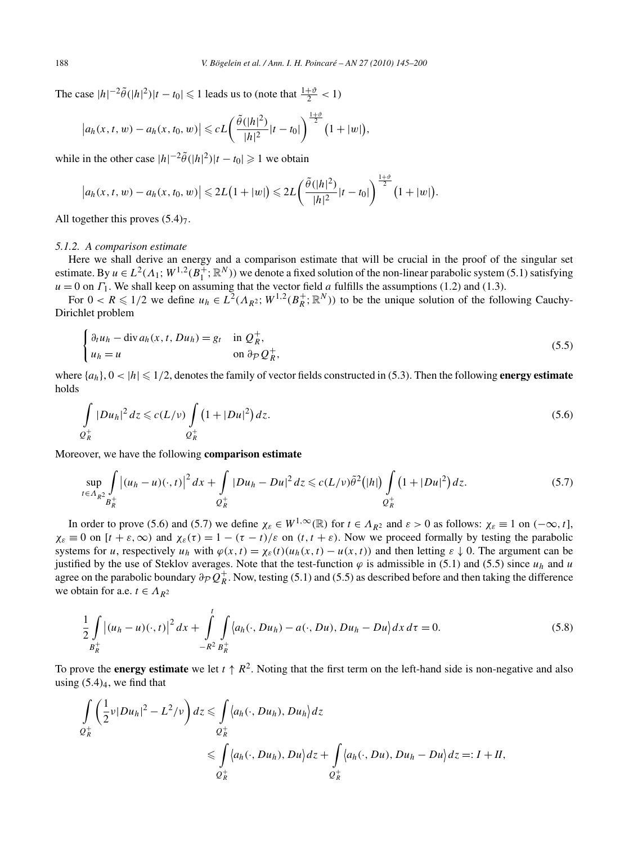The case  $|h|^{-2}\tilde{\theta}(|h|^2)|t - t_0| \leq 1$  leads us to (note that  $\frac{1+\vartheta}{2} < 1$ )

$$
|a_h(x, t, w) - a_h(x, t_0, w)| \leqslant cL\left(\frac{\tilde{\theta}(|h|^2)}{|h|^2}|t - t_0|\right)^{\frac{1+\vartheta}{2}}(1+|w|),
$$

while in the other case  $|h|^{-2}\tilde{\theta}(|h|^2)|t - t_0| \geq 1$  we obtain

$$
|a_h(x, t, w) - a_h(x, t_0, w)| \leq 2L(1+|w|) \leq 2L\left(\frac{\tilde{\theta}(|h|^2)}{|h|^2}|t-t_0|\right)^{\frac{1+\vartheta}{2}}(1+|w|).
$$

All together this proves  $(5.4)<sub>7</sub>$ .

## *5.1.2. A comparison estimate*

Here we shall derive an energy and a comparison estimate that will be crucial in the proof of the singular set estimate. By  $u \in L^2(\Lambda_1; W^{1,2}(B_1^+, \mathbb{R}^N))$  we denote a fixed solution of the non-linear parabolic system (5.1) satisfying  $u = 0$  on  $\Gamma_1$ . We shall keep on assuming that the vector field *a* fulfills the assumptions (1.2) and (1.3).

For  $0 < R \le 1/2$  we define  $u_h \in L^2(\Lambda_{R^2}; W^{1,2}(B_R^+; \mathbb{R}^N))$  to be the unique solution of the following Cauchy-Dirichlet problem

$$
\begin{cases} \partial_t u_h - \operatorname{div} a_h(x, t, Du_h) = g_t & \text{in } \mathcal{Q}_R^+, \\ u_h = u & \text{on } \partial_{\mathcal{P}} \mathcal{Q}_R^+, \end{cases}
$$
\n
$$
(5.5)
$$

where  $\{a_h\}$ ,  $0 < |h| \leq 1/2$ , denotes the family of vector fields constructed in (5.3). Then the following **energy estimate** holds

$$
\int_{Q_R^+} |Du_h|^2 \, dz \leqslant c(L/\nu) \int_{Q_R^+} \left(1 + |Du|^2\right) dz. \tag{5.6}
$$

Moreover, we have the following **comparison estimate**

$$
\sup_{t \in A_{R^2}} \int\limits_{B_R^+} \left| (u_h - u)(\cdot, t) \right|^2 dx + \int\limits_{Q_R^+} |Du_h - Du|^2 dz \leqslant c(L/\nu)\tilde{\theta}^2(|h|) \int\limits_{Q_R^+} \left( 1 + |Du|^2 \right) dz. \tag{5.7}
$$

In order to prove (5.6) and (5.7) we define  $\chi_{\varepsilon} \in W^{1,\infty}(\mathbb{R})$  for  $t \in \Lambda_{R^2}$  and  $\varepsilon > 0$  as follows:  $\chi_{\varepsilon} \equiv 1$  on  $(-\infty, t]$ ,  $\chi_{\varepsilon} \equiv 0$  on  $[t + \varepsilon, \infty)$  and  $\chi_{\varepsilon}(\tau) = 1 - (\tau - t)/\varepsilon$  on  $(t, t + \varepsilon)$ . Now we proceed formally by testing the parabolic systems for *u*, respectively  $u_h$  with  $\varphi(x,t) = \chi_{\varepsilon}(t)(u_h(x,t) - u(x,t))$  and then letting  $\varepsilon \downarrow 0$ . The argument can be justified by the use of Steklov averages. Note that the test-function  $\varphi$  is admissible in (5.1) and (5.5) since  $u_h$  and  $u$ agree on the parabolic boundary  $\partial_p Q_R^+$ . Now, testing (5.1) and (5.5) as described before and then taking the difference we obtain for a.e.  $t \in A_{R^2}$ 

$$
\frac{1}{2} \int_{B_R^+} |(u_h - u)(\cdot, t)|^2 dx + \int_{-R^2}^t \int_{B_R^+} \langle a_h(\cdot, Du_h) - a(\cdot, Du), Du_h - Du \rangle dx d\tau = 0.
$$
\n(5.8)

To prove the **energy estimate** we let  $t \uparrow R^2$ . Noting that the first term on the left-hand side is non-negative and also using  $(5.4)_4$ , we find that

$$
\int_{Q_R^+} \left( \frac{1}{2} \nu |Du_h|^2 - L^2 / \nu \right) dz \leq \int_{Q_R^+} \langle a_h(\cdot, Du_h), Du_h \rangle dz
$$
\n
$$
\leq \int_{Q_R^+} \langle a_h(\cdot, Du_h), Du \rangle dz + \int_{Q_R^+} \langle a_h(\cdot, Du), Du_h - Du \rangle dz =: I + II,
$$
\n
$$
\varphi_R^+
$$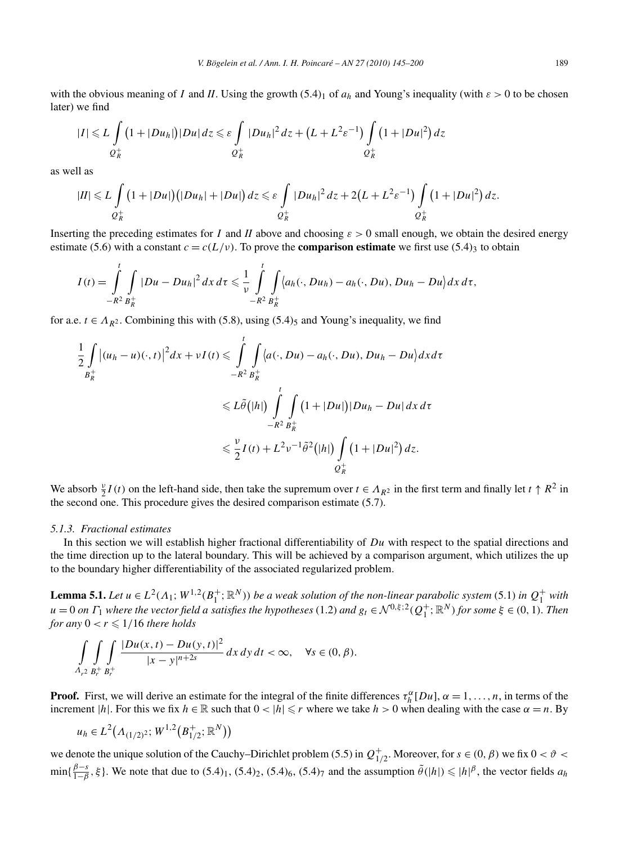with the obvious meaning of *I* and *II*. Using the growth  $(5.4)_1$  of  $a_h$  and Young's inequality (with  $\varepsilon > 0$  to be chosen later) we find

$$
|I| \leq L \int\limits_{Q_R^+} (1+|Du_h|)|Du|\,dz \leq \varepsilon \int\limits_{Q_R^+} |Du_h|^2\,dz + (L+L^2\varepsilon^{-1}) \int\limits_{Q_R^+} (1+|Du|^2)\,dz
$$

as well as

$$
|II| \leq L \int\limits_{Q_R^+} (1+|Du|) (|Du_h|+|Du|) dz \leq \varepsilon \int\limits_{Q_R^+} |Du_h|^2 dz + 2(L+L^2\varepsilon^{-1}) \int\limits_{Q_R^+} (1+|Du|^2) dz.
$$

Inserting the preceding estimates for *I* and *II* above and choosing  $\varepsilon > 0$  small enough, we obtain the desired energy estimate (5.6) with a constant  $c = c(L/\nu)$ . To prove the **comparison estimate** we first use (5.4)<sub>3</sub> to obtain

$$
I(t)=\int\limits_{-R^2}^t\int\limits_{B_R^+}|Du-Du_h|^2\,dx\,d\tau\leqslant\frac{1}{\nu}\int\limits_{-R^2}^t\int\limits_{B_R^+}\langle a_h(\cdot,Du_h)-a_h(\cdot,Du),Du_h-Du\rangle dx\,d\tau,
$$

for a.e.  $t \in A_{R^2}$ . Combining this with (5.8), using (5.4)<sub>5</sub> and Young's inequality, we find

$$
\frac{1}{2} \int\limits_{B_R^+} \left| (u_h - u)(\cdot, t) \right|^2 dx + vI(t) \leqslant \int\limits_{-R^2}^t \int\limits_{B_R^+} \left\langle a(\cdot, Du) - a_h(\cdot, Du), Du_h - Du \right\rangle dx d\tau
$$
\n
$$
\leqslant L\tilde{\theta}(|h|) \int\limits_{-R^2}^t \int\limits_{B_R^+} \left(1 + |Du| \right) |Du_h - Du| dx d\tau
$$
\n
$$
\leqslant \frac{\nu}{2} I(t) + L^2 \nu^{-1} \tilde{\theta}^2(|h|) \int\limits_{Q_R^+} \left(1 + |Du|^2\right) dz.
$$

We absorb  $\frac{v}{2}I(t)$  on the left-hand side, then take the supremum over  $t \in A_{R^2}$  in the first term and finally let  $t \uparrow R^2$  in the second one. This procedure gives the desired comparison estimate (5.7).

#### *5.1.3. Fractional estimates*

In this section we will establish higher fractional differentiability of *Du* with respect to the spatial directions and the time direction up to the lateral boundary. This will be achieved by a comparison argument, which utilizes the up to the boundary higher differentiability of the associated regularized problem.

**Lemma 5.1.** *Let*  $u \in L^2(\Lambda_1; W^{1,2}(B_1^+; \mathbb{R}^N))$  *be a weak solution of the non-linear parabolic system* (5.1) *in*  $Q_1^+$  *with*  $u=0$  on  $\Gamma_1$  where the vector field a satisfies the hypotheses (1.2) and  $g_t \in \mathcal{N}^{0,\xi;2}(Q_1^+;\mathbb{R}^N)$  for some  $\xi \in (0,1)$ . Then *for any*  $0 < r \leq 1/16$  *there holds* 

$$
\int_{A_{r^2}} \int_{B_r^+} \int_{B_r^+} \frac{|Du(x,t) - Du(y,t)|^2}{|x - y|^{n+2s}} dx dy dt < \infty, \quad \forall s \in (0, \beta).
$$

**Proof.** First, we will derive an estimate for the integral of the finite differences  $\tau_h^{\alpha}[Du]$ ,  $\alpha = 1, \ldots, n$ , in terms of the increment |*h*|. For this we fix  $h \in \mathbb{R}$  such that  $0 < |h| \le r$  where we take  $h > 0$  when dealing with the case  $\alpha = n$ . By

$$
u_h \in L^2(A_{(1/2)^2}; W^{1,2}(B_{1/2}^+; \mathbb{R}^N))
$$

we denote the unique solution of the Cauchy–Dirichlet problem (5.5) in  $Q_{1/2}^+$ . Moreover, for  $s \in (0, \beta)$  we fix  $0 < \vartheta < \vartheta$  $\min{\{\frac{\beta-s}{1-\beta}, \xi\}}$ . We note that due to  $(5.4)_1$ ,  $(5.4)_2$ ,  $(5.4)_6$ ,  $(5.4)_7$  and the assumption  $\tilde{\theta}(|h|) \le |h|^{\beta}$ , the vector fields  $a_h$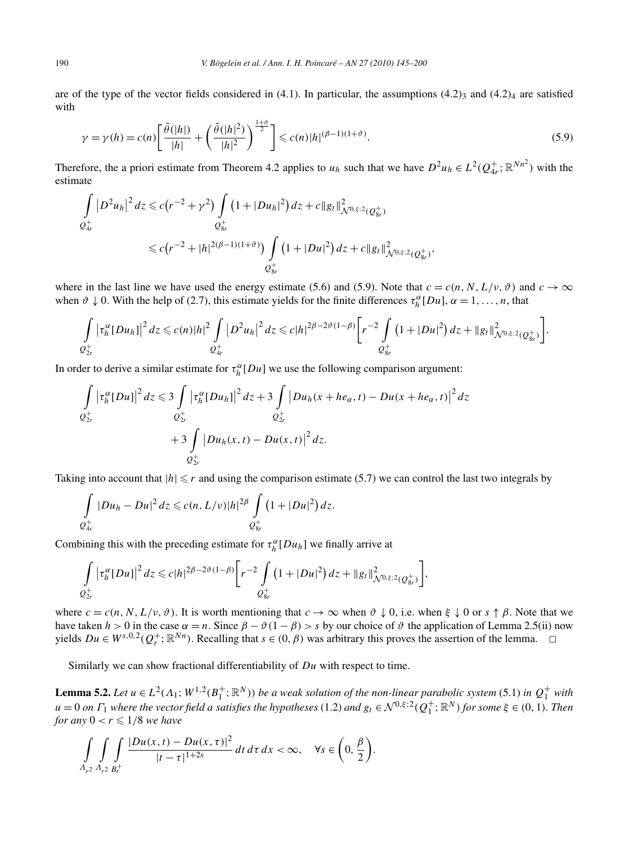are of the type of the vector fields considered in  $(4.1)$ . In particular, the assumptions  $(4.2)_3$  and  $(4.2)_4$  are satisfied with

$$
\gamma = \gamma(h) = c(n) \left[ \frac{\tilde{\theta}(|h|)}{|h|} + \left( \frac{\tilde{\theta}(|h|^2)}{|h|^2} \right)^{\frac{1+\vartheta}{2}} \right] \leqslant c(n) |h|^{(\beta-1)(1+\vartheta)}.
$$
\n(5.9)

Therefore, the a priori estimate from Theorem 4.2 applies to  $u_h$  such that we have  $D^2u_h \in L^2(Q_4^+; \mathbb{R}^{Nn^2})$  with the estimate

$$
\int_{Q_{4r}^+} |D^2 u_h|^2 dz \le c (r^{-2} + \gamma^2) \int_{Q_{8r}^+} (1 + |Du_h|^2) dz + c \|g_t\|_{\mathcal{N}^{0,\xi;2}(Q_{8r}^+)}^2
$$
  

$$
\le c (r^{-2} + |h|^{2(\beta - 1)(1 + \vartheta)}) \int_{Q_{8r}^+} (1 + |Du|^2) dz + c \|g_t\|_{\mathcal{N}^{0,\xi;2}(Q_{8r}^+)}^2,
$$

where in the last line we have used the energy estimate (5.6) and (5.9). Note that  $c = c(n, N, L/\nu, \vartheta)$  and  $c \to \infty$ when  $\vartheta \downarrow 0$ . With the help of (2.7), this estimate yields for the finite differences  $\tau_h^{\alpha}[Du]$ ,  $\alpha = 1, \ldots, n$ , that

$$
\int_{Q_{2r}^+} \left|\tau_h^{\alpha}[Du_h]\right|^2 dz \leqslant c(n)|h|^2 \int_{Q_{4r}^+} |D^2u_h|^2 dz \leqslant c|h|^{2\beta-2\vartheta(1-\beta)} \bigg[r^{-2} \int_{Q_{8r}^+} (1+|Du|^2) dz + \|g_t\|_{\mathcal{N}^{0,\xi;2}(Q_{8r}^+)}^2\bigg].
$$

In order to derive a similar estimate for  $\tau_h^{\alpha}[Du]$  we use the following comparison argument:

$$
\int_{Q_{2r}^+} |\tau_h^{\alpha}[Du]|^2 dz \leq 3 \int_{Q_{2r}^+} |\tau_h^{\alpha}[Du_h]|^2 dz + 3 \int_{Q_{2r}^+} |Du_h(x + he_{\alpha}, t) - Du(x + he_{\alpha}, t)|^2 dz + 3 \int_{Q_{2r}^+} |Du_h(x, t) - Du(x, t)|^2 dz.
$$

Taking into account that  $|h| \leq r$  and using the comparison estimate (5.7) we can control the last two integrals by

$$
\int_{Q_{4r}^+} |Du_h - Du|^2 dz \leq c(n, L/v)|h|^{2\beta} \int_{Q_{8r}^+} (1 + |Du|^2) dz.
$$

Combining this with the preceding estimate for  $\tau_h^{\alpha}[Du_h]$  we finally arrive at

$$
\int_{Q_{2r}^+} \left|\tau_h^{\alpha}[Du]\right|^2 dz \leq c|h|^{2\beta-2\vartheta(1-\beta)} \bigg[r^{-2} \int_{Q_{8r}^+} \left(1+|Du|^2\right) dz + \|g_t\|_{\mathcal{N}^{0,\xi;2}(Q_{8r}^+)}^2\bigg],
$$

where  $c = c(n, N, L/\nu, \vartheta)$ . It is worth mentioning that  $c \to \infty$  when  $\vartheta \downarrow 0$ , i.e. when  $\xi \downarrow 0$  or  $s \uparrow \beta$ . Note that we have taken  $h > 0$  in the case  $\alpha = n$ . Since  $\beta - \vartheta(1 - \beta) > s$  by our choice of  $\vartheta$  the application of Lemma 2.5(ii) now *y*ields *Du* ∈ *W*<sup>*s*,0,2</sup>( $Q_r^+$ ; ℝ<sup>*Nn*</sup></sup>). Recalling that *s* ∈ (0, *β*) was arbitrary this proves the assertion of the lemma.  $□$ 

Similarly we can show fractional differentiability of *Du* with respect to time.

**Lemma 5.2.** Let  $u \in L^2(\Lambda_1; W^{1,2}(B_1^+; \mathbb{R}^N))$  be a weak solution of the non-linear parabolic system (5.1) in  $Q_1^+$  with  $u=0$  on  $\Gamma_1$  where the vector field a satisfies the hypotheses (1.2) and  $g_t \in \mathcal{N}^{0,\xi;2}(Q_1^+;\mathbb{R}^N)$  for some  $\xi \in (0,1)$ . Then *for any*  $0 < r \leq 1/8$  *we have* 

$$
\int_{A_{r^2}} \int_{A_{r^2}} \int_{B_r^+} \frac{|Du(x,t) - Du(x,\tau)|^2}{|t-\tau|^{1+2s}} dt \, d\tau \, dx < \infty, \quad \forall s \in \left(0, \frac{\beta}{2}\right).
$$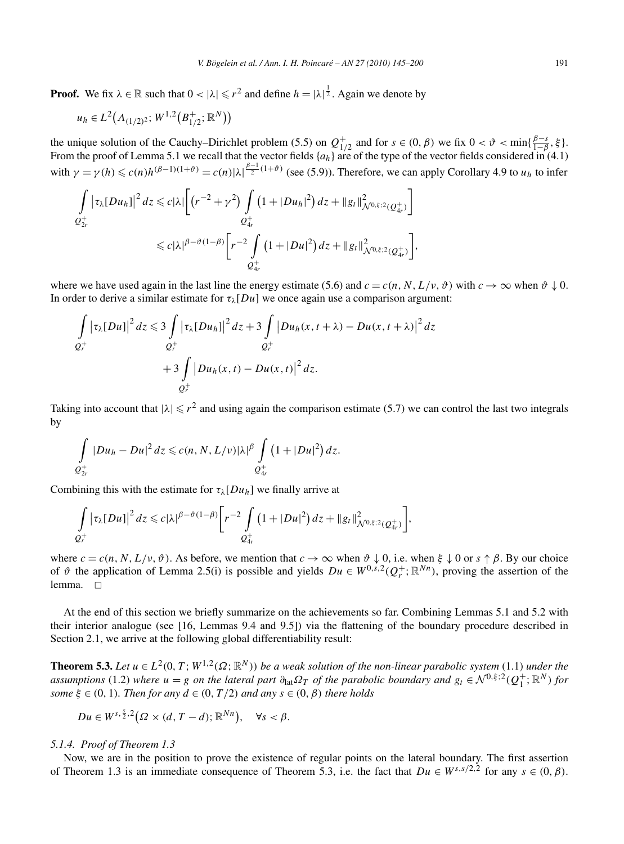**Proof.** We fix  $\lambda \in \mathbb{R}$  such that  $0 < |\lambda| \leq r^2$  and define  $h = |\lambda|^{\frac{1}{2}}$ . Again we denote by

$$
u_h \in L^2(A_{(1/2)^2}; W^{1,2}(B_{1/2}^+;\mathbb{R}^N))
$$

the unique solution of the Cauchy–Dirichlet problem (5.5) on  $Q_{1/2}^+$  and for  $s \in (0, \beta)$  we fix  $0 < \vartheta < \min\{\frac{\beta - s}{1 - \beta}, \xi\}$ . From the proof of Lemma 5.1 we recall that the vector fields  $\{a_h\}$  are of the type of the vector fields considered in (4.1) with  $\gamma = \gamma(h) \leqslant c(n)h^{(\beta-1)(1+\vartheta)} = c(n)|\lambda|^{\frac{\beta-1}{2}(1+\vartheta)}$  (see (5.9)). Therefore, we can apply Corollary 4.9 to  $u_h$  to infer

$$
\int_{Q_{2r}^+} |\tau_{\lambda}[Du_h]|^2 dz \leq c |\lambda| \Biggl[ \left(r^{-2} + \gamma^2\right) \int_{Q_{4r}^+} \left(1 + |Du_h|^2\right) dz + \|g_t\|_{\mathcal{N}^{0,\xi;2}(Q_{4r}^+)}^2 \Biggr] \leq c |\lambda|^{\beta - \vartheta(1-\beta)} \Biggl[ r^{-2} \int_{Q_{4r}^+} \left(1 + |Du|^2\right) dz + \|g_t\|_{\mathcal{N}^{0,\xi;2}(Q_{4r}^+)}^2 \Biggr],
$$

where we have used again in the last line the energy estimate (5.6) and  $c = c(n, N, L/\nu, \vartheta)$  with  $c \to \infty$  when  $\vartheta \downarrow 0$ . In order to derive a similar estimate for  $\tau_{\lambda}[Du]$  we once again use a comparison argument:

$$
\int_{Q_r^+} \left| \tau_\lambda [Du] \right|^2 dz \leq 3 \int_{Q_r^+} \left| \tau_\lambda [Du_h] \right|^2 dz + 3 \int_{Q_r^+} \left| Du_h(x, t + \lambda) - Du(x, t + \lambda) \right|^2 dz
$$
  
+3 
$$
\int_{Q_r^+} \left| Du_h(x, t) - Du(x, t) \right|^2 dz.
$$

Taking into account that  $|\lambda| \le r^2$  and using again the comparison estimate (5.7) we can control the last two integrals by

$$
\int\limits_{Q_{2r}^+} |Du_h-Du|^2\,dz \leqslant c(n,N,L/v)|\lambda|^{\beta}\int\limits_{Q_{4r}^+} \left(1+|Du|^2\right)dz.
$$

Combining this with the estimate for  $\tau_{\lambda}[Du_h]$  we finally arrive at

$$
\int_{Q_r^+} |\tau_\lambda[Du]|^2 dz \leqslant c |\lambda|^{\beta-\vartheta(1-\beta)} \bigg[ r^{-2} \int_{Q_{4r}^+} (1+|Du|^2) dz + \|g_t\|_{\mathcal{N}^{0,\xi;2}(Q_{4r}^+)}^2 \bigg],
$$

where  $c = c(n, N, L/\nu, \vartheta)$ . As before, we mention that  $c \to \infty$  when  $\vartheta \downarrow 0$ , i.e. when  $\xi \downarrow 0$  or  $s \uparrow \beta$ . By our choice of  $\vartheta$  the application of Lemma 2.5(i) is possible and yields  $Du \in W^{0,s,2}(Q_r^+; \mathbb{R}^{Nn})$ , proving the assertion of the lemma.  $\square$ 

At the end of this section we briefly summarize on the achievements so far. Combining Lemmas 5.1 and 5.2 with their interior analogue (see [16, Lemmas 9.4 and 9.5]) via the flattening of the boundary procedure described in Section 2.1, we arrive at the following global differentiability result:

**Theorem 5.3.** Let  $u \in L^2(0, T; W^{1,2}(\Omega; \mathbb{R}^N))$  be a weak solution of the non-linear parabolic system (1.1) *under the assumptions* (1.2) *where*  $u = g$  *on the lateral part*  $\partial_{lat} \Omega_T$  *of the parabolic boundary and*  $g_t \in \mathcal{N}^{0,\xi;2}(Q_1^+;\mathbb{R}^N)$  *for some*  $\xi \in (0, 1)$ *. Then for any*  $d \in (0, T/2)$  *and any*  $s \in (0, \beta)$  *there holds* 

$$
Du\in W^{s,\frac{5}{2},2}(\Omega\times (d,T-d);\mathbb{R}^{Nn}),\quad \forall s<\beta.
$$

# *5.1.4. Proof of Theorem 1.3*

Now, we are in the position to prove the existence of regular points on the lateral boundary. The first assertion of Theorem 1.3 is an immediate consequence of Theorem 5.3, i.e. the fact that  $Du \in W^{s,s/2,2}$  for any  $s \in (0,\beta)$ .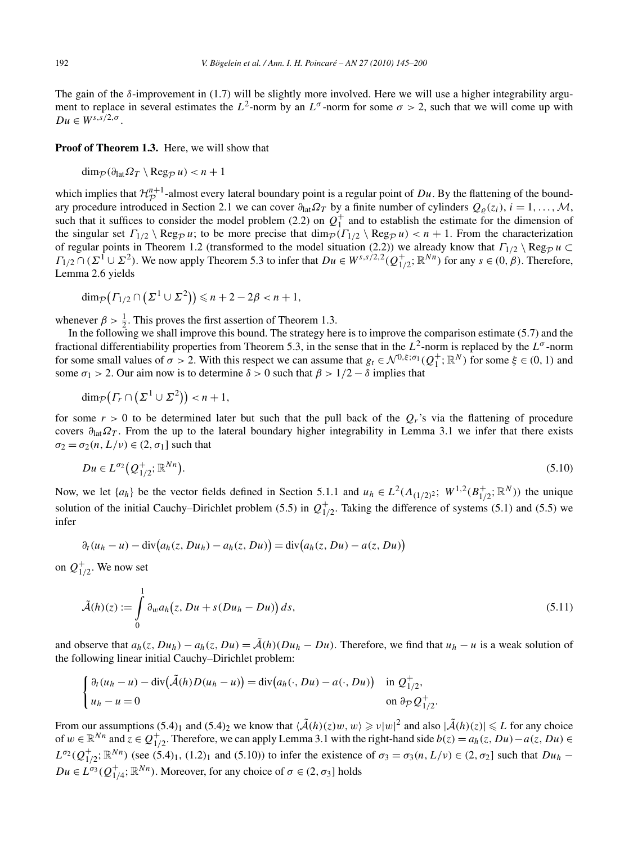The gain of the  $\delta$ -improvement in (1.7) will be slightly more involved. Here we will use a higher integrability argument to replace in several estimates the  $L^2$ -norm by an  $L^{\sigma}$ -norm for some  $\sigma > 2$ , such that we will come up with  $Du \in W^{s,s/2,\sigma}$ .

**Proof of Theorem 1.3.** Here, we will show that

$$
\dim_{\mathcal{P}}(\partial_{\text{lat}}\Omega_T \setminus \text{Reg}_{\mathcal{P}} u) < n+1
$$

which implies that  $\mathcal{H}_{\mathcal{D}}^{n+1}$ -almost every lateral boundary point is a regular point of *Du*. By the flattening of the bound-<br>and are according interdepend in Sastian 2.1 we see several.  $\Omega$  the a finite number ary procedure introduced in Section 2.1 we can cover  $\partial_{\text{lat}} \Omega_T$  by a finite number of cylinders  $Q_\rho(z_i)$ ,  $i = 1, \ldots, \mathcal{M}$ , such that it suffices to consider the model problem (2.2) on  $Q_1^+$  and to establish the estimate for the dimension of the singular set  $\Gamma_{1/2} \setminus \text{Reg}_{\mathcal{P}} u$ ; to be more precise that  $\dim_{\mathcal{P}}(\Gamma_{1/2} \setminus \text{Reg}_{\mathcal{P}} u) < n + 1$ . From the characterization of regular points in Theorem 1.2 (transformed to the model situation (2.2)) we already know that  $\Gamma_{1/2} \setminus \text{Reg}_{\mathcal{P}} u \subset \Gamma_{1/2} \setminus \text{Reg}_{\mathcal{P}} u$  $\Gamma_{1/2} \cap (\Sigma^1 \cup \Sigma^2)$ . We now apply Theorem 5.3 to infer that  $Du \in W^{s,s/2,2}(Q_{1/2}^+;\mathbb{R}^{Nn})$  for any  $s \in (0,\beta)$ . Therefore, Lemma 2.6 yields

$$
\dim_{\mathcal{P}}\left(\Gamma_{1/2}\cap\left(\Sigma^1\cup\Sigma^2\right)\right)\leqslant n+2-2\beta
$$

whenever  $\beta > \frac{1}{2}$ . This proves the first assertion of Theorem 1.3.

In the following we shall improve this bound. The strategy here is to improve the comparison estimate (5.7) and the fractional differentiability properties from Theorem 5.3, in the sense that in the  $L^2$ -norm is replaced by the  $L^{\sigma}$ -norm for some small values of  $\sigma > 2$ . With this respect we can assume that  $g_t \in \mathcal{N}^{0,\xi;\sigma_1}(Q_1^+;\mathbb{R}^N)$  for some  $\xi \in (0,1)$  and some  $\sigma_1$  > 2. Our aim now is to determine  $\delta$  > 0 such that  $\beta$  > 1/2 –  $\delta$  implies that

$$
\dim_{\mathcal{P}}\left(\varGamma_{r}\cap\left(\varSigma^{1}\cup\varSigma^{2}\right)\right)
$$

for some  $r > 0$  to be determined later but such that the pull back of the  $Q_r$ 's via the flattening of procedure covers *∂*lat*ΩT* . From the up to the lateral boundary higher integrability in Lemma 3.1 we infer that there exists  $\sigma_2 = \sigma_2(n, L/\nu) \in (2, \sigma_1]$  such that

$$
Du \in L^{\sigma_2}(Q_{1/2}^+;\mathbb{R}^{Nn}).
$$
\n(5.10)

Now, we let  $\{a_h\}$  be the vector fields defined in Section 5.1.1 and  $u_h \in L^2(A_{(1/2)^2}; W^{1,2}(B_{1/2}^+;\mathbb{R}^N))$  the unique solution of the initial Cauchy–Dirichlet problem (5.5) in  $Q_{1/2}^+$ . Taking the difference of systems (5.1) and (5.5) we infer

$$
\partial_t (u_h - u) - \operatorname{div}(a_h(z, Du_h) - a_h(z, Du)) = \operatorname{div}(a_h(z, Du) - a(z, Du))
$$

on  $Q_{1/2}^+$ . We now set

$$
\tilde{\mathcal{A}}(h)(z) := \int\limits_0^1 \partial_w a_h(z, Du + s(Du_h - Du)) ds,
$$
\n(5.11)

and observe that  $a_h(z, Du_h) - a_h(z, Du) = \tilde{A}(h)(Du_h - Du)$ . Therefore, we find that  $u_h - u$  is a weak solution of the following linear initial Cauchy–Dirichlet problem:

$$
\begin{cases} \partial_t (u_h - u) - \operatorname{div}(\tilde{\mathcal{A}}(h)D(u_h - u)) = \operatorname{div}(a_h(\cdot, Du) - a(\cdot, Du)) & \text{in } \mathcal{Q}_{1/2}^+, \\ u_h - u = 0 & \text{on } \partial_{\mathcal{P}}\mathcal{Q}_{1/2}^+.\end{cases}
$$

From our assumptions  $(5.4)$ <sub>1</sub> and  $(5.4)$ <sub>2</sub> we know that  $\langle \tilde{A}(h)(z)w, w \rangle \geq v|w|^2$  and also  $|\tilde{A}(h)(z)| \leq L$  for any choice of *w* ∈  $\mathbb{R}^{Nn}$  and  $z \in Q_{1/2}^+$ . Therefore, we can apply Lemma 3.1 with the right-hand side *b*(*z*) =  $a_h(z, Du) - a(z, Du)$  ∈  $L^{\sigma_2}(Q_{1/2}^+; \mathbb{R}^{Nn})$  (see (5.4)<sub>1</sub>, (1.2)<sub>1</sub> and (5.10)) to infer the existence of  $\sigma_3 = \sigma_3(n, L/\nu) \in (2, \sigma_2]$  such that  $Du_h$  −  $Du \in L^{\sigma_3}(Q_{1/4}^+; \mathbb{R}^{Nn})$ . Moreover, for any choice of  $\sigma \in (2, \sigma_3]$  holds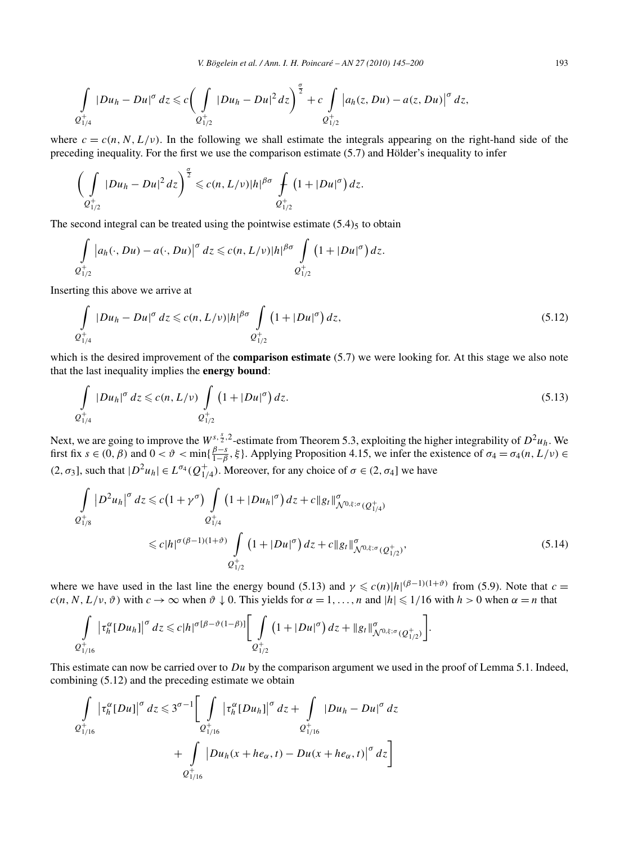$$
\int_{Q_{1/4}^+} |Du_h - Du|^{\sigma} dz \leq c \bigg(\int_{Q_{1/2}^+} |Du_h - Du|^2 dz\bigg)^{\frac{\sigma}{2}} + c \int_{Q_{1/2}^+} |a_h(z, Du) - a(z, Du)|^{\sigma} dz,
$$

where  $c = c(n, N, L/\nu)$ . In the following we shall estimate the integrals appearing on the right-hand side of the preceding inequality. For the first we use the comparison estimate (5.7) and Hölder's inequality to infer

$$
\left(\int\limits_{Q_{1/2}^+} |Du_h - Du|^2 dz\right)^{\frac{\sigma}{2}} \leqslant c(n, L/\nu)|h|^{\beta\sigma} \int\limits_{Q_{1/2}^+} \left(1+|Du|^{\sigma}\right) dz.
$$

The second integral can be treated using the pointwise estimate  $(5.4)$ <sub>5</sub> to obtain

$$
\int_{\mathcal{Q}_{1/2}^+} |a_h(\cdot,Du)-a(\cdot,Du)|^{\sigma} dz \leqslant c(n,L/\nu)|h|^{\beta\sigma} \int_{\mathcal{Q}_{1/2}^+} (1+|Du|^{\sigma}) dz.
$$

Inserting this above we arrive at

$$
\int_{Q_{1/4}^+} |Du_h - Du|^{\sigma} dz \leq c(n, L/\nu)|h|^{\beta \sigma} \int_{Q_{1/2}^+} \left(1 + |Du|^{\sigma}\right) dz,
$$
\n(5.12)

which is the desired improvement of the **comparison estimate** (5.7) we were looking for. At this stage we also note that the last inequality implies the **energy bound**:

$$
\int_{Q_{1/4}^+} |Du_h|^\sigma dz \leq c(n, L/\nu) \int_{Q_{1/2}^+} \left(1 + |Du|^\sigma\right) dz.
$$
\n(5.13)

Next, we are going to improve the  $W_2^{s, \frac{s}{2}, 2}$ -estimate from Theorem 5.3, exploiting the higher integrability of  $D^2u_h$ . We first fix  $s \in (0, \beta)$  and  $0 < \vartheta < \min\{\frac{\beta - s}{1 - \beta}, \xi\}$ . Applying Proposition 4.15, we infer the existence of  $\sigma_4 = \sigma_4(n, L/\nu)$  $(2, \sigma_3]$ , such that  $|D^2u_h| \in L^{\sigma_4}(Q_{1/4}^+)$ . Moreover, for any choice of  $\sigma \in (2, \sigma_4]$  we have

$$
\int_{Q_{1/8}^{+}} |D^{2} u_{h}|^{\sigma} dz \leq c \left(1 + \gamma^{\sigma}\right) \int_{Q_{1/4}^{+}} \left(1 + |Du_{h}|^{\sigma}\right) dz + c \|g_{t}\|_{\mathcal{N}^{0,\xi;\sigma}(Q_{1/4}^{+})}^{\sigma}
$$
\n
$$
\leq c |h|^{\sigma(\beta - 1)(1 + \vartheta)} \int_{Q_{1/2}^{+}} \left(1 + |Du|^{\sigma}\right) dz + c \|g_{t}\|_{\mathcal{N}^{0,\xi;\sigma}(Q_{1/2}^{+})}^{\sigma}, \tag{5.14}
$$

where we have used in the last line the energy bound (5.13) and  $\gamma \leqslant c(n)|h|^{(\beta-1)(1+\vartheta)}$  from (5.9). Note that  $c =$  $c(n, N, L/\nu, \vartheta)$  with  $c \to \infty$  when  $\vartheta \downarrow 0$ . This yields for  $\alpha = 1, \ldots, n$  and  $|h| \leq 1/16$  with  $h > 0$  when  $\alpha = n$  that

$$
\int_{Q_{1/16}^+} \left|\tau_h^{\alpha} [Du_h]\right|^{\sigma} dz \leq c |h|^{\sigma[\beta-\vartheta(1-\beta)]} \Biggl[ \int_{Q_{1/2}^+} \left(1+|Du|^{\sigma}\right) dz + \|g_t\|_{\mathcal{N}^{0,\xi;\sigma}(Q_{1/2}^+)}^{\sigma} \Biggr].
$$

This estimate can now be carried over to *Du* by the comparison argument we used in the proof of Lemma 5.1. Indeed, combining (5.12) and the preceding estimate we obtain

$$
\int_{Q_{1/16}^{+}} \left| \tau_{h}^{\alpha}[Du] \right|^{\sigma} dz \leq 3^{\sigma-1} \Bigg[ \int_{Q_{1/16}^{+}} \left| \tau_{h}^{\alpha}[Du_{h}] \right|^{\sigma} dz + \int_{Q_{1/16}^{+}} |Du_{h} - Du|^{\sigma} dz + \int_{Q_{1/16}^{+}} |Du_{h}(x + he_{\alpha}, t) - Du(x + he_{\alpha}, t)|^{\sigma} dz \Bigg]
$$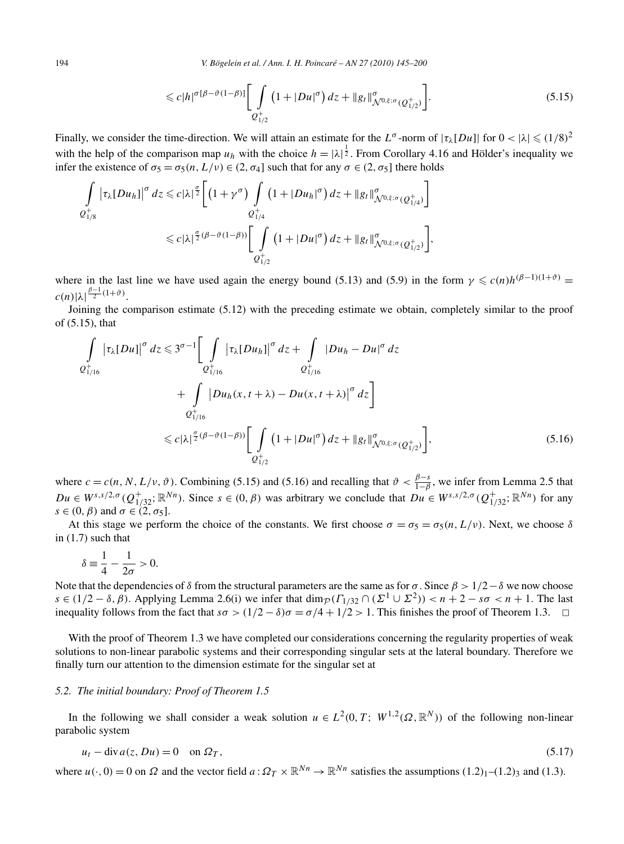194 *V. Bögelein et al. / Ann. I. H. Poincaré – AN 27 (2010) 145–200*

$$
\leq c|h|^{\sigma[\beta-\vartheta(1-\beta)]}\bigg[\int\limits_{Q_{1/2}^+} \left(1+|Du|^{\sigma}\right)dz+\|g_t\|_{\mathcal{N}^{0,\xi;\sigma}(Q_{1/2}^+)}^{\sigma}\bigg].\tag{5.15}
$$

Finally, we consider the time-direction. We will attain an estimate for the  $L^{\sigma}$ -norm of  $|\tau_{\lambda}[Du]|$  for  $0 < |\lambda| \leq (1/8)^2$ with the help of the comparison map  $u_h$  with the choice  $h = |\lambda|^{\frac{1}{2}}$ . From Corollary 4.16 and Hölder's inequality we infer the existence of  $\sigma_5 = \sigma_5(n, L/v) \in (2, \sigma_4]$  such that for any  $\sigma \in (2, \sigma_5]$  there holds

$$
\int_{Q_{1/8}^+} \left|\tau_\lambda[Du_h]\right|^{\sigma} dz \leq c |\lambda|^{\frac{\sigma}{2}} \left[ \left(1+\gamma^\sigma\right) \int\limits_{Q_{1/4}^+} \left(1+|Du_h|^\sigma\right) dz + \|g_t\|_{\mathcal{N}^{0,\xi;\sigma}(Q_{1/4}^+)}^{\sigma} \right] \leq c |\lambda|^{\frac{\sigma}{2}(\beta-\vartheta(1-\beta))} \left[ \int\limits_{Q_{1/2}^+} \left(1+|Du|^\sigma\right) dz + \|g_t\|_{\mathcal{N}^{0,\xi;\sigma}(Q_{1/2}^+)}^{\sigma} \right],
$$

where in the last line we have used again the energy bound (5.13) and (5.9) in the form  $\gamma \leq c(n)h^{(\beta-1)(1+\vartheta)}$  =  $c(n)|\lambda|^{\frac{\beta-1}{2}(1+\vartheta)}.$ 

Joining the comparison estimate (5.12) with the preceding estimate we obtain, completely similar to the proof of (5.15), that

$$
\int_{Q_{1/16}^{+}} |\tau_{\lambda}[Du]|^{\sigma} dz \leq 3^{\sigma-1} \Biggl[ \int_{Q_{1/16}^{+}} |\tau_{\lambda}[Du_{h}]|^{\sigma} dz + \int_{Q_{1/16}^{+}} |Du_{h} - Du|^{\sigma} dz \n+ \int_{Q_{1/16}^{+}} |Du_{h}(x, t + \lambda) - Du(x, t + \lambda)|^{\sigma} dz \Biggr] \n\leq c |\lambda|^{\frac{\sigma}{2}(\beta - \vartheta(1 - \beta))} \Biggl[ \int_{Q_{1/2}^{+}} (1 + |Du|^{\sigma}) dz + ||g_{t}||^{\sigma}_{\mathcal{N}^{0, \xi; \sigma}(Q_{1/2}^{+})} \Biggr],
$$
\n(5.16)

where  $c = c(n, N, L/\nu, \vartheta)$ . Combining (5.15) and (5.16) and recalling that  $\vartheta < \frac{\beta - s}{1 - \beta}$ , we infer from Lemma 2.5 that  $Du \in W^{s,s/2,\sigma}(Q_{1/32}^+;\mathbb{R}^{Nn})$ . Since  $s \in (0,\beta)$  was arbitrary we conclude that  $Du \in W^{s,s/2,\sigma}(Q_{1/32}^+;\mathbb{R}^{Nn})$  for any  $s \in (0, \beta)$  and  $\sigma \in (2, \sigma_5]$ .

At this stage we perform the choice of the constants. We first choose  $\sigma = \sigma_5 = \sigma_5(n, L/\nu)$ . Next, we choose  $\delta$ in (1.7) such that

$$
\delta \equiv \frac{1}{4} - \frac{1}{2\sigma} > 0.
$$

Note that the dependencies of  $\delta$  from the structural parameters are the same as for  $\sigma$ . Since  $\beta > 1/2 - \delta$  we now choose  $s \in (1/2 - \delta, \beta)$ . Applying Lemma 2.6(i) we infer that  $\dim_{\mathcal{P}}(\Gamma_{1/32} \cap (\Sigma^1 \cup \Sigma^2)) < n+2 - s\sigma < n+1$ . The last inequality follows from the fact that  $s\sigma > (1/2 - \delta)\sigma = \sigma/4 + 1/2 > 1$ . This finishes the proof of Theorem 1.3.

With the proof of Theorem 1.3 we have completed our considerations concerning the regularity properties of weak solutions to non-linear parabolic systems and their corresponding singular sets at the lateral boundary. Therefore we finally turn our attention to the dimension estimate for the singular set at

## *5.2. The initial boundary: Proof of Theorem 1.5*

In the following we shall consider a weak solution  $u \in L^2(0,T; W^{1,2}(\Omega,\mathbb{R}^N))$  of the following non-linear parabolic system

$$
u_t - \text{div}\,a(z, Du) = 0 \quad \text{on } \Omega_T,\tag{5.17}
$$

where  $u(\cdot, 0) = 0$  on  $\Omega$  and the vector field  $a: \Omega_T \times \mathbb{R}^{N_n} \to \mathbb{R}^{N_n}$  satisfies the assumptions  $(1.2)<sub>1</sub>$ – $(1.2)<sub>3</sub>$  and  $(1.3)$ .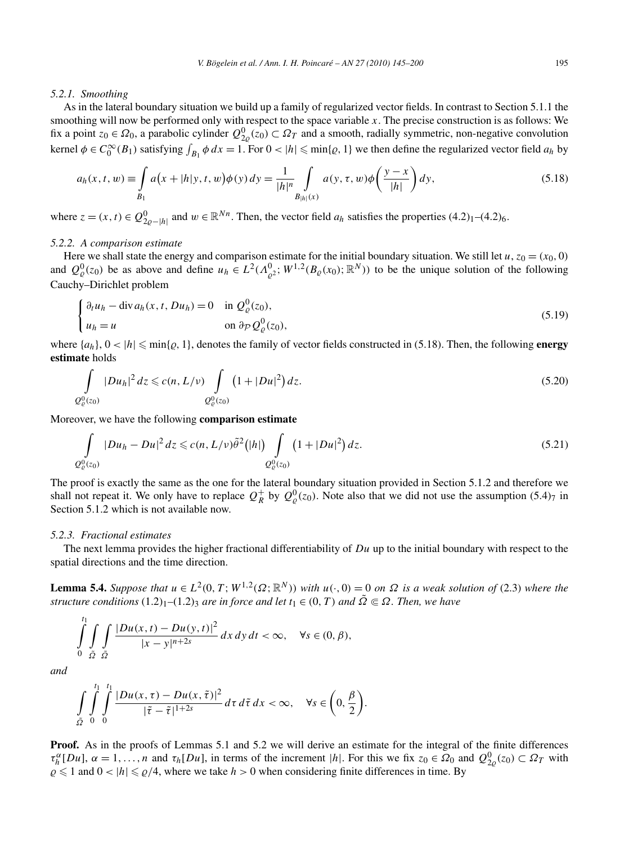#### *5.2.1. Smoothing*

As in the lateral boundary situation we build up a family of regularized vector fields. In contrast to Section 5.1.1 the smoothing will now be performed only with respect to the space variable *x*. The precise construction is as follows: We fix a point  $z_0 \in \Omega_0$ , a parabolic cylinder  $Q_{2\varrho}^0(z_0) \subset \Omega_T$  and a smooth, radially symmetric, non-negative convolution kernel  $\phi \in C_0^{\infty}(B_1)$  satisfying  $\int_{B_1} \phi \, dx = 1$ . For  $0 < |h| \le \min\{\varrho, 1\}$  we then define the regularized vector field  $a_h$  by

$$
a_h(x, t, w) \equiv \int_{B_1} a(x + |h|y, t, w) \phi(y) dy = \frac{1}{|h|^n} \int_{B|h|(x)} a(y, \tau, w) \phi\left(\frac{y - x}{|h|}\right) dy,
$$
(5.18)

where  $z = (x, t) \in Q_{2\varrho-|h|}^0$  and  $w \in \mathbb{R}^{Nn}$ . Then, the vector field  $a_h$  satisfies the properties  $(4.2)_1$ – $(4.2)_6$ .

# *5.2.2. A comparison estimate*

Here we shall state the energy and comparison estimate for the initial boundary situation. We still let  $u$ ,  $z_0 = (x_0, 0)$ and  $Q^0_{\varrho}(z_0)$  be as above and define  $u_h \in L^2(\Lambda^0_{\varrho^2}; W^{1,2}(B_{\varrho}(x_0); \mathbb{R}^N))$  to be the unique solution of the following Cauchy–Dirichlet problem

$$
\begin{cases} \partial_t u_h - \operatorname{div} a_h(x, t, Du_h) = 0 & \text{in } \mathcal{Q}_{\varrho}^0(z_0), \\ u_h = u & \text{on } \partial_{\mathcal{P}} \mathcal{Q}_{\varrho}^0(z_0), \end{cases}
$$
\n
$$
(5.19)
$$

where  $\{a_h\}$ ,  $0 < |h| \leq \min\{g, 1\}$ , denotes the family of vector fields constructed in (5.18). Then, the following **energy estimate** holds

$$
\int_{Q_{\varrho}^{0}(z_{0})} |Du_{h}|^{2} dz \leq c(n, L/\nu) \int_{Q_{\varrho}^{0}(z_{0})} \left(1 + |Du|^{2}\right) dz.
$$
\n(5.20)

Moreover, we have the following **comparison estimate**

$$
\int_{Q^0_{\varrho}(z_0)} |Du_h - Du|^2 \, dz \leqslant c(n, L/\nu) \tilde{\theta}^2(|h|) \int_{Q^0_{\varrho}(z_0)} \left(1 + |Du|^2\right) dz. \tag{5.21}
$$

The proof is exactly the same as the one for the lateral boundary situation provided in Section 5.1.2 and therefore we shall not repeat it. We only have to replace  $Q_R^+$  by  $Q_\varrho^0(z_0)$ . Note also that we did not use the assumption (5.4)<sub>7</sub> in Section 5.1.2 which is not available now.

# *5.2.3. Fractional estimates*

The next lemma provides the higher fractional differentiability of *Du* up to the initial boundary with respect to the spatial directions and the time direction.

**Lemma 5.4.** Suppose that  $u \in L^2(0,T; W^{1,2}(\Omega;\mathbb{R}^N))$  with  $u(\cdot,0) = 0$  on  $\Omega$  is a weak solution of (2.3) where the *structure conditions*  $(1.2)<sub>1</sub>–(1.2)$ <sub>3</sub> *are in force and let*  $t<sub>1</sub> \in (0, T)$  *and*  $\tilde{\Omega} \subseteq \Omega$ *. Then, we have* 

$$
\int_{0}^{t_1} \int_{\Omega} \int_{\tilde{\Omega}} \frac{|Du(x,t) - Du(y,t)|^2}{|x - y|^{n+2s}} dx dy dt < \infty, \quad \forall s \in (0, \beta),
$$

*and*

$$
\int_{\tilde{\Omega}}\int_{0}^{t_1}\int_{0}^{t_1}\frac{|Du(x,\tau)-Du(x,\tilde{\tau})|^2}{|\tilde{\tau}-\tilde{\tau}|^{1+2s}}d\tau d\tilde{\tau} dx < \infty, \quad \forall s \in \left(0, \frac{\beta}{2}\right).
$$

**Proof.** As in the proofs of Lemmas 5.1 and 5.2 we will derive an estimate for the integral of the finite differences  $\tau_h^{\alpha}[Du], \alpha = 1, ..., n$  and  $\tau_h[Du]$ , in terms of the increment |h|. For this we fix  $z_0 \in \Omega_0$  and  $Q_{2\varrho}^0(z_0) \subset \Omega_T$  with  $\rho \leq 1$  and  $0 < |h| \leq \rho/4$ , where we take  $h > 0$  when considering finite differences in time. By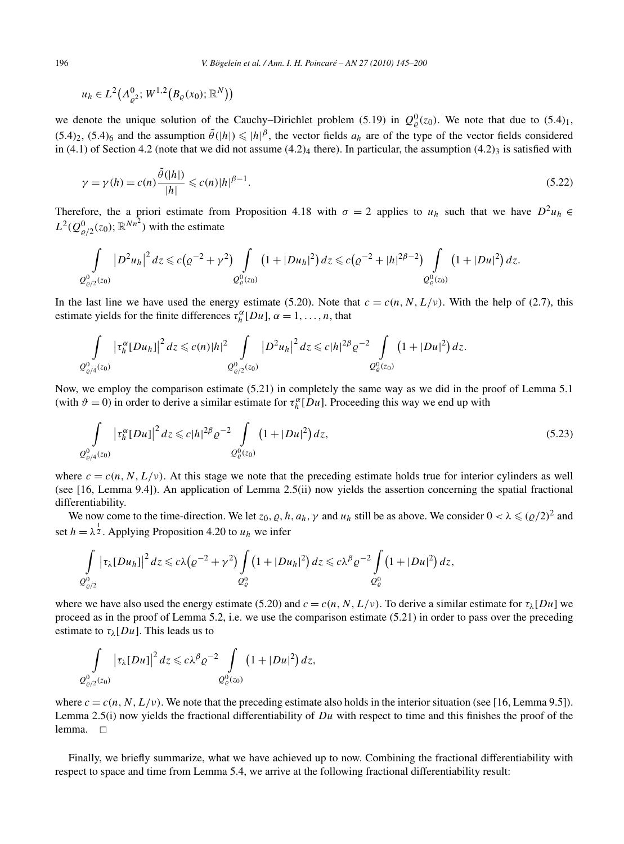$$
u_h \in L^2(\Lambda^0_{\varrho^2}; W^{1,2}(B_{\varrho}(x_0); \mathbb{R}^N))
$$

we denote the unique solution of the Cauchy–Dirichlet problem (5.19) in  $Q_{\varrho}^0(z_0)$ . We note that due to (5.4)<sub>1</sub>,  $(5.4)_2$ ,  $(5.4)_6$  and the assumption  $\tilde{\theta}(|h|) \leq |h|^\beta$ , the vector fields  $a_h$  are of the type of the vector fields considered in (4.1) of Section 4.2 (note that we did not assume  $(4.2)_4$  there). In particular, the assumption  $(4.2)_3$  is satisfied with

$$
\gamma = \gamma(h) = c(n)\frac{\tilde{\theta}(|h|)}{|h|} \leqslant c(n)|h|^{\beta - 1}.
$$
\n(5.22)

Therefore, the a priori estimate from Proposition 4.18 with  $\sigma = 2$  applies to  $u_h$  such that we have  $D^2 u_h \in$  $L^2(Q^0_{\varrho/2}(z_0); \mathbb{R}^{Nn^2})$  with the estimate

$$
\int_{Q^0_{\varrho/2}(z_0)} |D^2 u_h|^2 dz \leq c ( \varrho^{-2} + \gamma^2 ) \int_{Q^0_{\varrho}(z_0)} (1 + |Du_h|^2) dz \leq c \big( \varrho^{-2} + |h|^{2\beta - 2} \big) \int_{Q^0_{\varrho}(z_0)} (1 + |Du|^2) dz.
$$

In the last line we have used the energy estimate (5.20). Note that  $c = c(n, N, L/\nu)$ . With the help of (2.7), this estimate yields for the finite differences  $\tau_h^{\alpha}[Du], \alpha = 1, \ldots, n$ , that

$$
\int_{Q^0_{\varrho/4}(z_0)} \left|\tau_h^{\alpha} [Du_h]\right|^2 dz \leqslant c(n)|h|^2 \int_{Q^0_{\varrho/2}(z_0)} \left|D^2 u_h\right|^2 dz \leqslant c|h|^{2\beta} \varrho^{-2} \int_{Q^0_{\varrho}(z_0)} \left(1+|Du|^2\right) dz.
$$

Now, we employ the comparison estimate (5.21) in completely the same way as we did in the proof of Lemma 5.1 (with  $\vartheta = 0$ ) in order to derive a similar estimate for  $\tau_h^{\alpha}[Du]$ . Proceeding this way we end up with

$$
\int_{Q_{\varrho/4}^{0}(z_0)} \left| \tau_h^{\alpha} [Du] \right|^2 dz \leqslant c |h|^{2\beta} \varrho^{-2} \int_{Q_{\varrho}^{0}(z_0)} \left( 1 + |Du|^2 \right) dz,
$$
\n(5.23)

where  $c = c(n, N, L/\nu)$ . At this stage we note that the preceding estimate holds true for interior cylinders as well (see [16, Lemma 9.4]). An application of Lemma 2.5(ii) now yields the assertion concerning the spatial fractional differentiability.

We now come to the time-direction. We let  $z_0$ ,  $\varrho$ ,  $h$ ,  $a_h$ ,  $\gamma$  and  $u_h$  still be as above. We consider  $0 < \lambda \leq (\varrho/2)^2$  and set  $h = \lambda^{\frac{1}{2}}$ . Applying Proposition 4.20 to  $u_h$  we infer

$$
\int\limits_{Q^0_{\varrho/2}} \left|\tau_\lambda[Du_h]\right|^2 dz \leqslant c\lambda \big(\varrho^{-2}+\gamma^2\big) \int\limits_{Q^0_{\varrho}} \big(1+|Du_h|^2\big) dz \leqslant c\lambda^{\beta} \varrho^{-2} \int\limits_{Q^0_{\varrho}} \big(1+|Du|^2\big) dz,
$$

where we have also used the energy estimate (5.20) and  $c = c(n, N, L/\nu)$ . To derive a similar estimate for  $\tau_{\lambda}[Du]$  we proceed as in the proof of Lemma 5.2, i.e. we use the comparison estimate (5.21) in order to pass over the preceding estimate to  $\tau_{\lambda}[Du]$ . This leads us to

$$
\int\limits_{Q^0_{\varrho/2}(z_0)}\left|\tau_\lambda[Du]\right|^2dz\leqslant c\lambda^\beta\varrho^{-2}\int\limits_{Q^0_{\varrho}(z_0)}\left(1+|Du|^2\right)dz,
$$

where  $c = c(n, N, L/\nu)$ . We note that the preceding estimate also holds in the interior situation (see [16, Lemma 9.5]). Lemma 2.5(i) now yields the fractional differentiability of *Du* with respect to time and this finishes the proof of the lemma.  $\square$ 

Finally, we briefly summarize, what we have achieved up to now. Combining the fractional differentiability with respect to space and time from Lemma 5.4, we arrive at the following fractional differentiability result: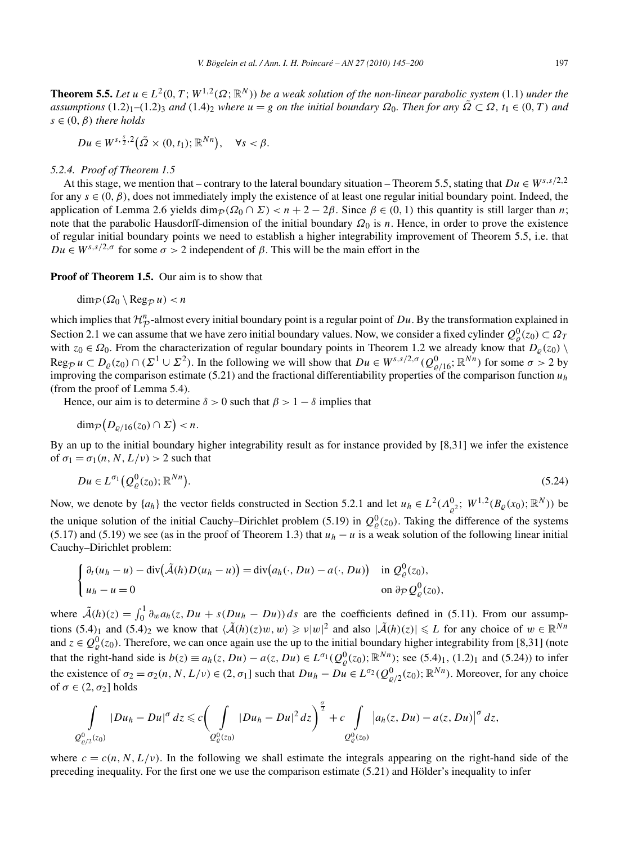**Theorem 5.5.** *Let*  $u \in L^2(0, T; W^{1,2}(\Omega; \mathbb{R}^N))$  *be a weak solution of the non-linear parabolic system* (1.1) *under the assumptions*  $(1.2)_1$ – $(1.2)_3$  *and*  $(1.4)_2$  *where*  $u = g$  *on the initial boundary*  $\Omega_0$ *. Then for any*  $\tilde{\Omega} \subset \Omega$ *,*  $t_1 \in (0, T)$  *and*  $s \in (0, \beta)$  *there holds* 

 $Du \in W^{s, \frac{s}{2}, 2}(\tilde{\Omega} \times (0, t_1); \mathbb{R}^{Nn}), \quad \forall s < \beta.$ 

# *5.2.4. Proof of Theorem 1.5*

At this stage, we mention that – contrary to the lateral boundary situation – Theorem 5.5, stating that  $Du \in W^{s,s/2,2}$ for any  $s \in (0, \beta)$ , does not immediately imply the existence of at least one regular initial boundary point. Indeed, the application of Lemma 2.6 yields  $\dim_{\mathcal{D}}(\Omega_0 \cap \Sigma) < n+2-2\beta$ . Since  $\beta \in (0, 1)$  this quantity is still larger than *n*; note that the parabolic Hausdorff-dimension of the initial boundary *Ω*<sup>0</sup> is *n*. Hence, in order to prove the existence of regular initial boundary points we need to establish a higher integrability improvement of Theorem 5.5, i.e. that  $Du \in W^{s,s/2,\sigma}$  for some  $\sigma > 2$  independent of  $\beta$ . This will be the main effort in the

**Proof of Theorem 1.5.** Our aim is to show that

dim $p(\Omega_0 \setminus \text{Reg}_{\mathcal{D}} u) < n$ 

which implies that  $\mathcal{H}_{\mathcal{P}}^n$ -almost every initial boundary point is a regular point of *Du*. By the transformation explained in Section 2.1 we can assume that we have zero initial boundary values. Now, we consider a fixed cylinder  $Q^0_\rho(z_0) \subset \Omega_T$ with  $z_0 \in \Omega_0$ . From the characterization of regular boundary points in Theorem 1.2 we already know that  $D_\varrho(z_0)$  $\text{Reg}_{\mathcal{P}} u \subset D_{\varrho}(z_0) \cap (\Sigma^1 \cup \Sigma^2)$ . In the following we will show that  $Du \in W^{s,s/2,\sigma}(Q^0_{\varrho/16};\mathbb{R}^{Nn})$  for some  $\sigma > 2$  by improving the comparison estimate (5.21) and the fractional differentiability properties of the comparison function  $u_h$ (from the proof of Lemma 5.4).

Hence, our aim is to determine  $\delta > 0$  such that  $\beta > 1 - \delta$  implies that

$$
\dim_{\mathcal{P}}\big(D_{\varrho/16}(z_0)\cap\Sigma\big)
$$

By an up to the initial boundary higher integrability result as for instance provided by [8,31] we infer the existence of  $\sigma_1 = \sigma_1(n, N, L/\nu) > 2$  such that

$$
Du \in L^{\sigma_1}(Q^0_{\varrho}(z_0); \mathbb{R}^{Nn}).
$$
\n
$$
(5.24)
$$

Now, we denote by  $\{a_h\}$  the vector fields constructed in Section 5.2.1 and let  $u_h \in L^2(\Lambda_{\varrho^2}^0; W^{1,2}(B_\varrho(x_0); \mathbb{R}^N))$  be the unique solution of the initial Cauchy–Dirichlet problem (5.19) in  $Q_{\varrho}^0(z_0)$ . Taking the difference of the systems (5.17) and (5.19) we see (as in the proof of Theorem 1.3) that  $u_h - u$  is a weak solution of the following linear initial Cauchy–Dirichlet problem:

$$
\begin{cases} \partial_t (u_h - u) - \operatorname{div}(\tilde{\mathcal{A}}(h)D(u_h - u)) = \operatorname{div}(a_h(\cdot, Du) - a(\cdot, Du)) & \text{in } \mathcal{Q}^0_{\varrho}(z_0), \\ u_h - u = 0 & \text{on } \partial_{\mathcal{P}} \mathcal{Q}^0_{\varrho}(z_0), \end{cases}
$$

where  $\tilde{\mathcal{A}}(h)(z) = \int_0^1 \partial_w a_h(z, Du + s(Du_h - Du)) ds$  are the coefficients defined in (5.11). From our assumptions  $(5.4)_1$  and  $(5.4)_2$  we know that  $\langle \mathcal{A}(h)(z)w, w \rangle \geq v|w|^2$  and also  $|\mathcal{A}(h)(z)| \leq L$  for any choice of  $w \in \mathbb{R}^{Nn}$ and  $z \in Q^0_{\varrho}(z_0)$ . Therefore, we can once again use the up to the initial boundary higher integrability from [8,31] (note that the right-hand side is  $b(z) \equiv a_h(z, Du) - a(z, Du) \in L^{\sigma_1}(Q^0_{\varrho}(z_0); \mathbb{R}^{Nn})$ ; see (5.4)<sub>1</sub>, (1.2)<sub>1</sub> and (5.24)) to infer the existence of  $\sigma_2 = \sigma_2(n, N, L/\nu) \in (2, \sigma_1]$  such that  $Du_h - Du \in L^{\sigma_2}(Q^0_{\varrho/2}(z_0); \mathbb{R}^{Nn})$ . Moreover, for any choice of  $\sigma \in (2, \sigma_2]$  holds

$$
\int\limits_{Q^0_{\varrho/2}(z_0)}|Du_h-Du|^{\sigma}\,dz\leq c\bigg(\int\limits_{Q^0_{\varrho}(z_0)}|Du_h-Du|^2\,dz\bigg)^{\frac{\sigma}{2}}+c\int\limits_{Q^0_{\varrho}(z_0)}\big|a_h(z,Du)-a(z,Du)\big|^{\sigma}\,dz,
$$

where  $c = c(n, N, L/\nu)$ . In the following we shall estimate the integrals appearing on the right-hand side of the preceding inequality. For the first one we use the comparison estimate (5.21) and Hölder's inequality to infer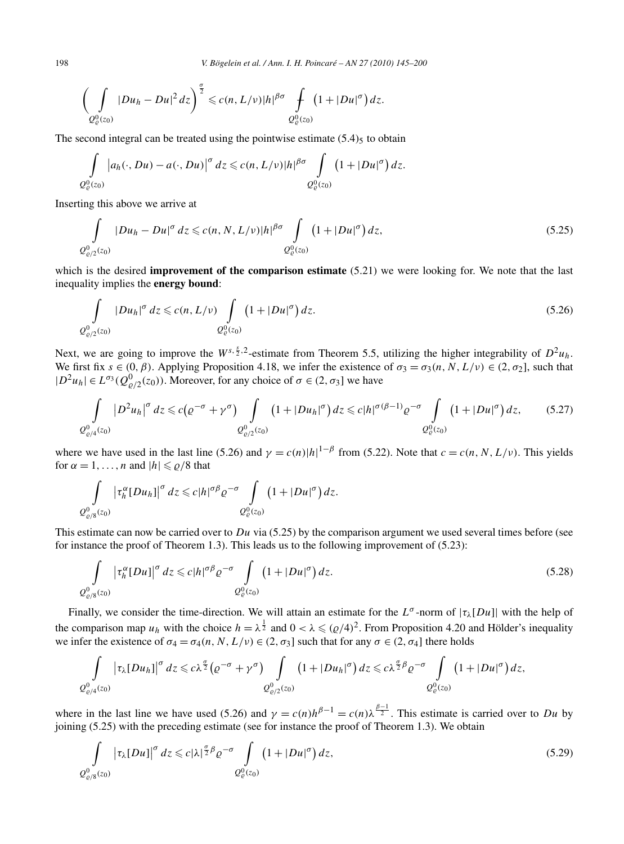198 *V. Bögelein et al. / Ann. I. H. Poincaré – AN 27 (2010) 145–200*

$$
\left(\int\limits_{Q^0_e(z_0)}|Du_h-Du|^2\,dz\right)^{\frac{\sigma}{2}}\leqslant c(n,L/\nu)|h|^{\beta\sigma}\int\limits_{Q^0_e(z_0)}\left(1+|Du|^{\sigma}\right)dz.
$$

The second integral can be treated using the pointwise estimate  $(5.4)$ <sub>5</sub> to obtain

$$
\int_{Q^0_{\varrho}(z_0)}\left|a_h(\cdot,Du)-a(\cdot,Du)\right|^{\sigma}dz\leqslant c(n,L/\nu)|h|^{\beta\sigma}\int_{Q^0_{\varrho}(z_0)}\left(1+|Du|^{\sigma}\right)dz.
$$

Inserting this above we arrive at

$$
\int_{Q_{\varrho/2}^{0}(z_0)} |Du_h - Du|^{\sigma} dz \leq c(n, N, L/\nu)|h|^{\beta \sigma} \int_{Q_{\varrho}^{0}(z_0)} \left(1 + |Du|^{\sigma}\right) dz,
$$
\n(5.25)

which is the desired **improvement of the comparison estimate** (5.21) we were looking for. We note that the last inequality implies the **energy bound**:

$$
\int_{Q_{\varrho/2}^0(z_0)} |Du_h|^\sigma dz \leq c(n, L/\nu) \int_{Q_{\varrho}^0(z_0)} \left(1 + |Du|^\sigma\right) dz.
$$
\n(5.26)

Next, we are going to improve the  $W^{s, \frac{5}{2}, 2}$ -estimate from Theorem 5.5, utilizing the higher integrability of  $D^2u_h$ . We first fix  $s \in (0, \beta)$ . Applying Proposition 4.18, we infer the existence of  $\sigma_3 = \sigma_3(n, N, L/\nu) \in (2, \sigma_2]$ , such that  $|D^2u_h| \in L^{\sigma_3}(Q^0_{\varrho/2}(z_0))$ . Moreover, for any choice of  $\sigma \in (2, \sigma_3]$  we have

$$
\int_{Q^0_{\varrho/4}(z_0)} |D^2 u_h|^\sigma dz \leq c \big( \varrho^{-\sigma} + \gamma^{\sigma} \big) \int_{Q^0_{\varrho/2}(z_0)} \big( 1 + |Du_h|^\sigma \big) dz \leq c |h|^{\sigma(\beta - 1)} \varrho^{-\sigma} \int_{Q^0_{\varrho}(z_0)} \big( 1 + |Du|^\sigma \big) dz, \tag{5.27}
$$

where we have used in the last line (5.26) and  $\gamma = c(n)|h|^{1-\beta}$  from (5.22). Note that  $c = c(n, N, L/\nu)$ . This yields for  $\alpha = 1, \ldots, n$  and  $|h| \leq \rho/8$  that

$$
\int\limits_{Q^0_{\varrho/8}(z_0)}\left|\tau_h^{\alpha}[Du_h]\right|^{\sigma}dz\leqslant c|h|^{\sigma\beta}\varrho^{-\sigma}\int\limits_{Q^0_{\varrho}(z_0)}\left(1+|Du|^{\sigma}\right)dz.
$$

This estimate can now be carried over to *Du* via (5.25) by the comparison argument we used several times before (see for instance the proof of Theorem 1.3). This leads us to the following improvement of (5.23):

$$
\int_{Q^0_{\varrho/8}(z_0)} \left| \tau_h^{\alpha} [Du] \right|^{\sigma} dz \leq c |h|^{\sigma \beta} \varrho^{-\sigma} \int_{Q^0_{\varrho}(z_0)} \left( 1 + |Du|^{\sigma} \right) dz.
$$
\n(5.28)

Finally, we consider the time-direction. We will attain an estimate for the  $L^{\sigma}$ -norm of  $|\tau_{\lambda}[Du]|$  with the help of the comparison map  $u_h$  with the choice  $h = \lambda^{\frac{1}{2}}$  and  $0 < \lambda \leqslant (p/4)^2$ . From Proposition 4.20 and Hölder's inequality we infer the existence of  $\sigma_4 = \sigma_4(n, N, L/\nu) \in (2, \sigma_3]$  such that for any  $\sigma \in (2, \sigma_4]$  there holds

$$
\int\limits_{Q^0_{\varrho/4}(z_0)}\left|\tau_{\lambda}[Du_h]\right|^{\sigma}dz\leqslant c\lambda^{\frac{\sigma}{2}}\left(\varrho^{-\sigma}+\gamma^{\sigma}\right)\int\limits_{Q^0_{\varrho/2}(z_0)}\left(1+|Du_h|^{\sigma}\right)dz\leqslant c\lambda^{\frac{\sigma}{2}\beta}\varrho^{-\sigma}\int\limits_{Q^0_{\varrho}(z_0)}\left(1+|Du|^{\sigma}\right)dz,
$$

where in the last line we have used (5.26) and  $\gamma = c(n)h^{\beta-1} = c(n)\lambda^{\frac{\beta-1}{2}}$ . This estimate is carried over to *Du* by joining (5.25) with the preceding estimate (see for instance the proof of Theorem 1.3). We obtain

$$
\int_{Q^0_{\varrho/8}(z_0)} \left| \tau_\lambda[Du] \right|^\sigma dz \leqslant c |\lambda|^{\frac{\sigma}{2}\beta} \varrho^{-\sigma} \int_{Q^0_{\varrho}(z_0)} \left( 1 + |Du|^\sigma \right) dz,
$$
\n
$$
(5.29)
$$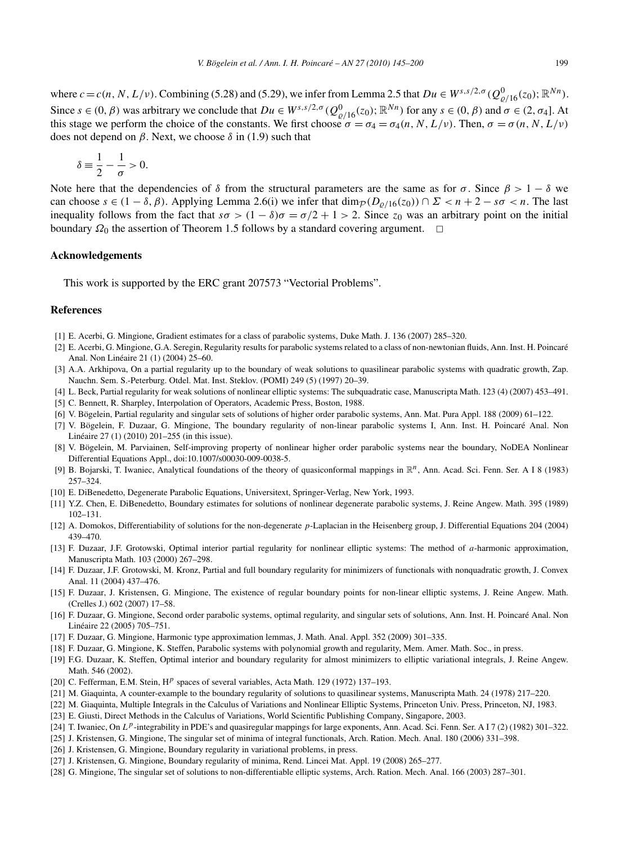where  $c = c(n, N, L/\nu)$ . Combining (5.28) and (5.29), we infer from Lemma 2.5 that  $Du \in W^{s,s/2,\sigma}(Q^0_{\varrho/16}(z_0); \mathbb{R}^{Nn})$ . Since  $s \in (0, \beta)$  was arbitrary we conclude that  $Du \in W^{s,s/2,\sigma}(Q^0_{\varrho/16}(z_0); \mathbb{R}^{Nn})$  for any  $s \in (0, \beta)$  and  $\sigma \in (2, \sigma_4]$ . At this stage we perform the choice of the constants. We first choose  $\sigma = \sigma_4 = \sigma_4(n, N, L/\nu)$ . Then,  $\sigma = \sigma(n, N, L/\nu)$ does not depend on *β*. Next, we choose *δ* in (1.9) such that

$$
\delta \equiv \frac{1}{2} - \frac{1}{\sigma} > 0.
$$

Note here that the dependencies of  $\delta$  from the structural parameters are the same as for  $\sigma$ . Since  $\beta > 1 - \delta$  we can choose  $s \in (1 - \delta, \beta)$ . Applying Lemma 2.6(i) we infer that  $\dim_{\mathcal{P}}(D_{\rho/16}(z_0)) \cap \Sigma < n + 2 - s\sigma < n$ . The last inequality follows from the fact that  $s\sigma > (1 - \delta)\sigma = \sigma/2 + 1 > 2$ . Since  $z_0$  was an arbitrary point on the initial boundary  $\Omega_0$  the assertion of Theorem 1.5 follows by a standard covering argument.  $\Box$ 

## **Acknowledgements**

This work is supported by the ERC grant 207573 "Vectorial Problems".

# **References**

- [1] E. Acerbi, G. Mingione, Gradient estimates for a class of parabolic systems, Duke Math. J. 136 (2007) 285–320.
- [2] E. Acerbi, G. Mingione, G.A. Seregin, Regularity results for parabolic systems related to a class of non-newtonian fluids, Ann. Inst. H. Poincaré Anal. Non Linéaire 21 (1) (2004) 25–60.
- [3] A.A. Arkhipova, On a partial regularity up to the boundary of weak solutions to quasilinear parabolic systems with quadratic growth, Zap. Nauchn. Sem. S.-Peterburg. Otdel. Mat. Inst. Steklov. (POMI) 249 (5) (1997) 20–39.
- [4] L. Beck, Partial regularity for weak solutions of nonlinear elliptic systems: The subquadratic case, Manuscripta Math. 123 (4) (2007) 453–491.
- [5] C. Bennett, R. Sharpley, Interpolation of Operators, Academic Press, Boston, 1988.
- [6] V. Bögelein, Partial regularity and singular sets of solutions of higher order parabolic systems, Ann. Mat. Pura Appl. 188 (2009) 61–122.
- [7] V. Bögelein, F. Duzaar, G. Mingione, The boundary regularity of non-linear parabolic systems I, Ann. Inst. H. Poincaré Anal. Non Linéaire 27 (1) (2010) 201–255 (in this issue).
- [8] V. Bögelein, M. Parviainen, Self-improving property of nonlinear higher order parabolic systems near the boundary, NoDEA Nonlinear Differential Equations Appl., doi:10.1007/s00030-009-0038-5.
- [9] B. Bojarski, T. Iwaniec, Analytical foundations of the theory of quasiconformal mappings in  $\mathbb{R}^n$ , Ann. Acad. Sci. Fenn. Ser. A I 8 (1983) 257–324.
- [10] E. DiBenedetto, Degenerate Parabolic Equations, Universitext, Springer-Verlag, New York, 1993.
- [11] Y.Z. Chen, E. DiBenedetto, Boundary estimates for solutions of nonlinear degenerate parabolic systems, J. Reine Angew. Math. 395 (1989) 102–131.
- [12] A. Domokos, Differentiability of solutions for the non-degenerate *p*-Laplacian in the Heisenberg group, J. Differential Equations 204 (2004) 439–470.
- [13] F. Duzaar, J.F. Grotowski, Optimal interior partial regularity for nonlinear elliptic systems: The method of *a*-harmonic approximation, Manuscripta Math. 103 (2000) 267–298.
- [14] F. Duzaar, J.F. Grotowski, M. Kronz, Partial and full boundary regularity for minimizers of functionals with nonquadratic growth, J. Convex Anal. 11 (2004) 437–476.
- [15] F. Duzaar, J. Kristensen, G. Mingione, The existence of regular boundary points for non-linear elliptic systems, J. Reine Angew. Math. (Crelles J.) 602 (2007) 17–58.
- [16] F. Duzaar, G. Mingione, Second order parabolic systems, optimal regularity, and singular sets of solutions, Ann. Inst. H. Poincaré Anal. Non Linéaire 22 (2005) 705–751.
- [17] F. Duzaar, G. Mingione, Harmonic type approximation lemmas, J. Math. Anal. Appl. 352 (2009) 301–335.
- [18] F. Duzaar, G. Mingione, K. Steffen, Parabolic systems with polynomial growth and regularity, Mem. Amer. Math. Soc., in press.
- [19] F.G. Duzaar, K. Steffen, Optimal interior and boundary regularity for almost minimizers to elliptic variational integrals, J. Reine Angew. Math. 546 (2002).
- [20] C. Fefferman, E.M. Stein, H*<sup>p</sup>* spaces of several variables, Acta Math. 129 (1972) 137–193.
- [21] M. Giaquinta, A counter-example to the boundary regularity of solutions to quasilinear systems, Manuscripta Math. 24 (1978) 217–220.
- [22] M. Giaquinta, Multiple Integrals in the Calculus of Variations and Nonlinear Elliptic Systems, Princeton Univ. Press, Princeton, NJ, 1983.
- [23] E. Giusti, Direct Methods in the Calculus of Variations, World Scientific Publishing Company, Singapore, 2003.
- [24] T. Iwaniec, On *Lp*-integrability in PDE's and quasiregular mappings for large exponents, Ann. Acad. Sci. Fenn. Ser. A I 7 (2) (1982) 301–322.
- [25] J. Kristensen, G. Mingione, The singular set of minima of integral functionals, Arch. Ration. Mech. Anal. 180 (2006) 331–398.
- [26] J. Kristensen, G. Mingione, Boundary regularity in variational problems, in press.
- [27] J. Kristensen, G. Mingione, Boundary regularity of minima, Rend. Lincei Mat. Appl. 19 (2008) 265–277.
- [28] G. Mingione, The singular set of solutions to non-differentiable elliptic systems, Arch. Ration. Mech. Anal. 166 (2003) 287–301.